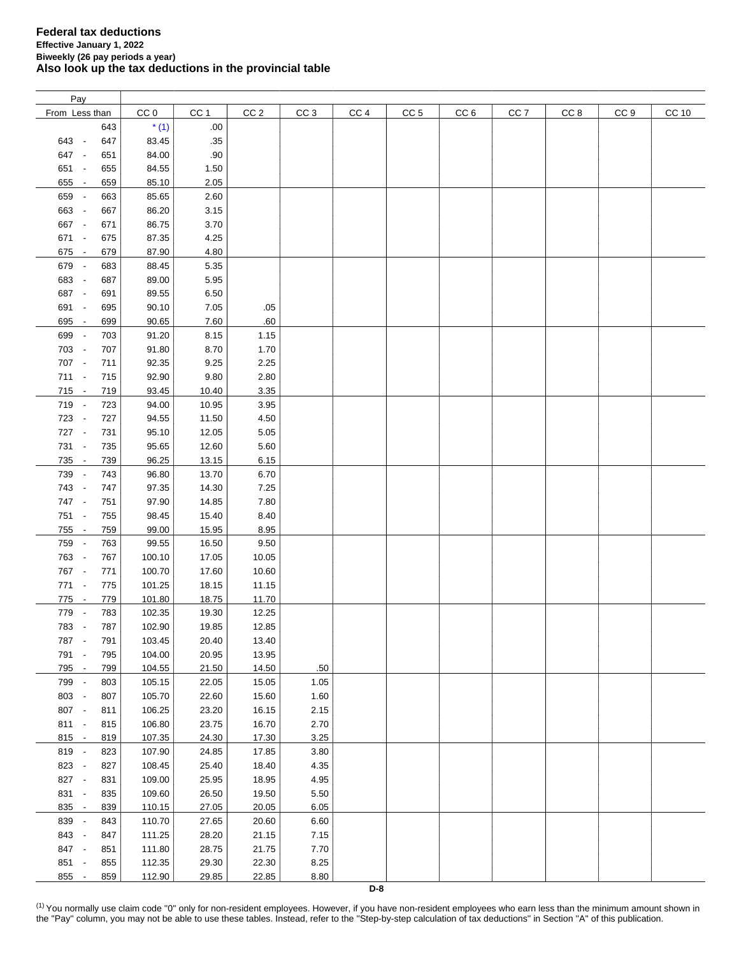| Pay            |     |                 |                 |                 |                 |                 |                 |                 |                 |      |                 |              |
|----------------|-----|-----------------|-----------------|-----------------|-----------------|-----------------|-----------------|-----------------|-----------------|------|-----------------|--------------|
| From Less than |     | CC <sub>0</sub> | CC <sub>1</sub> | CC <sub>2</sub> | CC <sub>3</sub> | CC <sub>4</sub> | CC <sub>5</sub> | CC <sub>6</sub> | CC <sub>7</sub> | CC 8 | CC <sub>9</sub> | <b>CC 10</b> |
|                | 643 | $*(1)$          | .00.            |                 |                 |                 |                 |                 |                 |      |                 |              |
| 643 -          | 647 | 83.45           | .35             |                 |                 |                 |                 |                 |                 |      |                 |              |
|                | 651 |                 |                 |                 |                 |                 |                 |                 |                 |      |                 |              |
| 647 -          |     | 84.00           | .90             |                 |                 |                 |                 |                 |                 |      |                 |              |
| 651 -          | 655 | 84.55           | 1.50            |                 |                 |                 |                 |                 |                 |      |                 |              |
| 655 -          | 659 | 85.10           | 2.05            |                 |                 |                 |                 |                 |                 |      |                 |              |
| 659 -          | 663 | 85.65           | 2.60            |                 |                 |                 |                 |                 |                 |      |                 |              |
| 663 -          | 667 | 86.20           | 3.15            |                 |                 |                 |                 |                 |                 |      |                 |              |
| 667 -          | 671 | 86.75           | 3.70            |                 |                 |                 |                 |                 |                 |      |                 |              |
| 671 -          | 675 | 87.35           | 4.25            |                 |                 |                 |                 |                 |                 |      |                 |              |
| 675 -          | 679 | 87.90           | 4.80            |                 |                 |                 |                 |                 |                 |      |                 |              |
| 679 -          | 683 | 88.45           | 5.35            |                 |                 |                 |                 |                 |                 |      |                 |              |
| 683 -          | 687 | 89.00           | 5.95            |                 |                 |                 |                 |                 |                 |      |                 |              |
| 687 -          | 691 | 89.55           | 6.50            |                 |                 |                 |                 |                 |                 |      |                 |              |
|                |     |                 |                 |                 |                 |                 |                 |                 |                 |      |                 |              |
| 691 -          | 695 | 90.10           | 7.05            | .05             |                 |                 |                 |                 |                 |      |                 |              |
| 695 -          | 699 | 90.65           | 7.60            | .60             |                 |                 |                 |                 |                 |      |                 |              |
| 699 -          | 703 | 91.20           | 8.15            | 1.15            |                 |                 |                 |                 |                 |      |                 |              |
| 703 -          | 707 | 91.80           | 8.70            | 1.70            |                 |                 |                 |                 |                 |      |                 |              |
| 707 -          | 711 | 92.35           | 9.25            | 2.25            |                 |                 |                 |                 |                 |      |                 |              |
| 711 -          | 715 | 92.90           | 9.80            | 2.80            |                 |                 |                 |                 |                 |      |                 |              |
| $715 -$        | 719 | 93.45           | 10.40           | 3.35            |                 |                 |                 |                 |                 |      |                 |              |
| 719 -          | 723 | 94.00           | 10.95           | 3.95            |                 |                 |                 |                 |                 |      |                 |              |
| 723 -          | 727 | 94.55           | 11.50           | 4.50            |                 |                 |                 |                 |                 |      |                 |              |
| 727 -          | 731 | 95.10           | 12.05           | 5.05            |                 |                 |                 |                 |                 |      |                 |              |
| 731 -          | 735 | 95.65           | 12.60           | 5.60            |                 |                 |                 |                 |                 |      |                 |              |
|                |     |                 |                 |                 |                 |                 |                 |                 |                 |      |                 |              |
| 735 -          | 739 | 96.25           | 13.15           | 6.15            |                 |                 |                 |                 |                 |      |                 |              |
| 739 -          | 743 | 96.80           | 13.70           | 6.70            |                 |                 |                 |                 |                 |      |                 |              |
| 743 -          | 747 | 97.35           | 14.30           | 7.25            |                 |                 |                 |                 |                 |      |                 |              |
| 747 -          | 751 | 97.90           | 14.85           | 7.80            |                 |                 |                 |                 |                 |      |                 |              |
| 751 -          | 755 | 98.45           | 15.40           | 8.40            |                 |                 |                 |                 |                 |      |                 |              |
| 755 -          | 759 | 99.00           | 15.95           | 8.95            |                 |                 |                 |                 |                 |      |                 |              |
| 759 -          | 763 | 99.55           | 16.50           | 9.50            |                 |                 |                 |                 |                 |      |                 |              |
| 763 -          | 767 | 100.10          | 17.05           | 10.05           |                 |                 |                 |                 |                 |      |                 |              |
| 767 -          | 771 | 100.70          | 17.60           | 10.60           |                 |                 |                 |                 |                 |      |                 |              |
| 771 -          | 775 | 101.25          | 18.15           | 11.15           |                 |                 |                 |                 |                 |      |                 |              |
| 775 -          | 779 | 101.80          | 18.75           | 11.70           |                 |                 |                 |                 |                 |      |                 |              |
| 779 -          | 783 | 102.35          | 19.30           | 12.25           |                 |                 |                 |                 |                 |      |                 |              |
| 783 -          | 787 | 102.90          | 19.85           | 12.85           |                 |                 |                 |                 |                 |      |                 |              |
|                |     |                 |                 |                 |                 |                 |                 |                 |                 |      |                 |              |
| 787 -          | 791 | 103.45          | 20.40           | 13.40           |                 |                 |                 |                 |                 |      |                 |              |
| 791 -          | 795 | 104.00          | 20.95           | 13.95           |                 |                 |                 |                 |                 |      |                 |              |
| 795 -          | 799 | 104.55          | 21.50           | 14.50           | .50             |                 |                 |                 |                 |      |                 |              |
| 799 -          | 803 | 105.15          | 22.05           | 15.05           | 1.05            |                 |                 |                 |                 |      |                 |              |
| 803 -          | 807 | 105.70          | 22.60           | 15.60           | 1.60            |                 |                 |                 |                 |      |                 |              |
| 807 -          | 811 | 106.25          | 23.20           | 16.15           | 2.15            |                 |                 |                 |                 |      |                 |              |
| 811 -          | 815 | 106.80          | 23.75           | 16.70           | 2.70            |                 |                 |                 |                 |      |                 |              |
| $815 -$        | 819 | 107.35          | 24.30           | 17.30           | 3.25            |                 |                 |                 |                 |      |                 |              |
| 819 -          | 823 | 107.90          | 24.85           | 17.85           | 3.80            |                 |                 |                 |                 |      |                 |              |
| 823 -          | 827 | 108.45          | 25.40           | 18.40           | 4.35            |                 |                 |                 |                 |      |                 |              |
| 827 -          | 831 | 109.00          | 25.95           | 18.95           | 4.95            |                 |                 |                 |                 |      |                 |              |
| 831 -          | 835 | 109.60          | 26.50           | 19.50           | 5.50            |                 |                 |                 |                 |      |                 |              |
| 835 -          | 839 | 110.15          | 27.05           | 20.05           | 6.05            |                 |                 |                 |                 |      |                 |              |
|                |     |                 |                 |                 |                 |                 |                 |                 |                 |      |                 |              |
| 839 -          | 843 | 110.70          | 27.65           | 20.60           | 6.60            |                 |                 |                 |                 |      |                 |              |
| 843 -          | 847 | 111.25          | 28.20           | 21.15           | 7.15            |                 |                 |                 |                 |      |                 |              |
| 847 -          | 851 | 111.80          | 28.75           | 21.75           | 7.70            |                 |                 |                 |                 |      |                 |              |
| 851 -          | 855 | 112.35          | 29.30           | 22.30           | 8.25            |                 |                 |                 |                 |      |                 |              |
| 855 -          | 859 | 112.90          | 29.85           | 22.85           | 8.80            |                 |                 |                 |                 |      |                 |              |

<span id="page-0-0"></span><sup>(1)</sup> You normally use claim code "0" only for non-resident employees. However, if you have non-resident employees who earn less than the minimum amount shown in the "Pay" column, you may not be able to use these tables. Instead, refer to the "Step-by-step calculation of tax deductions" in Section "A" of this publication.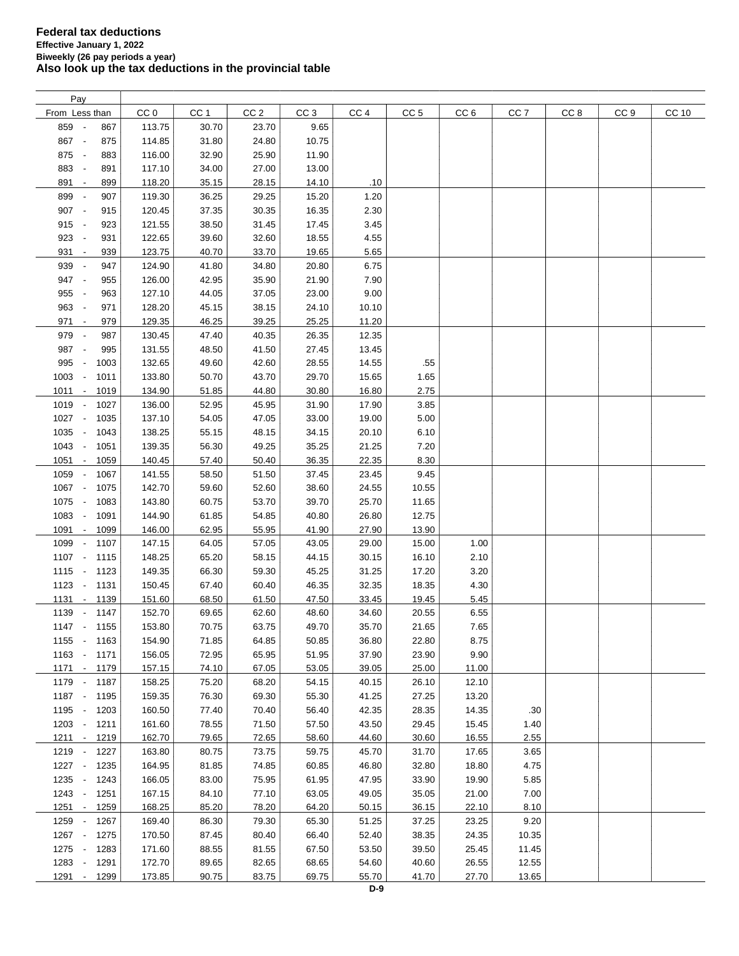| Pay                                      |        |       |                 |       |       |                 |                 |                 |                 |      |       |
|------------------------------------------|--------|-------|-----------------|-------|-------|-----------------|-----------------|-----------------|-----------------|------|-------|
| From Less than                           | CC 0   | CC 1  | CC <sub>2</sub> | CC 3  | CC 4  | CC <sub>5</sub> | CC <sub>6</sub> | CC <sub>7</sub> | CC <sub>8</sub> | CC 9 | CC 10 |
| 859 -<br>867                             | 113.75 | 30.70 | 23.70           | 9.65  |       |                 |                 |                 |                 |      |       |
| 867 -<br>875                             | 114.85 | 31.80 | 24.80           | 10.75 |       |                 |                 |                 |                 |      |       |
| 875 -<br>883                             | 116.00 | 32.90 | 25.90           | 11.90 |       |                 |                 |                 |                 |      |       |
| 883 -<br>891                             | 117.10 | 34.00 | 27.00           | 13.00 |       |                 |                 |                 |                 |      |       |
|                                          |        |       |                 |       |       |                 |                 |                 |                 |      |       |
| 891 -<br>899                             | 118.20 | 35.15 | 28.15           | 14.10 | .10   |                 |                 |                 |                 |      |       |
| 899 -<br>907                             | 119.30 | 36.25 | 29.25           | 15.20 | 1.20  |                 |                 |                 |                 |      |       |
| 907 -<br>915                             | 120.45 | 37.35 | 30.35           | 16.35 | 2.30  |                 |                 |                 |                 |      |       |
| $915 -$<br>923                           | 121.55 | 38.50 | 31.45           | 17.45 | 3.45  |                 |                 |                 |                 |      |       |
| 923 -<br>931                             | 122.65 | 39.60 | 32.60           | 18.55 | 4.55  |                 |                 |                 |                 |      |       |
| 931<br>939<br>$\overline{\phantom{a}}$   | 123.75 | 40.70 | 33.70           | 19.65 | 5.65  |                 |                 |                 |                 |      |       |
| 939<br>947<br>$\sim$                     | 124.90 | 41.80 | 34.80           | 20.80 | 6.75  |                 |                 |                 |                 |      |       |
| 947 -<br>955                             | 126.00 | 42.95 | 35.90           | 21.90 | 7.90  |                 |                 |                 |                 |      |       |
| 955 -<br>963                             | 127.10 | 44.05 | 37.05           | 23.00 | 9.00  |                 |                 |                 |                 |      |       |
| 963 -<br>971                             | 128.20 | 45.15 | 38.15           | 24.10 | 10.10 |                 |                 |                 |                 |      |       |
| 971 -<br>979                             | 129.35 | 46.25 | 39.25           | 25.25 | 11.20 |                 |                 |                 |                 |      |       |
| 979 -<br>987                             | 130.45 | 47.40 | 40.35           | 26.35 | 12.35 |                 |                 |                 |                 |      |       |
| 987<br>995<br>$\sim$                     | 131.55 | 48.50 | 41.50           | 27.45 | 13.45 |                 |                 |                 |                 |      |       |
|                                          |        | 49.60 |                 |       |       |                 |                 |                 |                 |      |       |
| 995<br>1003<br>$\sim$                    | 132.65 |       | 42.60           | 28.55 | 14.55 | .55             |                 |                 |                 |      |       |
| 1003<br>1011<br>$\overline{\phantom{a}}$ | 133.80 | 50.70 | 43.70           | 29.70 | 15.65 | 1.65            |                 |                 |                 |      |       |
| $1011 -$<br>1019                         | 134.90 | 51.85 | 44.80           | 30.80 | 16.80 | 2.75            |                 |                 |                 |      |       |
| $1019 -$<br>1027                         | 136.00 | 52.95 | 45.95           | 31.90 | 17.90 | 3.85            |                 |                 |                 |      |       |
| $1027 -$<br>1035                         | 137.10 | 54.05 | 47.05           | 33.00 | 19.00 | 5.00            |                 |                 |                 |      |       |
| 1035 -<br>1043                           | 138.25 | 55.15 | 48.15           | 34.15 | 20.10 | 6.10            |                 |                 |                 |      |       |
| 1043 -<br>1051                           | 139.35 | 56.30 | 49.25           | 35.25 | 21.25 | 7.20            |                 |                 |                 |      |       |
| $1051 -$<br>1059                         | 140.45 | 57.40 | 50.40           | 36.35 | 22.35 | 8.30            |                 |                 |                 |      |       |
| 1059<br>1067<br>$\overline{\phantom{a}}$ | 141.55 | 58.50 | 51.50           | 37.45 | 23.45 | 9.45            |                 |                 |                 |      |       |
| 1067 -<br>1075                           | 142.70 | 59.60 | 52.60           | 38.60 | 24.55 | 10.55           |                 |                 |                 |      |       |
| 1075 -<br>1083                           | 143.80 | 60.75 | 53.70           | 39.70 | 25.70 | 11.65           |                 |                 |                 |      |       |
| 1083<br>1091<br>$\overline{\phantom{a}}$ | 144.90 | 61.85 | 54.85           | 40.80 | 26.80 | 12.75           |                 |                 |                 |      |       |
| 1091<br>1099<br>$\overline{\phantom{a}}$ | 146.00 | 62.95 | 55.95           | 41.90 | 27.90 | 13.90           |                 |                 |                 |      |       |
| 1099 -<br>1107                           | 147.15 | 64.05 | 57.05           | 43.05 | 29.00 | 15.00           | 1.00            |                 |                 |      |       |
|                                          |        |       |                 |       |       |                 |                 |                 |                 |      |       |
| 1107 -<br>1115                           | 148.25 | 65.20 | 58.15           | 44.15 | 30.15 | 16.10           | 2.10            |                 |                 |      |       |
| 1115 - 1123                              | 149.35 | 66.30 | 59.30           | 45.25 | 31.25 | 17.20           | 3.20            |                 |                 |      |       |
| 1123 - 1131                              | 150.45 | 67.40 | 60.40           | 46.35 | 32.35 | 18.35           | 4.30            |                 |                 |      |       |
| $1131 -$<br>1139                         | 151.60 | 68.50 | 61.50           | 47.50 | 33.45 | 19.45           | 5.45            |                 |                 |      |       |
| 1139 -<br>1147                           | 152.70 | 69.65 | 62.60           | 48.60 | 34.60 | 20.55           | 6.55            |                 |                 |      |       |
| 1147 - 1155                              | 153.80 | 70.75 | 63.75           | 49.70 | 35.70 | 21.65           | 7.65            |                 |                 |      |       |
| 1155 - 1163                              | 154.90 | 71.85 | 64.85           | 50.85 | 36.80 | 22.80           | 8.75            |                 |                 |      |       |
| 1163 - 1171                              | 156.05 | 72.95 | 65.95           | 51.95 | 37.90 | 23.90           | 9.90            |                 |                 |      |       |
| 1171 - 1179                              | 157.15 | 74.10 | 67.05           | 53.05 | 39.05 | 25.00           | 11.00           |                 |                 |      |       |
| 1179 - 1187                              | 158.25 | 75.20 | 68.20           | 54.15 | 40.15 | 26.10           | 12.10           |                 |                 |      |       |
| 1187 - 1195                              | 159.35 | 76.30 | 69.30           | 55.30 | 41.25 | 27.25           | 13.20           |                 |                 |      |       |
| 1195 - 1203                              | 160.50 | 77.40 | 70.40           | 56.40 | 42.35 | 28.35           | 14.35           | .30             |                 |      |       |
| 1203 - 1211                              | 161.60 | 78.55 | 71.50           | 57.50 | 43.50 | 29.45           | 15.45           | 1.40            |                 |      |       |
| 1211 - 1219                              | 162.70 | 79.65 | 72.65           | 58.60 | 44.60 | 30.60           | 16.55           | 2.55            |                 |      |       |
| 1219 - 1227                              | 163.80 | 80.75 | 73.75           | 59.75 | 45.70 | 31.70           | 17.65           | 3.65            |                 |      |       |
|                                          |        |       |                 |       |       |                 |                 |                 |                 |      |       |
| 1227 - 1235                              | 164.95 | 81.85 | 74.85           | 60.85 | 46.80 | 32.80           | 18.80           | 4.75            |                 |      |       |
| 1235 -<br>1243                           | 166.05 | 83.00 | 75.95           | 61.95 | 47.95 | 33.90           | 19.90           | 5.85            |                 |      |       |
| $1243 -$<br>1251                         | 167.15 | 84.10 | 77.10           | 63.05 | 49.05 | 35.05           | 21.00           | 7.00            |                 |      |       |
| $1251 -$<br>1259                         | 168.25 | 85.20 | 78.20           | 64.20 | 50.15 | 36.15           | 22.10           | 8.10            |                 |      |       |
| 1259 - 1267                              | 169.40 | 86.30 | 79.30           | 65.30 | 51.25 | 37.25           | 23.25           | 9.20            |                 |      |       |
| 1267 - 1275                              | 170.50 | 87.45 | 80.40           | 66.40 | 52.40 | 38.35           | 24.35           | 10.35           |                 |      |       |
| 1275 - 1283                              | 171.60 | 88.55 | 81.55           | 67.50 | 53.50 | 39.50           | 25.45           | 11.45           |                 |      |       |
| 1283 -<br>1291                           | 172.70 | 89.65 | 82.65           | 68.65 | 54.60 | 40.60           | 26.55           | 12.55           |                 |      |       |
| $1291 -$<br>1299                         | 173.85 | 90.75 | 83.75           | 69.75 | 55.70 | 41.70           | 27.70           | 13.65           |                 |      |       |
|                                          |        |       |                 |       |       |                 |                 |                 |                 |      |       |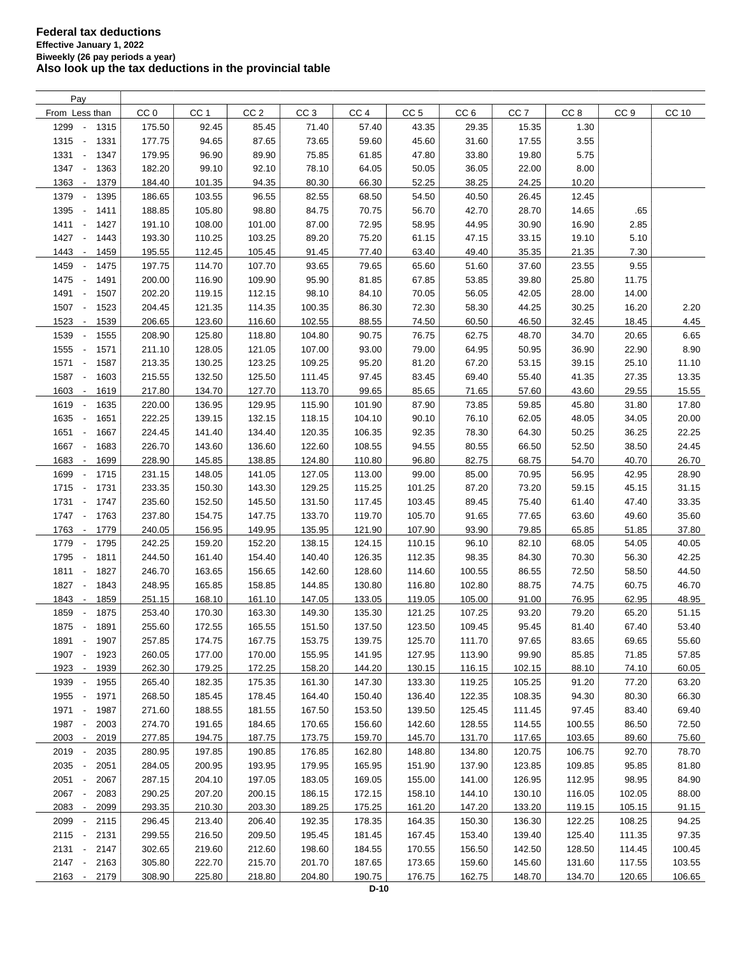| Pay                                         |                 |                 |                 |                 |                 |                 |                 |                 |                 |                 |              |
|---------------------------------------------|-----------------|-----------------|-----------------|-----------------|-----------------|-----------------|-----------------|-----------------|-----------------|-----------------|--------------|
| From Less than                              | CC <sub>0</sub> | CC <sub>1</sub> | CC <sub>2</sub> | CC <sub>3</sub> | CC <sub>4</sub> | CC <sub>5</sub> | CC <sub>6</sub> | CC <sub>7</sub> | CC <sub>8</sub> | CC <sub>9</sub> | <b>CC 10</b> |
| 1299<br>1315<br>$\overline{\phantom{a}}$    | 175.50          | 92.45           | 85.45           | 71.40           | 57.40           | 43.35           | 29.35           | 15.35           | 1.30            |                 |              |
| 1315<br>1331<br>$\overline{\phantom{a}}$    | 177.75          | 94.65           | 87.65           | 73.65           | 59.60           | 45.60           | 31.60           | 17.55           | 3.55            |                 |              |
| 1331<br>1347<br>$\overline{\phantom{a}}$    | 179.95          | 96.90           | 89.90           | 75.85           | 61.85           | 47.80           | 33.80           | 19.80           | 5.75            |                 |              |
| 1347<br>1363<br>$\overline{\phantom{a}}$    | 182.20          | 99.10           | 92.10           | 78.10           | 64.05           | 50.05           | 36.05           | 22.00           | 8.00            |                 |              |
| 1363<br>1379<br>$\overline{\phantom{a}}$    | 184.40          | 101.35          | 94.35           | 80.30           | 66.30           | 52.25           | 38.25           | 24.25           | 10.20           |                 |              |
| 1379<br>1395<br>$\overline{\phantom{a}}$    | 186.65          | 103.55          | 96.55           | 82.55           | 68.50           | 54.50           | 40.50           | 26.45           | 12.45           |                 |              |
| 1395<br>1411<br>$\overline{\phantom{a}}$    | 188.85          | 105.80          | 98.80           | 84.75           | 70.75           | 56.70           | 42.70           | 28.70           | 14.65           | .65             |              |
|                                             |                 |                 |                 |                 |                 |                 |                 |                 |                 |                 |              |
| 1411 -<br>1427                              | 191.10          | 108.00          | 101.00          | 87.00           | 72.95           | 58.95           | 44.95           | 30.90           | 16.90           | 2.85            |              |
| 1427<br>$\sim$<br>1443                      | 193.30          | 110.25          | 103.25          | 89.20           | 75.20           | 61.15           | 47.15           | 33.15           | 19.10           | 5.10            |              |
| 1443<br>$\mathcal{L}_{\mathcal{L}}$<br>1459 | 195.55          | 112.45          | 105.45          | 91.45           | 77.40           | 63.40           | 49.40           | 35.35           | 21.35           | 7.30            |              |
| 1459<br>1475<br>$\overline{\phantom{a}}$    | 197.75          | 114.70          | 107.70          | 93.65           | 79.65           | 65.60           | 51.60           | 37.60           | 23.55           | 9.55            |              |
| 1475<br>$\sim$<br>1491                      | 200.00          | 116.90          | 109.90          | 95.90           | 81.85           | 67.85           | 53.85           | 39.80           | 25.80           | 11.75           |              |
| 1491<br>1507<br>$\overline{\phantom{a}}$    | 202.20          | 119.15          | 112.15          | 98.10           | 84.10           | 70.05           | 56.05           | 42.05           | 28.00           | 14.00           |              |
| 1507<br>1523<br>$\overline{\phantom{a}}$    | 204.45          | 121.35          | 114.35          | 100.35          | 86.30           | 72.30           | 58.30           | 44.25           | 30.25           | 16.20           | 2.20         |
| 1523<br>1539<br>$\overline{\phantom{a}}$    | 206.65          | 123.60          | 116.60          | 102.55          | 88.55           | 74.50           | 60.50           | 46.50           | 32.45           | 18.45           | 4.45         |
| 1539<br>1555                                | 208.90          | 125.80          | 118.80          | 104.80          | 90.75           | 76.75           | 62.75           | 48.70           | 34.70           | 20.65           | 6.65         |
| 1555<br>1571<br>$\overline{\phantom{a}}$    | 211.10          | 128.05          | 121.05          | 107.00          | 93.00           | 79.00           | 64.95           | 50.95           | 36.90           | 22.90           | 8.90         |
| 1571<br>1587<br>$\overline{\phantom{a}}$    | 213.35          | 130.25          | 123.25          | 109.25          | 95.20           | 81.20           | 67.20           | 53.15           | 39.15           | 25.10           | 11.10        |
| 1587<br>$\overline{\phantom{a}}$<br>1603    | 215.55          | 132.50          | 125.50          | 111.45          | 97.45           | 83.45           | 69.40           | 55.40           | 41.35           | 27.35           | 13.35        |
| 1603<br>1619<br>$\blacksquare$              | 217.80          | 134.70          | 127.70          | 113.70          | 99.65           | 85.65           | 71.65           | 57.60           | 43.60           | 29.55           | 15.55        |
| 1619 -<br>1635                              | 220.00          | 136.95          | 129.95          | 115.90          | 101.90          | 87.90           | 73.85           | 59.85           | 45.80           | 31.80           | 17.80        |
| 1635<br>$\overline{\phantom{a}}$<br>1651    | 222.25          | 139.15          | 132.15          | 118.15          | 104.10          | 90.10           | 76.10           | 62.05           | 48.05           | 34.05           | 20.00        |
| 1651<br>1667<br>$\sim$                      | 224.45          | 141.40          | 134.40          | 120.35          | 106.35          | 92.35           | 78.30           | 64.30           | 50.25           | 36.25           | 22.25        |
| 1667 -<br>1683                              | 226.70          | 143.60          | 136.60          | 122.60          | 108.55          | 94.55           | 80.55           | 66.50           | 52.50           | 38.50           | 24.45        |
| 1683<br>1699<br>$\overline{\phantom{a}}$    | 228.90          | 145.85          | 138.85          | 124.80          | 110.80          | 96.80           | 82.75           | 68.75           | 54.70           | 40.70           | 26.70        |
| 1699<br>1715<br>$\overline{\phantom{a}}$    | 231.15          | 148.05          | 141.05          | 127.05          | 113.00          | 99.00           | 85.00           | 70.95           | 56.95           | 42.95           | 28.90        |
| 1715<br>1731<br>$\sim$                      | 233.35          | 150.30          | 143.30          | 129.25          | 115.25          | 101.25          | 87.20           | 73.20           | 59.15           | 45.15           | 31.15        |
| 1731<br>1747                                | 235.60          |                 |                 |                 |                 |                 | 89.45           |                 |                 |                 |              |
|                                             |                 | 152.50          | 145.50          | 131.50          | 117.45          | 103.45          |                 | 75.40           | 61.40           | 47.40           | 33.35        |
| 1747<br>1763<br>$\overline{\phantom{a}}$    | 237.80          | 154.75          | 147.75          | 133.70          | 119.70          | 105.70          | 91.65           | 77.65           | 63.60           | 49.60           | 35.60        |
| 1763<br>1779<br>$\overline{\phantom{a}}$    | 240.05          | 156.95          | 149.95          | 135.95          | 121.90          | 107.90          | 93.90           | 79.85           | 65.85           | 51.85           | 37.80        |
| 1779<br>$\overline{\phantom{a}}$<br>1795    | 242.25          | 159.20          | 152.20          | 138.15          | 124.15          | 110.15          | 96.10           | 82.10           | 68.05           | 54.05           | 40.05        |
| 1795<br>$\overline{\phantom{a}}$<br>1811    | 244.50          | 161.40          | 154.40          | 140.40          | 126.35          | 112.35          | 98.35           | 84.30           | 70.30           | 56.30           | 42.25        |
| 1811<br>$\overline{\phantom{a}}$<br>1827    | 246.70          | 163.65          | 156.65          | 142.60          | 128.60          | 114.60          | 100.55          | 86.55           | 72.50           | 58.50           | 44.50        |
| 1827<br>1843<br>$\overline{\phantom{a}}$    | 248.95          | 165.85          | 158.85          | 144.85          | 130.80          | 116.80          | 102.80          | 88.75           | 74.75           | 60.75           | 46.70        |
| 1843<br>1859<br>$\overline{\phantom{a}}$    | 251.15          | 168.10          | 161.10          | 147.05          | 133.05          | 119.05          | 105.00          | 91.00           | 76.95           | 62.95           | 48.95        |
| 1859<br>1875<br>$\blacksquare$              | 253.40          | 170.30          | 163.30          | 149.30          | 135.30          | 121.25          | 107.25          | 93.20           | 79.20           | 65.20           | 51.15        |
| 1875 -<br>1891                              | 255.60          | 172.55          | 165.55          | 151.50          | 137.50          | 123.50          | 109.45          | 95.45           | 81.40           | 67.40           | 53.40        |
| $\sim$ $-$<br>1907<br>1891                  | 257.85          | 174.75          | 167.75          | 153.75          | 139.75          | 125.70          | 111.70          | 97.65           | 83.65           | 69.65           | 55.60        |
| 1907 -<br>1923                              | 260.05          | 177.00          | 170.00          | 155.95          | 141.95          | 127.95          | 113.90          | 99.90           | 85.85           | 71.85           | 57.85        |
| 1923 -<br>1939                              | 262.30          | 179.25          | 172.25          | 158.20          | 144.20          | 130.15          | 116.15          | 102.15          | 88.10           | 74.10           | 60.05        |
| 1939<br>1955<br>$\overline{\phantom{a}}$    | 265.40          | 182.35          | 175.35          | 161.30          | 147.30          | 133.30          | 119.25          | 105.25          | 91.20           | 77.20           | 63.20        |
| 1955 -<br>1971                              | 268.50          | 185.45          | 178.45          | 164.40          | 150.40          | 136.40          | 122.35          | 108.35          | 94.30           | 80.30           | 66.30        |
| 1971 -<br>1987                              | 271.60          | 188.55          | 181.55          | 167.50          | 153.50          | 139.50          | 125.45          | 111.45          | 97.45           | 83.40           | 69.40        |
| 1987<br>$\overline{\phantom{a}}$<br>2003    | 274.70          | 191.65          | 184.65          | 170.65          | 156.60          | 142.60          | 128.55          | 114.55          | 100.55          | 86.50           | 72.50        |
| 2003<br>2019<br>$\sim$                      | 277.85          | 194.75          | 187.75          | 173.75          | 159.70          | 145.70          | 131.70          | 117.65          | 103.65          | 89.60           | 75.60        |
| 2019 -<br>2035                              | 280.95          | 197.85          | 190.85          | 176.85          | 162.80          | 148.80          | 134.80          | 120.75          | 106.75          | 92.70           | 78.70        |
| 2035 -<br>2051                              | 284.05          | 200.95          | 193.95          | 179.95          | 165.95          | 151.90          | 137.90          | 123.85          | 109.85          | 95.85           | 81.80        |
| 2051                                        |                 |                 |                 |                 |                 |                 |                 |                 |                 |                 | 84.90        |
| 2067<br>$\overline{\phantom{a}}$            | 287.15          | 204.10          | 197.05          | 183.05          | 169.05          | 155.00          | 141.00          | 126.95          | 112.95          | 98.95           |              |
| 2067<br>2083<br>$\overline{\phantom{a}}$    | 290.25          | 207.20          | 200.15          | 186.15          | 172.15          | 158.10          | 144.10          | 130.10          | 116.05          | 102.05          | 88.00        |
| 2083<br>2099<br>$\sim$                      | 293.35          | 210.30          | 203.30          | 189.25          | 175.25          | 161.20          | 147.20          | 133.20          | 119.15          | 105.15          | 91.15        |
| 2099<br>2115<br>$\overline{\phantom{a}}$    | 296.45          | 213.40          | 206.40          | 192.35          | 178.35          | 164.35          | 150.30          | 136.30          | 122.25          | 108.25          | 94.25        |
| $2115 -$<br>2131                            | 299.55          | 216.50          | 209.50          | 195.45          | 181.45          | 167.45          | 153.40          | 139.40          | 125.40          | 111.35          | 97.35        |
| 2131 -<br>2147                              | 302.65          | 219.60          | 212.60          | 198.60          | 184.55          | 170.55          | 156.50          | 142.50          | 128.50          | 114.45          | 100.45       |
| $2147 -$<br>2163                            | 305.80          | 222.70          | 215.70          | 201.70          | 187.65          | 173.65          | 159.60          | 145.60          | 131.60          | 117.55          | 103.55       |
| $2163 -$<br>2179                            | 308.90          | 225.80          | 218.80          | 204.80          | 190.75          | 176.75          | 162.75          | 148.70          | 134.70          | 120.65          | 106.65       |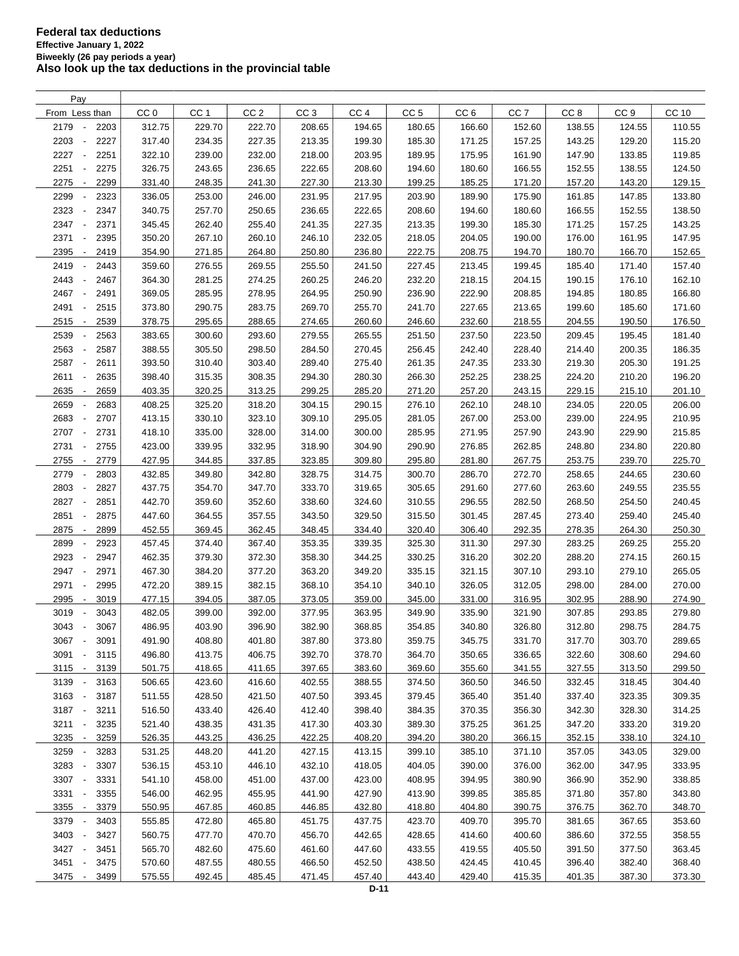| Pay                                      |        |                 |                 |                 |                 |                 |                 |                 |                 |                 |        |
|------------------------------------------|--------|-----------------|-----------------|-----------------|-----------------|-----------------|-----------------|-----------------|-----------------|-----------------|--------|
| From Less than                           | CC 0   | CC <sub>1</sub> | CC <sub>2</sub> | CC <sub>3</sub> | CC <sub>4</sub> | CC <sub>5</sub> | CC <sub>6</sub> | CC <sub>7</sub> | CC <sub>8</sub> | CC <sub>9</sub> | CC 10  |
| 2179<br>2203<br>$\overline{\phantom{a}}$ | 312.75 | 229.70          | 222.70          | 208.65          | 194.65          | 180.65          | 166.60          | 152.60          | 138.55          | 124.55          | 110.55 |
| 2203<br>2227<br>$\overline{\phantom{a}}$ | 317.40 | 234.35          | 227.35          | 213.35          | 199.30          | 185.30          | 171.25          | 157.25          | 143.25          | 129.20          | 115.20 |
| 2227<br>2251                             | 322.10 | 239.00          | 232.00          | 218.00          | 203.95          | 189.95          | 175.95          | 161.90          | 147.90          | 133.85          | 119.85 |
| 2251<br>2275                             | 326.75 | 243.65          | 236.65          | 222.65          | 208.60          | 194.60          | 180.60          | 166.55          | 152.55          | 138.55          | 124.50 |
| 2275<br>2299<br>$\overline{\phantom{a}}$ | 331.40 | 248.35          | 241.30          | 227.30          | 213.30          | 199.25          | 185.25          | 171.20          | 157.20          | 143.20          | 129.15 |
| 2299<br>2323<br>$\overline{\phantom{a}}$ | 336.05 | 253.00          | 246.00          | 231.95          | 217.95          | 203.90          | 189.90          | 175.90          | 161.85          | 147.85          | 133.80 |
| 2323<br>2347<br>$\blacksquare$           | 340.75 | 257.70          | 250.65          | 236.65          | 222.65          | 208.60          | 194.60          | 180.60          | 166.55          | 152.55          | 138.50 |
| 2347<br>$\overline{\phantom{a}}$<br>2371 | 345.45 | 262.40          | 255.40          | 241.35          | 227.35          | 213.35          | 199.30          | 185.30          | 171.25          | 157.25          | 143.25 |
| 2371<br>2395<br>$\overline{\phantom{a}}$ | 350.20 | 267.10          | 260.10          | 246.10          | 232.05          | 218.05          | 204.05          | 190.00          | 176.00          | 161.95          | 147.95 |
| 2395<br>2419<br>$\overline{\phantom{a}}$ | 354.90 | 271.85          | 264.80          | 250.80          | 236.80          | 222.75          | 208.75          | 194.70          | 180.70          | 166.70          | 152.65 |
| 2419<br>2443<br>$\overline{\phantom{a}}$ | 359.60 |                 | 269.55          | 255.50          | 241.50          | 227.45          |                 | 199.45          | 185.40          | 171.40          | 157.40 |
| 2443<br>2467<br>$\overline{\phantom{a}}$ | 364.30 | 276.55          |                 |                 |                 |                 | 213.45          |                 | 190.15          | 176.10          | 162.10 |
|                                          |        | 281.25          | 274.25          | 260.25          | 246.20          | 232.20          | 218.15          | 204.15          |                 |                 |        |
| 2467<br>2491<br>$\overline{\phantom{a}}$ | 369.05 | 285.95          | 278.95          | 264.95          | 250.90          | 236.90          | 222.90          | 208.85          | 194.85          | 180.85          | 166.80 |
| 2491<br>2515<br>$\overline{\phantom{a}}$ | 373.80 | 290.75          | 283.75          | 269.70          | 255.70          | 241.70          | 227.65          | 213.65          | 199.60          | 185.60          | 171.60 |
| 2515<br>2539<br>$\sim$                   | 378.75 | 295.65          | 288.65          | 274.65          | 260.60          | 246.60          | 232.60          | 218.55          | 204.55          | 190.50          | 176.50 |
| 2539<br>2563                             | 383.65 | 300.60          | 293.60          | 279.55          | 265.55          | 251.50          | 237.50          | 223.50          | 209.45          | 195.45          | 181.40 |
| 2563<br>2587<br>$\overline{\phantom{a}}$ | 388.55 | 305.50          | 298.50          | 284.50          | 270.45          | 256.45          | 242.40          | 228.40          | 214.40          | 200.35          | 186.35 |
| 2587<br>2611<br>$\overline{\phantom{a}}$ | 393.50 | 310.40          | 303.40          | 289.40          | 275.40          | 261.35          | 247.35          | 233.30          | 219.30          | 205.30          | 191.25 |
| 2611<br>2635<br>$\blacksquare$           | 398.40 | 315.35          | 308.35          | 294.30          | 280.30          | 266.30          | 252.25          | 238.25          | 224.20          | 210.20          | 196.20 |
| 2635<br>2659<br>$\overline{\phantom{a}}$ | 403.35 | 320.25          | 313.25          | 299.25          | 285.20          | 271.20          | 257.20          | 243.15          | 229.15          | 215.10          | 201.10 |
| 2659<br>2683<br>$\overline{\phantom{a}}$ | 408.25 | 325.20          | 318.20          | 304.15          | 290.15          | 276.10          | 262.10          | 248.10          | 234.05          | 220.05          | 206.00 |
| 2683<br>2707<br>$\overline{\phantom{a}}$ | 413.15 | 330.10          | 323.10          | 309.10          | 295.05          | 281.05          | 267.00          | 253.00          | 239.00          | 224.95          | 210.95 |
| 2707<br>2731<br>$\overline{\phantom{a}}$ | 418.10 | 335.00          | 328.00          | 314.00          | 300.00          | 285.95          | 271.95          | 257.90          | 243.90          | 229.90          | 215.85 |
| 2731<br>2755<br>$\overline{\phantom{a}}$ | 423.00 | 339.95          | 332.95          | 318.90          | 304.90          | 290.90          | 276.85          | 262.85          | 248.80          | 234.80          | 220.80 |
| 2755<br>2779<br>$\overline{\phantom{a}}$ | 427.95 | 344.85          | 337.85          | 323.85          | 309.80          | 295.80          | 281.80          | 267.75          | 253.75          | 239.70          | 225.70 |
| 2779<br>2803<br>$\overline{\phantom{a}}$ | 432.85 | 349.80          | 342.80          | 328.75          | 314.75          | 300.70          | 286.70          | 272.70          | 258.65          | 244.65          | 230.60 |
| 2803<br>2827                             | 437.75 | 354.70          | 347.70          | 333.70          | 319.65          | 305.65          | 291.60          | 277.60          | 263.60          | 249.55          | 235.55 |
| 2827<br>2851<br>÷,                       | 442.70 | 359.60          | 352.60          | 338.60          | 324.60          | 310.55          | 296.55          | 282.50          | 268.50          | 254.50          | 240.45 |
| 2851<br>2875<br>$\overline{\phantom{a}}$ | 447.60 | 364.55          | 357.55          | 343.50          | 329.50          | 315.50          | 301.45          | 287.45          | 273.40          | 259.40          | 245.40 |
| 2875<br>2899<br>$\overline{\phantom{a}}$ | 452.55 | 369.45          | 362.45          | 348.45          | 334.40          | 320.40          | 306.40          | 292.35          | 278.35          | 264.30          | 250.30 |
| 2899<br>2923<br>$\overline{\phantom{a}}$ | 457.45 | 374.40          | 367.40          | 353.35          | 339.35          | 325.30          | 311.30          | 297.30          | 283.25          | 269.25          | 255.20 |
| 2923<br>2947<br>$\overline{\phantom{a}}$ | 462.35 | 379.30          | 372.30          | 358.30          | 344.25          | 330.25          | 316.20          | 302.20          | 288.20          | 274.15          | 260.15 |
| 2947<br>2971<br>$\overline{\phantom{a}}$ | 467.30 | 384.20          | 377.20          | 363.20          | 349.20          | 335.15          | 321.15          | 307.10          | 293.10          | 279.10          | 265.05 |
| 2971<br>2995<br>÷,                       | 472.20 | 389.15          | 382.15          | 368.10          | 354.10          | 340.10          | 326.05          | 312.05          | 298.00          | 284.00          | 270.00 |
| 2995<br>3019<br>$\overline{\phantom{a}}$ | 477.15 | 394.05          | 387.05          | 373.05          | 359.00          | 345.00          | 331.00          | 316.95          | 302.95          | 288.90          | 274.90 |
| 3019<br>3043                             | 482.05 | 399.00          | 392.00          | 377.95          | 363.95          | 349.90          | 335.90          | 321.90          | 307.85          | 293.85          | 279.80 |
| 3043<br>3067<br>$\overline{\phantom{a}}$ | 486.95 | 403.90          | 396.90          | 382.90          | 368.85          | 354.85          | 340.80          | 326.80          | 312.80          | 298.75          | 284.75 |
| 3067<br>$\sim$<br>3091                   | 491.90 | 408.80          | 401.80          | 387.80          | 373.80          | 359.75          | 345.75          | 331.70          | 317.70          | 303.70          | 289.65 |
| 3091<br>3115<br>$\overline{\phantom{a}}$ | 496.80 | 413.75          | 406.75          | 392.70          | 378.70          | 364.70          | 350.65          | 336.65          | 322.60          | 308.60          | 294.60 |
| $3115 -$<br>3139                         | 501.75 | 418.65          | 411.65          | 397.65          | 383.60          | 369.60          | 355.60          | 341.55          | 327.55          | 313.50          | 299.50 |
| 3139<br>3163                             | 506.65 | 423.60          | 416.60          | 402.55          | 388.55          | 374.50          | 360.50          | 346.50          | 332.45          | 318.45          | 304.40 |
| $\sim$                                   | 511.55 |                 |                 |                 |                 | 379.45          |                 |                 |                 |                 |        |
| 3163 -<br>3187                           |        | 428.50          | 421.50          | 407.50          | 393.45          |                 | 365.40          | 351.40          | 337.40          | 323.35          | 309.35 |
| 3187 -<br>3211                           | 516.50 | 433.40          | 426.40          | 412.40          | 398.40          | 384.35          | 370.35          | 356.30          | 342.30          | 328.30          | 314.25 |
| $3211 -$<br>3235                         | 521.40 | 438.35          | 431.35          | 417.30          | 403.30          | 389.30          | 375.25          | 361.25          | 347.20          | 333.20          | 319.20 |
| 3235 -<br>3259                           | 526.35 | 443.25          | 436.25          | 422.25          | 408.20          | 394.20          | 380.20          | 366.15          | 352.15          | 338.10          | 324.10 |
| 3259<br>3283                             | 531.25 | 448.20          | 441.20          | 427.15          | 413.15          | 399.10          | 385.10          | 371.10          | 357.05          | 343.05          | 329.00 |
| 3283<br>3307                             | 536.15 | 453.10          | 446.10          | 432.10          | 418.05          | 404.05          | 390.00          | 376.00          | 362.00          | 347.95          | 333.95 |
| 3307 -<br>3331                           | 541.10 | 458.00          | 451.00          | 437.00          | 423.00          | 408.95          | 394.95          | 380.90          | 366.90          | 352.90          | 338.85 |
| 3331<br>3355<br>$\overline{\phantom{a}}$ | 546.00 | 462.95          | 455.95          | 441.90          | 427.90          | 413.90          | 399.85          | 385.85          | 371.80          | 357.80          | 343.80 |
| 3355 -<br>3379                           | 550.95 | 467.85          | 460.85          | 446.85          | 432.80          | 418.80          | 404.80          | 390.75          | 376.75          | 362.70          | 348.70 |
| 3379<br>3403                             | 555.85 | 472.80          | 465.80          | 451.75          | 437.75          | 423.70          | 409.70          | 395.70          | 381.65          | 367.65          | 353.60 |
| 3403<br>3427                             | 560.75 | 477.70          | 470.70          | 456.70          | 442.65          | 428.65          | 414.60          | 400.60          | 386.60          | 372.55          | 358.55 |
| 3427<br>3451<br>$\sim$                   | 565.70 | 482.60          | 475.60          | 461.60          | 447.60          | 433.55          | 419.55          | 405.50          | 391.50          | 377.50          | 363.45 |
| 3451<br>3475<br>$\overline{\phantom{a}}$ | 570.60 | 487.55          | 480.55          | 466.50          | 452.50          | 438.50          | 424.45          | 410.45          | 396.40          | 382.40          | 368.40 |
| 3475 -<br>3499                           | 575.55 | 492.45          | 485.45          | 471.45          | 457.40          | 443.40          | 429.40          | 415.35          | 401.35          | 387.30          | 373.30 |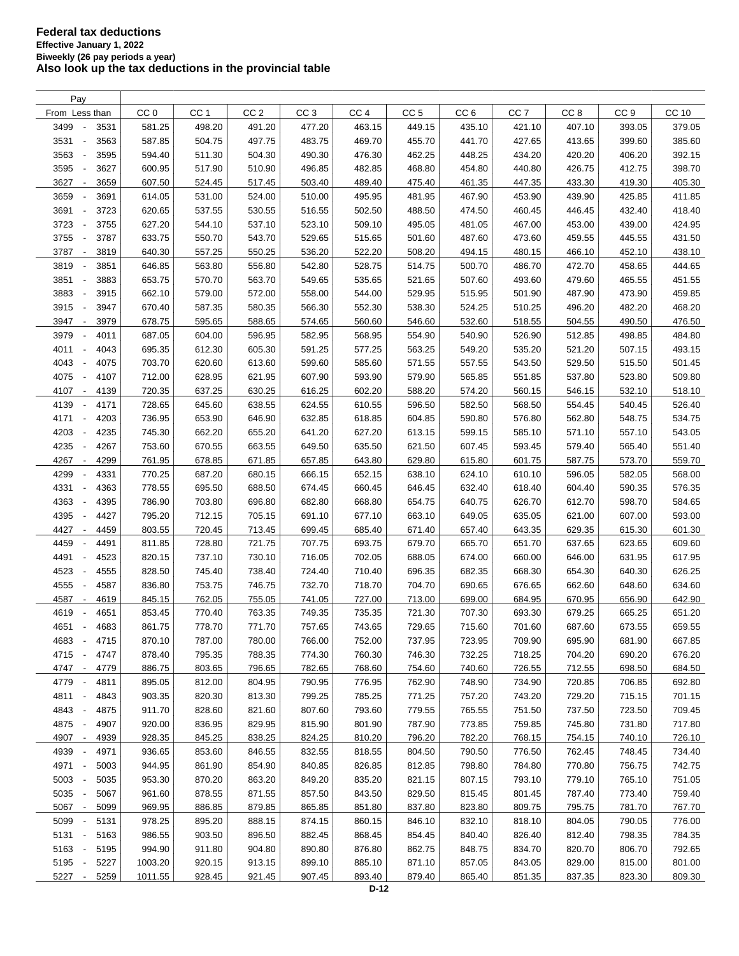| Pay                                      |                 |                 |                 |                 |                 |                 |                 |                 |                 |                 |              |
|------------------------------------------|-----------------|-----------------|-----------------|-----------------|-----------------|-----------------|-----------------|-----------------|-----------------|-----------------|--------------|
| From Less than                           | CC <sub>0</sub> | CC <sub>1</sub> | CC <sub>2</sub> | CC <sub>3</sub> | CC <sub>4</sub> | CC <sub>5</sub> | CC <sub>6</sub> | CC <sub>7</sub> | CC <sub>8</sub> | CC <sub>9</sub> | <b>CC 10</b> |
| 3499<br>3531<br>$\overline{\phantom{a}}$ | 581.25          | 498.20          | 491.20          | 477.20          | 463.15          | 449.15          | 435.10          | 421.10          | 407.10          | 393.05          | 379.05       |
| 3531<br>3563<br>$\overline{\phantom{a}}$ | 587.85          | 504.75          | 497.75          | 483.75          | 469.70          | 455.70          | 441.70          | 427.65          | 413.65          | 399.60          | 385.60       |
| 3563<br>3595                             | 594.40          | 511.30          | 504.30          | 490.30          | 476.30          | 462.25          | 448.25          | 434.20          | 420.20          | 406.20          | 392.15       |
| 3595<br>3627<br>÷,                       | 600.95          | 517.90          | 510.90          | 496.85          | 482.85          | 468.80          | 454.80          | 440.80          | 426.75          | 412.75          | 398.70       |
| 3627<br>3659<br>$\overline{\phantom{a}}$ | 607.50          | 524.45          | 517.45          | 503.40          | 489.40          | 475.40          | 461.35          | 447.35          | 433.30          | 419.30          | 405.30       |
| 3659<br>3691<br>$\overline{\phantom{a}}$ | 614.05          | 531.00          | 524.00          | 510.00          | 495.95          | 481.95          | 467.90          | 453.90          | 439.90          | 425.85          | 411.85       |
| 3691<br>3723<br>$\overline{\phantom{a}}$ | 620.65          | 537.55          | 530.55          | 516.55          | 502.50          | 488.50          | 474.50          | 460.45          | 446.45          | 432.40          | 418.40       |
| 3723<br>3755<br>$\overline{\phantom{a}}$ | 627.20          | 544.10          | 537.10          | 523.10          | 509.10          | 495.05          | 481.05          | 467.00          | 453.00          | 439.00          | 424.95       |
| 3755<br>3787<br>$\overline{\phantom{a}}$ | 633.75          | 550.70          | 543.70          | 529.65          | 515.65          | 501.60          | 487.60          | 473.60          | 459.55          | 445.55          | 431.50       |
| 3787<br>3819<br>$\overline{\phantom{a}}$ | 640.30          | 557.25          | 550.25          | 536.20          | 522.20          | 508.20          | 494.15          | 480.15          | 466.10          | 452.10          | 438.10       |
| 3819<br>3851                             | 646.85          | 563.80          | 556.80          | 542.80          | 528.75          | 514.75          | 500.70          | 486.70          | 472.70          | 458.65          | 444.65       |
| 3851<br>3883<br>÷,                       | 653.75          | 570.70          | 563.70          | 549.65          | 535.65          | 521.65          | 507.60          | 493.60          | 479.60          | 465.55          | 451.55       |
| 3883<br>3915<br>÷,                       | 662.10          | 579.00          | 572.00          | 558.00          | 544.00          | 529.95          | 515.95          | 501.90          | 487.90          | 473.90          | 459.85       |
| 3915<br>3947<br>$\overline{\phantom{a}}$ | 670.40          | 587.35          | 580.35          | 566.30          | 552.30          | 538.30          | 524.25          | 510.25          | 496.20          | 482.20          | 468.20       |
| 3947<br>3979<br>$\overline{\phantom{a}}$ | 678.75          | 595.65          | 588.65          | 574.65          | 560.60          | 546.60          | 532.60          | 518.55          | 504.55          | 490.50          | 476.50       |
| 3979<br>4011<br>$\overline{\phantom{a}}$ | 687.05          | 604.00          | 596.95          | 582.95          | 568.95          | 554.90          | 540.90          | 526.90          | 512.85          | 498.85          | 484.80       |
| 4011<br>4043<br>$\overline{\phantom{a}}$ | 695.35          | 612.30          | 605.30          | 591.25          |                 |                 | 549.20          | 535.20          | 521.20          | 507.15          |              |
| 4043<br>4075<br>$\overline{\phantom{a}}$ | 703.70          | 620.60          |                 | 599.60          | 577.25          | 563.25          |                 | 543.50          |                 |                 | 493.15       |
|                                          |                 |                 | 613.60          |                 | 585.60          | 571.55          | 557.55          |                 | 529.50          | 515.50          | 501.45       |
| 4075<br>4107<br>$\overline{\phantom{a}}$ | 712.00          | 628.95          | 621.95          | 607.90          | 593.90          | 579.90          | 565.85          | 551.85          | 537.80          | 523.80          | 509.80       |
| 4107<br>4139<br>$\overline{\phantom{a}}$ | 720.35          | 637.25          | 630.25          | 616.25          | 602.20          | 588.20          | 574.20          | 560.15          | 546.15          | 532.10          | 518.10       |
| 4139<br>4171<br>$\overline{\phantom{a}}$ | 728.65          | 645.60          | 638.55          | 624.55          | 610.55          | 596.50          | 582.50          | 568.50          | 554.45          | 540.45          | 526.40       |
| 4171<br>4203<br>$\overline{\phantom{a}}$ | 736.95          | 653.90          | 646.90          | 632.85          | 618.85          | 604.85          | 590.80          | 576.80          | 562.80          | 548.75          | 534.75       |
| 4203<br>4235<br>$\overline{\phantom{a}}$ | 745.30          | 662.20          | 655.20          | 641.20          | 627.20          | 613.15          | 599.15          | 585.10          | 571.10          | 557.10          | 543.05       |
| 4235<br>4267                             | 753.60          | 670.55          | 663.55          | 649.50          | 635.50          | 621.50          | 607.45          | 593.45          | 579.40          | 565.40          | 551.40       |
| 4267<br>4299<br>$\overline{\phantom{a}}$ | 761.95          | 678.85          | 671.85          | 657.85          | 643.80          | 629.80          | 615.80          | 601.75          | 587.75          | 573.70          | 559.70       |
| 4299<br>4331<br>$\overline{\phantom{a}}$ | 770.25          | 687.20          | 680.15          | 666.15          | 652.15          | 638.10          | 624.10          | 610.10          | 596.05          | 582.05          | 568.00       |
| 4331<br>4363                             | 778.55          | 695.50          | 688.50          | 674.45          | 660.45          | 646.45          | 632.40          | 618.40          | 604.40          | 590.35          | 576.35       |
| 4363<br>4395                             | 786.90          | 703.80          | 696.80          | 682.80          | 668.80          | 654.75          | 640.75          | 626.70          | 612.70          | 598.70          | 584.65       |
| 4395<br>4427<br>$\overline{\phantom{a}}$ | 795.20          | 712.15          | 705.15          | 691.10          | 677.10          | 663.10          | 649.05          | 635.05          | 621.00          | 607.00          | 593.00       |
| 4427<br>4459<br>$\overline{\phantom{a}}$ | 803.55          | 720.45          | 713.45          | 699.45          | 685.40          | 671.40          | 657.40          | 643.35          | 629.35          | 615.30          | 601.30       |
| 4459<br>4491<br>$\overline{\phantom{a}}$ | 811.85          | 728.80          | 721.75          | 707.75          | 693.75          | 679.70          | 665.70          | 651.70          | 637.65          | 623.65          | 609.60       |
| 4491<br>4523<br>$\overline{\phantom{a}}$ | 820.15          | 737.10          | 730.10          | 716.05          | 702.05          | 688.05          | 674.00          | 660.00          | 646.00          | 631.95          | 617.95       |
| 4523<br>4555<br>$\overline{\phantom{a}}$ | 828.50          | 745.40          | 738.40          | 724.40          | 710.40          | 696.35          | 682.35          | 668.30          | 654.30          | 640.30          | 626.25       |
| 4555<br>4587<br>$\overline{\phantom{a}}$ | 836.80          | 753.75          | 746.75          | 732.70          | 718.70          | 704.70          | 690.65          | 676.65          | 662.60          | 648.60          | 634.60       |
| 4587<br>4619<br>$\overline{\phantom{a}}$ | 845.15          | 762.05          | 755.05          | 741.05          | 727.00          | 713.00          | 699.00          | 684.95          | 670.95          | 656.90          | 642.90       |
| 4619<br>4651                             | 853.45          | 770.40          | 763.35          | 749.35          | 735.35          | 721.30          | 707.30          | 693.30          | 679.25          | 665.25          | 651.20       |
| 4651<br>4683<br>$\overline{\phantom{a}}$ | 861.75          | 778.70          | 771.70          | 757.65          | 743.65          | 729.65          | 715.60          | 701.60          | 687.60          | 673.55          | 659.55       |
| 4683<br>$\overline{\phantom{a}}$<br>4715 | 870.10          | 787.00          | 780.00          | 766.00          | 752.00          | 737.95          | 723.95          | 709.90          | 695.90          | 681.90          | 667.85       |
| 4715<br>4747<br>$\overline{\phantom{a}}$ | 878.40          | 795.35          | 788.35          | 774.30          | 760.30          | 746.30          | 732.25          | 718.25          | 704.20          | 690.20          | 676.20       |
| 4747 -<br>4779                           | 886.75          | 803.65          | 796.65          | 782.65          | 768.60          | 754.60          | 740.60          | 726.55          | 712.55          | 698.50          | 684.50       |
| 4779<br>4811<br>$\overline{\phantom{a}}$ | 895.05          | 812.00          | 804.95          | 790.95          | 776.95          | 762.90          | 748.90          | 734.90          | 720.85          | 706.85          | 692.80       |
| 4811<br>4843<br>$\overline{\phantom{a}}$ | 903.35          | 820.30          | 813.30          | 799.25          | 785.25          | 771.25          | 757.20          | 743.20          | 729.20          | 715.15          | 701.15       |
| 4843<br>4875<br>$\overline{\phantom{a}}$ | 911.70          | 828.60          | 821.60          | 807.60          | 793.60          | 779.55          | 765.55          | 751.50          | 737.50          | 723.50          | 709.45       |
| 4875<br>4907<br>$\overline{\phantom{a}}$ | 920.00          | 836.95          | 829.95          | 815.90          | 801.90          | 787.90          | 773.85          | 759.85          | 745.80          | 731.80          | 717.80       |
| 4907<br>4939<br>$\overline{\phantom{a}}$ | 928.35          | 845.25          | 838.25          | 824.25          | 810.20          | 796.20          | 782.20          | 768.15          | 754.15          | 740.10          | 726.10       |
| 4939<br>4971<br>$\overline{\phantom{a}}$ | 936.65          | 853.60          | 846.55          | 832.55          | 818.55          | 804.50          | 790.50          | 776.50          | 762.45          | 748.45          | 734.40       |
| 4971<br>5003<br>$\overline{\phantom{a}}$ | 944.95          | 861.90          | 854.90          | 840.85          | 826.85          | 812.85          | 798.80          | 784.80          | 770.80          | 756.75          | 742.75       |
| 5003<br>5035<br>$\overline{\phantom{a}}$ | 953.30          | 870.20          | 863.20          | 849.20          | 835.20          | 821.15          | 807.15          | 793.10          | 779.10          | 765.10          | 751.05       |
| 5035<br>5067<br>$\overline{\phantom{a}}$ | 961.60          | 878.55          | 871.55          | 857.50          | 843.50          | 829.50          | 815.45          | 801.45          | 787.40          | 773.40          | 759.40       |
| 5067 -<br>5099                           | 969.95          | 886.85          | 879.85          | 865.85          | 851.80          | 837.80          | 823.80          | 809.75          | 795.75          | 781.70          | 767.70       |
| 5099<br>5131<br>$\overline{\phantom{a}}$ | 978.25          | 895.20          | 888.15          | 874.15          | 860.15          | 846.10          | 832.10          | 818.10          | 804.05          | 790.05          | 776.00       |
| $5131 -$<br>5163                         | 986.55          | 903.50          | 896.50          | 882.45          | 868.45          | 854.45          | 840.40          | 826.40          | 812.40          | 798.35          | 784.35       |
| 5163 -<br>5195                           | 994.90          | 911.80          | 904.80          | 890.80          | 876.80          | 862.75          | 848.75          | 834.70          | 820.70          | 806.70          | 792.65       |
| 5195 -<br>5227                           | 1003.20         | 920.15          | 913.15          | 899.10          | 885.10          | 871.10          | 857.05          | 843.05          | 829.00          | 815.00          | 801.00       |
| 5227 -<br>5259                           | 1011.55         | 928.45          | 921.45          | 907.45          | 893.40          | 879.40          | 865.40          | 851.35          | 837.35          | 823.30          | 809.30       |
|                                          |                 |                 |                 |                 |                 |                 |                 |                 |                 |                 |              |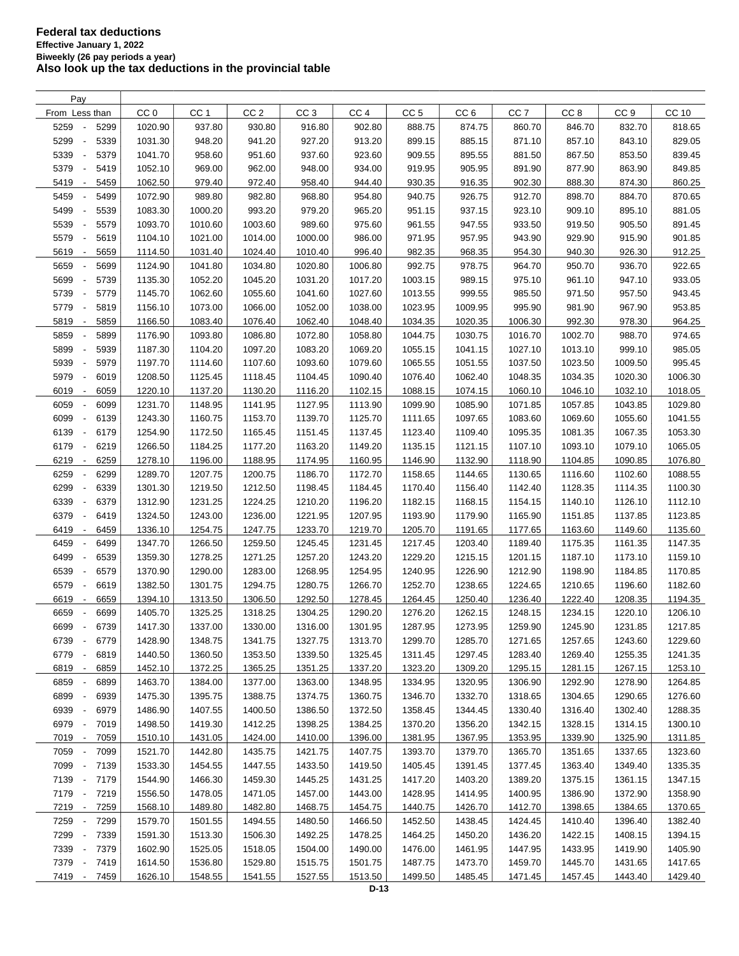| Pay                                      |                    |                 |                 |                 |                 |                 |                 |                    |                 |                 |         |
|------------------------------------------|--------------------|-----------------|-----------------|-----------------|-----------------|-----------------|-----------------|--------------------|-----------------|-----------------|---------|
| From Less than                           | CC <sub>0</sub>    | CC <sub>1</sub> | CC <sub>2</sub> | CC <sub>3</sub> | CC <sub>4</sub> | CC <sub>5</sub> | CC <sub>6</sub> | CC <sub>7</sub>    | CC <sub>8</sub> | CC <sub>9</sub> | CC 10   |
| 5259<br>5299<br>$\overline{\phantom{a}}$ | 1020.90            | 937.80          | 930.80          | 916.80          | 902.80          | 888.75          | 874.75          | 860.70             | 846.70          | 832.70          | 818.65  |
| 5299<br>5339<br>$\overline{\phantom{a}}$ | 1031.30            | 948.20          | 941.20          | 927.20          | 913.20          | 899.15          | 885.15          | 871.10             | 857.10          | 843.10          | 829.05  |
| 5339<br>5379<br>$\overline{\phantom{a}}$ | 1041.70            | 958.60          | 951.60          | 937.60          | 923.60          | 909.55          | 895.55          | 881.50             | 867.50          | 853.50          | 839.45  |
| 5379<br>5419<br>$\overline{\phantom{a}}$ | 1052.10            | 969.00          | 962.00          | 948.00          | 934.00          | 919.95          | 905.95          | 891.90             | 877.90          | 863.90          | 849.85  |
| 5419<br>5459<br>$\overline{\phantom{a}}$ | 1062.50            | 979.40          | 972.40          | 958.40          | 944.40          | 930.35          | 916.35          | 902.30             | 888.30          | 874.30          | 860.25  |
| 5459<br>5499<br>$\overline{\phantom{a}}$ | 1072.90            | 989.80          | 982.80          | 968.80          | 954.80          | 940.75          | 926.75          | 912.70             | 898.70          | 884.70          | 870.65  |
| 5499<br>5539<br>$\overline{\phantom{a}}$ | 1083.30            | 1000.20         | 993.20          | 979.20          | 965.20          | 951.15          | 937.15          | 923.10             | 909.10          | 895.10          | 881.05  |
| 5539<br>5579<br>$\overline{\phantom{a}}$ | 1093.70            | 1010.60         | 1003.60         | 989.60          | 975.60          | 961.55          | 947.55          | 933.50             | 919.50          | 905.50          | 891.45  |
| 5579<br>5619<br>$\overline{\phantom{a}}$ | 1104.10            | 1021.00         | 1014.00         | 1000.00         | 986.00          | 971.95          | 957.95          | 943.90             | 929.90          | 915.90          | 901.85  |
| 5619<br>5659<br>$\overline{\phantom{a}}$ | 1114.50            | 1031.40         | 1024.40         | 1010.40         | 996.40          | 982.35          | 968.35          | 954.30             | 940.30          | 926.30          | 912.25  |
| 5659<br>5699                             | 1124.90            | 1041.80         | 1034.80         | 1020.80         | 1006.80         | 992.75          | 978.75          | 964.70             | 950.70          | 936.70          | 922.65  |
| 5699<br>5739<br>$\overline{\phantom{a}}$ | 1135.30            | 1052.20         | 1045.20         | 1031.20         | 1017.20         | 1003.15         | 989.15          | 975.10             | 961.10          | 947.10          | 933.05  |
| 5739<br>5779<br>$\overline{\phantom{a}}$ | 1145.70            | 1062.60         | 1055.60         | 1041.60         | 1027.60         | 1013.55         | 999.55          | 985.50             | 971.50          | 957.50          | 943.45  |
| 5779<br>5819<br>$\overline{\phantom{a}}$ | 1156.10            | 1073.00         | 1066.00         | 1052.00         | 1038.00         | 1023.95         | 1009.95         | 995.90             | 981.90          | 967.90          | 953.85  |
| 5819<br>5859<br>$\overline{\phantom{a}}$ | 1166.50            | 1083.40         | 1076.40         | 1062.40         | 1048.40         | 1034.35         | 1020.35         | 1006.30            | 992.30          | 978.30          | 964.25  |
| 5859<br>5899                             | 1176.90            | 1093.80         | 1086.80         | 1072.80         | 1058.80         | 1044.75         | 1030.75         | 1016.70            | 1002.70         | 988.70          | 974.65  |
| 5939<br>$\overline{\phantom{a}}$         |                    | 1104.20         | 1097.20         | 1083.20         | 1069.20         | 1055.15         | 1041.15         |                    | 1013.10         | 999.10          |         |
| 5899<br>5939<br>5979<br>$\blacksquare$   | 1187.30<br>1197.70 | 1114.60         | 1107.60         | 1093.60         | 1079.60         | 1065.55         | 1051.55         | 1027.10<br>1037.50 | 1023.50         | 1009.50         | 985.05  |
|                                          |                    |                 |                 |                 |                 |                 |                 |                    |                 |                 | 995.45  |
| 5979<br>6019<br>$\overline{\phantom{a}}$ | 1208.50            | 1125.45         | 1118.45         | 1104.45         | 1090.40         | 1076.40         | 1062.40         | 1048.35            | 1034.35         | 1020.30         | 1006.30 |
| 6019<br>6059<br>$\overline{\phantom{a}}$ | 1220.10            | 1137.20         | 1130.20         | 1116.20         | 1102.15         | 1088.15         | 1074.15         | 1060.10            | 1046.10         | 1032.10         | 1018.05 |
| 6059<br>6099<br>$\overline{\phantom{a}}$ | 1231.70            | 1148.95         | 1141.95         | 1127.95         | 1113.90         | 1099.90         | 1085.90         | 1071.85            | 1057.85         | 1043.85         | 1029.80 |
| 6099<br>6139<br>$\overline{\phantom{a}}$ | 1243.30            | 1160.75         | 1153.70         | 1139.70         | 1125.70         | 1111.65         | 1097.65         | 1083.60            | 1069.60         | 1055.60         | 1041.55 |
| 6139<br>6179<br>$\overline{\phantom{a}}$ | 1254.90            | 1172.50         | 1165.45         | 1151.45         | 1137.45         | 1123.40         | 1109.40         | 1095.35            | 1081.35         | 1067.35         | 1053.30 |
| 6179<br>6219<br>$\overline{\phantom{a}}$ | 1266.50            | 1184.25         | 1177.20         | 1163.20         | 1149.20         | 1135.15         | 1121.15         | 1107.10            | 1093.10         | 1079.10         | 1065.05 |
| 6219<br>6259<br>$\overline{\phantom{a}}$ | 1278.10            | 1196.00         | 1188.95         | 1174.95         | 1160.95         | 1146.90         | 1132.90         | 1118.90            | 1104.85         | 1090.85         | 1076.80 |
| 6259<br>6299                             | 1289.70            | 1207.75         | 1200.75         | 1186.70         | 1172.70         | 1158.65         | 1144.65         | 1130.65            | 1116.60         | 1102.60         | 1088.55 |
| 6299<br>6339                             | 1301.30            | 1219.50         | 1212.50         | 1198.45         | 1184.45         | 1170.40         | 1156.40         | 1142.40            | 1128.35         | 1114.35         | 1100.30 |
| 6339<br>6379<br>$\overline{\phantom{a}}$ | 1312.90            | 1231.25         | 1224.25         | 1210.20         | 1196.20         | 1182.15         | 1168.15         | 1154.15            | 1140.10         | 1126.10         | 1112.10 |
| 6379<br>6419<br>$\overline{\phantom{a}}$ | 1324.50            | 1243.00         | 1236.00         | 1221.95         | 1207.95         | 1193.90         | 1179.90         | 1165.90            | 1151.85         | 1137.85         | 1123.85 |
| 6419<br>6459<br>$\overline{\phantom{a}}$ | 1336.10            | 1254.75         | 1247.75         | 1233.70         | 1219.70         | 1205.70         | 1191.65         | 1177.65            | 1163.60         | 1149.60         | 1135.60 |
| 6459<br>6499<br>$\overline{\phantom{a}}$ | 1347.70            | 1266.50         | 1259.50         | 1245.45         | 1231.45         | 1217.45         | 1203.40         | 1189.40            | 1175.35         | 1161.35         | 1147.35 |
| 6499<br>6539<br>$\blacksquare$           | 1359.30            | 1278.25         | 1271.25         | 1257.20         | 1243.20         | 1229.20         | 1215.15         | 1201.15            | 1187.10         | 1173.10         | 1159.10 |
| 6539<br>6579<br>$\overline{\phantom{a}}$ | 1370.90            | 1290.00         | 1283.00         | 1268.95         | 1254.95         | 1240.95         | 1226.90         | 1212.90            | 1198.90         | 1184.85         | 1170.85 |
| 6579<br>6619<br>$\overline{\phantom{a}}$ | 1382.50            | 1301.75         | 1294.75         | 1280.75         | 1266.70         | 1252.70         | 1238.65         | 1224.65            | 1210.65         | 1196.60         | 1182.60 |
| 6619<br>6659<br>$\overline{\phantom{a}}$ | 1394.10            | 1313.50         | 1306.50         | 1292.50         | 1278.45         | 1264.45         | 1250.40         | 1236.40            | 1222.40         | 1208.35         | 1194.35 |
| 6659<br>6699                             | 1405.70            | 1325.25         | 1318.25         | 1304.25         | 1290.20         | 1276.20         | 1262.15         | 1248.15            | 1234.15         | 1220.10         | 1206.10 |
| 6699<br>6739<br>$\overline{\phantom{a}}$ | 1417.30            | 1337.00         | 1330.00         | 1316.00         | 1301.95         | 1287.95         | 1273.95         | 1259.90            | 1245.90         | 1231.85         | 1217.85 |
| 6739<br>$\overline{\phantom{a}}$<br>6779 | 1428.90            | 1348.75         | 1341.75         | 1327.75         | 1313.70         | 1299.70         | 1285.70         | 1271.65            | 1257.65         | 1243.60         | 1229.60 |
| 6779<br>6819<br>$\overline{\phantom{a}}$ | 1440.50            | 1360.50         | 1353.50         | 1339.50         | 1325.45         | 1311.45         | 1297.45         | 1283.40            | 1269.40         | 1255.35         | 1241.35 |
| 6819<br>6859<br>$\overline{\phantom{a}}$ | 1452.10            | 1372.25         | 1365.25         | 1351.25         | 1337.20         | 1323.20         | 1309.20         | 1295.15            | 1281.15         | 1267.15         | 1253.10 |
| 6859<br>6899                             | 1463.70            | 1384.00         | 1377.00         | 1363.00         | 1348.95         | 1334.95         | 1320.95         | 1306.90            | 1292.90         | 1278.90         | 1264.85 |
| 6899<br>6939<br>$\overline{\phantom{a}}$ | 1475.30            | 1395.75         | 1388.75         | 1374.75         | 1360.75         | 1346.70         | 1332.70         | 1318.65            | 1304.65         | 1290.65         | 1276.60 |
| 6939<br>6979<br>$\overline{\phantom{a}}$ | 1486.90            | 1407.55         | 1400.50         | 1386.50         | 1372.50         | 1358.45         | 1344.45         | 1330.40            | 1316.40         | 1302.40         | 1288.35 |
| 6979<br>$\overline{\phantom{a}}$<br>7019 | 1498.50            | 1419.30         | 1412.25         | 1398.25         | 1384.25         | 1370.20         | 1356.20         | 1342.15            | 1328.15         | 1314.15         | 1300.10 |
| 7019 -<br>7059                           | 1510.10            | 1431.05         | 1424.00         | 1410.00         | 1396.00         | 1381.95         | 1367.95         | 1353.95            | 1339.90         | 1325.90         | 1311.85 |
| 7059<br>7099<br>$\overline{\phantom{a}}$ | 1521.70            | 1442.80         | 1435.75         | 1421.75         | 1407.75         | 1393.70         | 1379.70         | 1365.70            | 1351.65         | 1337.65         | 1323.60 |
| 7099<br>7139<br>$\overline{\phantom{a}}$ | 1533.30            | 1454.55         | 1447.55         | 1433.50         | 1419.50         | 1405.45         | 1391.45         | 1377.45            | 1363.40         | 1349.40         | 1335.35 |
| 7139 -<br>7179                           | 1544.90            | 1466.30         | 1459.30         | 1445.25         | 1431.25         | 1417.20         | 1403.20         | 1389.20            | 1375.15         | 1361.15         | 1347.15 |
| 7179 -<br>7219                           | 1556.50            | 1478.05         | 1471.05         | 1457.00         | 1443.00         | 1428.95         | 1414.95         | 1400.95            | 1386.90         | 1372.90         | 1358.90 |
| 7219 -<br>7259                           | 1568.10            | 1489.80         | 1482.80         | 1468.75         | 1454.75         | 1440.75         | 1426.70         | 1412.70            | 1398.65         | 1384.65         | 1370.65 |
| 7259<br>7299                             | 1579.70            | 1501.55         | 1494.55         | 1480.50         | 1466.50         | 1452.50         | 1438.45         | 1424.45            | 1410.40         | 1396.40         | 1382.40 |
| 7299<br>7339<br>$\overline{\phantom{a}}$ | 1591.30            | 1513.30         | 1506.30         | 1492.25         | 1478.25         | 1464.25         | 1450.20         | 1436.20            | 1422.15         | 1408.15         | 1394.15 |
| 7339<br>7379<br>$\overline{\phantom{a}}$ | 1602.90            | 1525.05         | 1518.05         | 1504.00         | 1490.00         | 1476.00         | 1461.95         | 1447.95            | 1433.95         | 1419.90         | 1405.90 |
| 7379<br>7419<br>$\overline{\phantom{a}}$ | 1614.50            | 1536.80         | 1529.80         | 1515.75         | 1501.75         | 1487.75         | 1473.70         | 1459.70            | 1445.70         | 1431.65         | 1417.65 |
| 7419 -<br>7459                           | 1626.10            | 1548.55         | 1541.55         | 1527.55         | 1513.50         | 1499.50         | 1485.45         | 1471.45            | 1457.45         | 1443.40         | 1429.40 |
|                                          |                    |                 |                 |                 |                 |                 |                 |                    |                 |                 |         |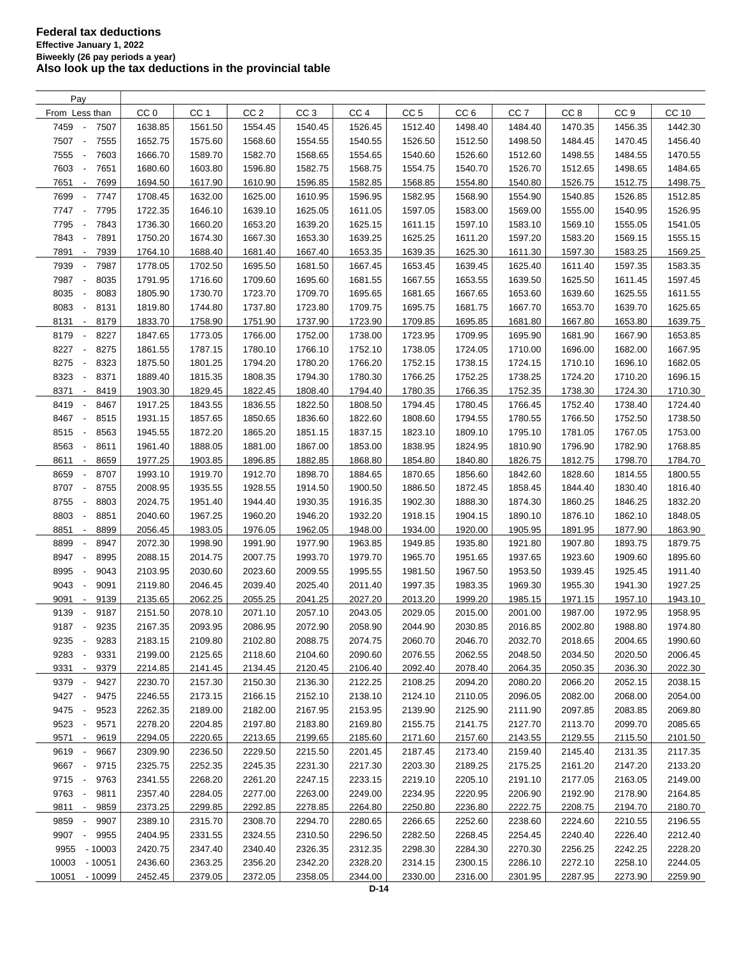| Pay                                                          |                 |                 |                 |                 |                 |                 |                 |                    |                 |                 |         |
|--------------------------------------------------------------|-----------------|-----------------|-----------------|-----------------|-----------------|-----------------|-----------------|--------------------|-----------------|-----------------|---------|
| From Less than                                               | CC <sub>0</sub> | CC <sub>1</sub> | CC <sub>2</sub> | CC <sub>3</sub> | CC <sub>4</sub> | CC <sub>5</sub> | CC <sub>6</sub> | CC <sub>7</sub>    | CC <sub>8</sub> | CC <sub>9</sub> | CC 10   |
| 7459<br>7507<br>$\overline{\phantom{a}}$                     | 1638.85         | 1561.50         | 1554.45         | 1540.45         | 1526.45         | 1512.40         | 1498.40         | 1484.40            | 1470.35         | 1456.35         | 1442.30 |
| 7507<br>7555<br>$\overline{\phantom{a}}$                     | 1652.75         | 1575.60         | 1568.60         | 1554.55         | 1540.55         | 1526.50         | 1512.50         | 1498.50            | 1484.45         | 1470.45         | 1456.40 |
| 7555<br>7603<br>$\overline{\phantom{a}}$                     | 1666.70         | 1589.70         | 1582.70         | 1568.65         | 1554.65         | 1540.60         | 1526.60         | 1512.60            | 1498.55         | 1484.55         | 1470.55 |
| 7651<br>7603<br>$\overline{\phantom{a}}$                     | 1680.60         | 1603.80         | 1596.80         | 1582.75         | 1568.75         | 1554.75         | 1540.70         | 1526.70            | 1512.65         | 1498.65         | 1484.65 |
| 7651<br>7699<br>$\overline{\phantom{a}}$                     | 1694.50         | 1617.90         | 1610.90         | 1596.85         | 1582.85         | 1568.85         | 1554.80         | 1540.80            | 1526.75         | 1512.75         | 1498.75 |
| 7699<br>7747<br>$\overline{\phantom{a}}$                     | 1708.45         | 1632.00         | 1625.00         | 1610.95         | 1596.95         | 1582.95         | 1568.90         | 1554.90            | 1540.85         | 1526.85         | 1512.85 |
| 7747<br>$\overline{\phantom{a}}$<br>7795                     | 1722.35         | 1646.10         | 1639.10         | 1625.05         | 1611.05         | 1597.05         | 1583.00         | 1569.00            | 1555.00         | 1540.95         | 1526.95 |
| 7795<br>7843<br>$\overline{\phantom{a}}$                     | 1736.30         | 1660.20         | 1653.20         | 1639.20         | 1625.15         | 1611.15         | 1597.10         | 1583.10            | 1569.10         | 1555.05         | 1541.05 |
| 7843<br>7891<br>$\overline{\phantom{a}}$                     | 1750.20         | 1674.30         | 1667.30         | 1653.30         | 1639.25         | 1625.25         | 1611.20         | 1597.20            | 1583.20         | 1569.15         | 1555.15 |
| 7891<br>7939<br>$\overline{\phantom{a}}$                     | 1764.10         | 1688.40         | 1681.40         | 1667.40         | 1653.35         | 1639.35         | 1625.30         | 1611.30            | 1597.30         | 1583.25         | 1569.25 |
| 7939<br>7987                                                 | 1778.05         | 1702.50         | 1695.50         | 1681.50         | 1667.45         | 1653.45         |                 |                    |                 | 1597.35         | 1583.35 |
| $\overline{\phantom{a}}$<br>7987<br>$\overline{\phantom{a}}$ | 1791.95         | 1716.60         | 1709.60         | 1695.60         |                 | 1667.55         | 1639.45         | 1625.40<br>1639.50 | 1611.40         |                 |         |
| 8035                                                         |                 |                 |                 |                 | 1681.55         |                 | 1653.55         |                    | 1625.50         | 1611.45         | 1597.45 |
| 8035<br>8083<br>$\overline{\phantom{a}}$                     | 1805.90         | 1730.70         | 1723.70         | 1709.70         | 1695.65         | 1681.65         | 1667.65         | 1653.60            | 1639.60         | 1625.55         | 1611.55 |
| 8083<br>8131<br>$\overline{\phantom{a}}$                     | 1819.80         | 1744.80         | 1737.80         | 1723.80         | 1709.75         | 1695.75         | 1681.75         | 1667.70            | 1653.70         | 1639.70         | 1625.65 |
| 8131<br>8179<br>$\sim$                                       | 1833.70         | 1758.90         | 1751.90         | 1737.90         | 1723.90         | 1709.85         | 1695.85         | 1681.80            | 1667.80         | 1653.80         | 1639.75 |
| 8179<br>8227<br>$\overline{\phantom{a}}$                     | 1847.65         | 1773.05         | 1766.00         | 1752.00         | 1738.00         | 1723.95         | 1709.95         | 1695.90            | 1681.90         | 1667.90         | 1653.85 |
| 8227<br>8275<br>$\overline{\phantom{a}}$                     | 1861.55         | 1787.15         | 1780.10         | 1766.10         | 1752.10         | 1738.05         | 1724.05         | 1710.00            | 1696.00         | 1682.00         | 1667.95 |
| 8275<br>8323<br>$\overline{\phantom{a}}$                     | 1875.50         | 1801.25         | 1794.20         | 1780.20         | 1766.20         | 1752.15         | 1738.15         | 1724.15            | 1710.10         | 1696.10         | 1682.05 |
| 8323<br>8371<br>$\overline{\phantom{a}}$                     | 1889.40         | 1815.35         | 1808.35         | 1794.30         | 1780.30         | 1766.25         | 1752.25         | 1738.25            | 1724.20         | 1710.20         | 1696.15 |
| 8371<br>8419<br>$\overline{\phantom{a}}$                     | 1903.30         | 1829.45         | 1822.45         | 1808.40         | 1794.40         | 1780.35         | 1766.35         | 1752.35            | 1738.30         | 1724.30         | 1710.30 |
| 8419<br>8467<br>$\overline{\phantom{a}}$                     | 1917.25         | 1843.55         | 1836.55         | 1822.50         | 1808.50         | 1794.45         | 1780.45         | 1766.45            | 1752.40         | 1738.40         | 1724.40 |
| 8467<br>8515<br>$\overline{\phantom{a}}$                     | 1931.15         | 1857.65         | 1850.65         | 1836.60         | 1822.60         | 1808.60         | 1794.55         | 1780.55            | 1766.50         | 1752.50         | 1738.50 |
| 8515<br>8563<br>$\overline{\phantom{a}}$                     | 1945.55         | 1872.20         | 1865.20         | 1851.15         | 1837.15         | 1823.10         | 1809.10         | 1795.10            | 1781.05         | 1767.05         | 1753.00 |
| 8563<br>8611<br>$\overline{\phantom{a}}$                     | 1961.40         | 1888.05         | 1881.00         | 1867.00         | 1853.00         | 1838.95         | 1824.95         | 1810.90            | 1796.90         | 1782.90         | 1768.85 |
| 8611<br>8659<br>$\overline{\phantom{a}}$                     | 1977.25         | 1903.85         | 1896.85         | 1882.85         | 1868.80         | 1854.80         | 1840.80         | 1826.75            | 1812.75         | 1798.70         | 1784.70 |
| 8659<br>8707<br>÷,                                           | 1993.10         | 1919.70         | 1912.70         | 1898.70         | 1884.65         | 1870.65         | 1856.60         | 1842.60            | 1828.60         | 1814.55         | 1800.55 |
| 8707<br>8755<br>$\overline{\phantom{a}}$                     | 2008.95         | 1935.55         | 1928.55         | 1914.50         | 1900.50         | 1886.50         | 1872.45         | 1858.45            | 1844.40         | 1830.40         | 1816.40 |
| 8755<br>8803<br>$\overline{\phantom{a}}$                     | 2024.75         | 1951.40         | 1944.40         | 1930.35         | 1916.35         | 1902.30         | 1888.30         | 1874.30            | 1860.25         | 1846.25         | 1832.20 |
| 8803<br>8851<br>$\overline{\phantom{a}}$                     | 2040.60         | 1967.25         | 1960.20         | 1946.20         | 1932.20         | 1918.15         | 1904.15         | 1890.10            | 1876.10         | 1862.10         | 1848.05 |
| 8851<br>8899<br>$\overline{\phantom{a}}$                     | 2056.45         | 1983.05         | 1976.05         | 1962.05         | 1948.00         | 1934.00         | 1920.00         | 1905.95            | 1891.95         | 1877.90         | 1863.90 |
| 8899<br>8947<br>$\overline{\phantom{a}}$                     | 2072.30         | 1998.90         | 1991.90         | 1977.90         | 1963.85         | 1949.85         | 1935.80         | 1921.80            | 1907.80         | 1893.75         | 1879.75 |
| 8947<br>8995<br>$\overline{\phantom{a}}$                     | 2088.15         | 2014.75         | 2007.75         | 1993.70         | 1979.70         | 1965.70         | 1951.65         | 1937.65            | 1923.60         | 1909.60         | 1895.60 |
| 8995<br>9043<br>$\overline{\phantom{a}}$                     | 2103.95         | 2030.60         | 2023.60         | 2009.55         | 1995.55         | 1981.50         | 1967.50         | 1953.50            | 1939.45         | 1925.45         | 1911.40 |
| 9043<br>9091<br>$\overline{\phantom{a}}$                     | 2119.80         | 2046.45         | 2039.40         | 2025.40         | 2011.40         | 1997.35         | 1983.35         | 1969.30            | 1955.30         | 1941.30         | 1927.25 |
| 9091<br>9139<br>$\overline{\phantom{a}}$                     | 2135.65         | 2062.25         | 2055.25         | 2041.25         | 2027.20         | 2013.20         | 1999.20         | 1985.15            | 1971.15         | 1957.10         | 1943.10 |
| 9139<br>9187                                                 | 2151.50         | 2078.10         | 2071.10         | 2057.10         | 2043.05         | 2029.05         | 2015.00         | 2001.00            | 1987.00         | 1972.95         | 1958.95 |
| 9187 -<br>9235                                               | 2167.35         | 2093.95         | 2086.95         | 2072.90         | 2058.90         | 2044.90         | 2030.85         | 2016.85            | 2002.80         | 1988.80         | 1974.80 |
| 9235<br>9283<br>$\overline{\phantom{a}}$                     | 2183.15         | 2109.80         | 2102.80         | 2088.75         | 2074.75         | 2060.70         | 2046.70         | 2032.70            | 2018.65         | 2004.65         | 1990.60 |
| 9283<br>9331                                                 | 2199.00         | 2125.65         | 2118.60         | 2104.60         | 2090.60         | 2076.55         | 2062.55         | 2048.50            | 2034.50         | 2020.50         | 2006.45 |
| 9331 -<br>9379                                               | 2214.85         | 2141.45         | 2134.45         | 2120.45         | 2106.40         | 2092.40         | 2078.40         | 2064.35            | 2050.35         | 2036.30         | 2022.30 |
| 9379<br>9427<br>$\overline{\phantom{a}}$                     | 2230.70         | 2157.30         | 2150.30         | 2136.30         | 2122.25         | 2108.25         | 2094.20         | 2080.20            | 2066.20         | 2052.15         | 2038.15 |
| 9427<br>$\overline{\phantom{a}}$<br>9475                     | 2246.55         | 2173.15         | 2166.15         | 2152.10         | 2138.10         | 2124.10         | 2110.05         | 2096.05            | 2082.00         | 2068.00         | 2054.00 |
| 9475<br>$\overline{\phantom{a}}$<br>9523                     | 2262.35         | 2189.00         | 2182.00         | 2167.95         | 2153.95         | 2139.90         | 2125.90         | 2111.90            | 2097.85         | 2083.85         | 2069.80 |
| 9523<br>9571<br>$\overline{\phantom{a}}$                     | 2278.20         | 2204.85         | 2197.80         | 2183.80         | 2169.80         | 2155.75         | 2141.75         | 2127.70            | 2113.70         | 2099.70         | 2085.65 |
| 9571<br>9619<br>$\sim$                                       | 2294.05         | 2220.65         | 2213.65         | 2199.65         | 2185.60         | 2171.60         | 2157.60         | 2143.55            | 2129.55         | 2115.50         | 2101.50 |
| 9619 -<br>9667                                               | 2309.90         | 2236.50         | 2229.50         | 2215.50         | 2201.45         | 2187.45         | 2173.40         | 2159.40            | 2145.40         | 2131.35         | 2117.35 |
| 9667<br>9715<br>$\overline{\phantom{a}}$                     | 2325.75         | 2252.35         | 2245.35         | 2231.30         | 2217.30         | 2203.30         | 2189.25         | 2175.25            | 2161.20         | 2147.20         | 2133.20 |
| 9715 -<br>9763                                               | 2341.55         | 2268.20         | 2261.20         | 2247.15         | 2233.15         | 2219.10         | 2205.10         | 2191.10            | 2177.05         | 2163.05         | 2149.00 |
| 9763 -<br>9811                                               | 2357.40         | 2284.05         | 2277.00         | 2263.00         | 2249.00         | 2234.95         | 2220.95         | 2206.90            | 2192.90         | 2178.90         | 2164.85 |
| 9811 -<br>9859                                               | 2373.25         | 2299.85         | 2292.85         | 2278.85         | 2264.80         | 2250.80         | 2236.80         | 2222.75            | 2208.75         | 2194.70         | 2180.70 |
| 9859<br>9907<br>$\overline{\phantom{a}}$                     | 2389.10         | 2315.70         | 2308.70         | 2294.70         | 2280.65         | 2266.65         | 2252.60         | 2238.60            | 2224.60         | 2210.55         | 2196.55 |
| 9907<br>9955<br>$\overline{\phantom{a}}$                     | 2404.95         | 2331.55         | 2324.55         | 2310.50         | 2296.50         | 2282.50         | 2268.45         | 2254.45            | 2240.40         | 2226.40         | 2212.40 |
| 9955<br>$-10003$                                             | 2420.75         | 2347.40         | 2340.40         | 2326.35         | 2312.35         | 2298.30         | 2284.30         | 2270.30            | 2256.25         | 2242.25         | 2228.20 |
| 10003<br>$-10051$                                            | 2436.60         | 2363.25         | 2356.20         | 2342.20         | 2328.20         | 2314.15         | 2300.15         | 2286.10            | 2272.10         | 2258.10         | 2244.05 |
| 10051 - 10099                                                | 2452.45         | 2379.05         | 2372.05         | 2358.05         | 2344.00         | 2330.00         | 2316.00         | 2301.95            | 2287.95         | 2273.90         | 2259.90 |
|                                                              |                 |                 |                 |                 |                 |                 |                 |                    |                 |                 |         |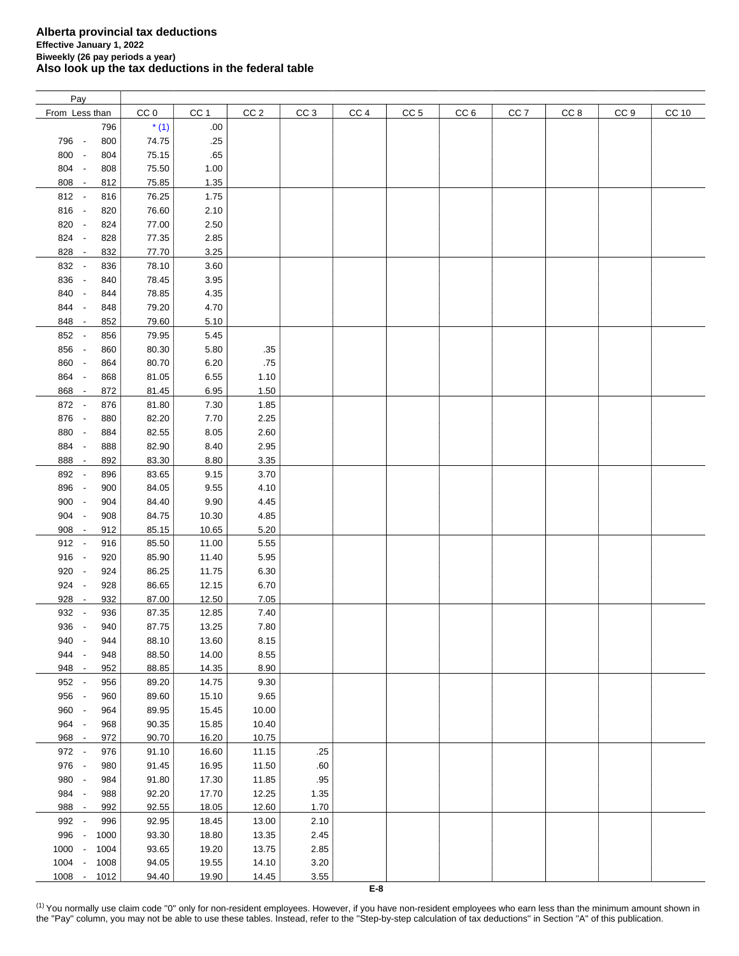| Pay            |      |                 |                 |                 |                 |                 |                 |                 |                 |      |                 |              |
|----------------|------|-----------------|-----------------|-----------------|-----------------|-----------------|-----------------|-----------------|-----------------|------|-----------------|--------------|
| From Less than |      | CC <sub>0</sub> | CC <sub>1</sub> | CC <sub>2</sub> | CC <sub>3</sub> | CC <sub>4</sub> | CC <sub>5</sub> | CC <sub>6</sub> | CC <sub>7</sub> | CC 8 | CC <sub>9</sub> | <b>CC 10</b> |
|                | 796  | $*(1)$          | .00             |                 |                 |                 |                 |                 |                 |      |                 |              |
| 796 -          | 800  | 74.75           | .25             |                 |                 |                 |                 |                 |                 |      |                 |              |
| 800 -          | 804  | 75.15           | .65             |                 |                 |                 |                 |                 |                 |      |                 |              |
| 804 -          |      |                 |                 |                 |                 |                 |                 |                 |                 |      |                 |              |
|                | 808  | 75.50           | 1.00            |                 |                 |                 |                 |                 |                 |      |                 |              |
| 808 -          | 812  | 75.85           | 1.35            |                 |                 |                 |                 |                 |                 |      |                 |              |
| 812 -          | 816  | 76.25           | 1.75            |                 |                 |                 |                 |                 |                 |      |                 |              |
| 816 -          | 820  | 76.60           | 2.10            |                 |                 |                 |                 |                 |                 |      |                 |              |
| 820 -          | 824  | 77.00           | 2.50            |                 |                 |                 |                 |                 |                 |      |                 |              |
| 824 -          | 828  | 77.35           | 2.85            |                 |                 |                 |                 |                 |                 |      |                 |              |
| 828 -          | 832  | 77.70           | 3.25            |                 |                 |                 |                 |                 |                 |      |                 |              |
| 832 -          | 836  | 78.10           | 3.60            |                 |                 |                 |                 |                 |                 |      |                 |              |
| 836 -          | 840  | 78.45           | 3.95            |                 |                 |                 |                 |                 |                 |      |                 |              |
| 840<br>$\sim$  | 844  | 78.85           | 4.35            |                 |                 |                 |                 |                 |                 |      |                 |              |
| 844<br>$\sim$  | 848  | 79.20           | 4.70            |                 |                 |                 |                 |                 |                 |      |                 |              |
| 848 -          | 852  | 79.60           | 5.10            |                 |                 |                 |                 |                 |                 |      |                 |              |
| 852 -          | 856  | 79.95           | 5.45            |                 |                 |                 |                 |                 |                 |      |                 |              |
| 856 -          | 860  | 80.30           | 5.80            | .35             |                 |                 |                 |                 |                 |      |                 |              |
| 860 -          | 864  | 80.70           | 6.20            | .75             |                 |                 |                 |                 |                 |      |                 |              |
|                |      |                 |                 |                 |                 |                 |                 |                 |                 |      |                 |              |
| 864 -          | 868  | 81.05           | 6.55            | 1.10            |                 |                 |                 |                 |                 |      |                 |              |
| 868 -          | 872  | 81.45           | 6.95            | 1.50            |                 |                 |                 |                 |                 |      |                 |              |
| 872 -          | 876  | 81.80           | 7.30            | 1.85            |                 |                 |                 |                 |                 |      |                 |              |
| 876 -          | 880  | 82.20           | 7.70            | 2.25            |                 |                 |                 |                 |                 |      |                 |              |
| 880 -          | 884  | 82.55           | 8.05            | 2.60            |                 |                 |                 |                 |                 |      |                 |              |
| 884 -          | 888  | 82.90           | 8.40            | 2.95            |                 |                 |                 |                 |                 |      |                 |              |
| 888 -          | 892  | 83.30           | 8.80            | 3.35            |                 |                 |                 |                 |                 |      |                 |              |
| 892 -          | 896  | 83.65           | 9.15            | 3.70            |                 |                 |                 |                 |                 |      |                 |              |
| 896 -          | 900  | 84.05           | 9.55            | 4.10            |                 |                 |                 |                 |                 |      |                 |              |
| 900<br>$\sim$  | 904  | 84.40           | 9.90            | 4.45            |                 |                 |                 |                 |                 |      |                 |              |
| 904 -          | 908  | 84.75           | 10.30           | 4.85            |                 |                 |                 |                 |                 |      |                 |              |
| 908 -          | 912  | 85.15           | 10.65           | 5.20            |                 |                 |                 |                 |                 |      |                 |              |
| $912 -$        | 916  | 85.50           | 11.00           | 5.55            |                 |                 |                 |                 |                 |      |                 |              |
| $916 -$        | 920  | 85.90           | 11.40           | 5.95            |                 |                 |                 |                 |                 |      |                 |              |
| 920 -          | 924  | 86.25           | 11.75           | 6.30            |                 |                 |                 |                 |                 |      |                 |              |
| 924 -          | 928  | 86.65           | 12.15           | 6.70            |                 |                 |                 |                 |                 |      |                 |              |
| 928 -          | 932  | 87.00           | 12.50           | 7.05            |                 |                 |                 |                 |                 |      |                 |              |
| 932 -          | 936  | 87.35           | 12.85           | 7.40            |                 |                 |                 |                 |                 |      |                 |              |
|                |      |                 |                 |                 |                 |                 |                 |                 |                 |      |                 |              |
| 936 -          | 940  | 87.75           | 13.25           | 7.80            |                 |                 |                 |                 |                 |      |                 |              |
| 940<br>$\sim$  | 944  | 88.10           | 13.60           | 8.15            |                 |                 |                 |                 |                 |      |                 |              |
| 944 -          | 948  | 88.50           | 14.00           | 8.55            |                 |                 |                 |                 |                 |      |                 |              |
| 948 -          | 952  | 88.85           | 14.35           | 8.90            |                 |                 |                 |                 |                 |      |                 |              |
| 952 -          | 956  | 89.20           | 14.75           | 9.30            |                 |                 |                 |                 |                 |      |                 |              |
| 956 -          | 960  | 89.60           | 15.10           | 9.65            |                 |                 |                 |                 |                 |      |                 |              |
| 960 -          | 964  | 89.95           | 15.45           | 10.00           |                 |                 |                 |                 |                 |      |                 |              |
| 964 -          | 968  | 90.35           | 15.85           | 10.40           |                 |                 |                 |                 |                 |      |                 |              |
| 968 -          | 972  | 90.70           | 16.20           | 10.75           |                 |                 |                 |                 |                 |      |                 |              |
| 972 -          | 976  | 91.10           | 16.60           | 11.15           | .25             |                 |                 |                 |                 |      |                 |              |
| 976 -          | 980  | 91.45           | 16.95           | 11.50           | .60             |                 |                 |                 |                 |      |                 |              |
| 980 -          | 984  | 91.80           | 17.30           | 11.85           | .95             |                 |                 |                 |                 |      |                 |              |
| 984 -          | 988  | 92.20           | 17.70           | 12.25           | 1.35            |                 |                 |                 |                 |      |                 |              |
| 988 -          | 992  | 92.55           | 18.05           | 12.60           | 1.70            |                 |                 |                 |                 |      |                 |              |
| 992 -          | 996  | 92.95           | 18.45           | 13.00           | 2.10            |                 |                 |                 |                 |      |                 |              |
| 996 -          | 1000 | 93.30           | 18.80           | 13.35           | 2.45            |                 |                 |                 |                 |      |                 |              |
| 1000 -         | 1004 | 93.65           | 19.20           | 13.75           | 2.85            |                 |                 |                 |                 |      |                 |              |
| 1004 -         | 1008 | 94.05           | 19.55           | 14.10           | 3.20            |                 |                 |                 |                 |      |                 |              |
|                |      |                 |                 |                 |                 |                 |                 |                 |                 |      |                 |              |
| $1008 -$       | 1012 | 94.40           | 19.90           | 14.45           | 3.55            |                 |                 |                 |                 |      |                 |              |

<span id="page-7-0"></span><sup>(1)</sup> You normally use claim code "0" only for non-resident employees. However, if you have non-resident employees who earn less than the minimum amount shown in the "Pay" column, you may not be able to use these tables. Instead, refer to the "Step-by-step calculation of tax deductions" in Section "A" of this publication.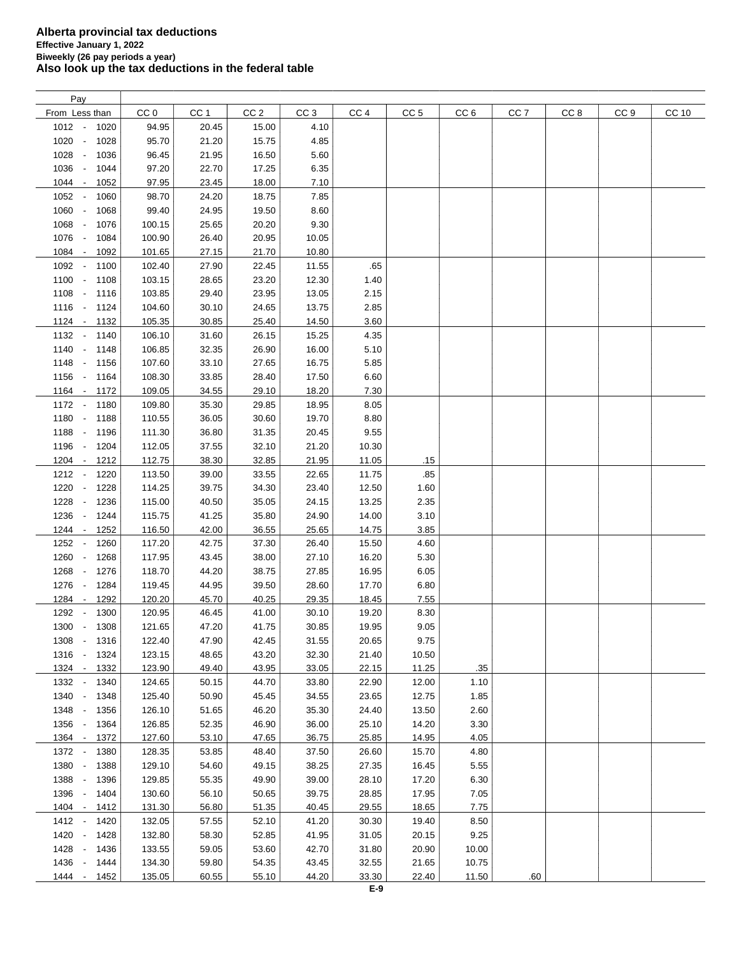| Pay                                      |        |       |                 |                 |                 |                 |                 |                 |      |      |       |
|------------------------------------------|--------|-------|-----------------|-----------------|-----------------|-----------------|-----------------|-----------------|------|------|-------|
| From Less than                           | CC 0   | CC 1  | CC <sub>2</sub> | CC <sub>3</sub> | CC <sub>4</sub> | CC <sub>5</sub> | CC <sub>6</sub> | CC <sub>7</sub> | CC 8 | CC 9 | CC 10 |
| $1012 -$<br>1020                         | 94.95  | 20.45 | 15.00           | 4.10            |                 |                 |                 |                 |      |      |       |
| 1020<br>1028<br>$\overline{\phantom{a}}$ | 95.70  | 21.20 | 15.75           | 4.85            |                 |                 |                 |                 |      |      |       |
| 1028<br>1036<br>$\sim$                   | 96.45  | 21.95 | 16.50           | 5.60            |                 |                 |                 |                 |      |      |       |
| 1036<br>1044<br>$\sim$                   | 97.20  | 22.70 | 17.25           | 6.35            |                 |                 |                 |                 |      |      |       |
|                                          |        |       |                 |                 |                 |                 |                 |                 |      |      |       |
| 1044 -<br>1052                           | 97.95  | 23.45 | 18.00           | 7.10            |                 |                 |                 |                 |      |      |       |
| 1052 -<br>1060                           | 98.70  | 24.20 | 18.75           | 7.85            |                 |                 |                 |                 |      |      |       |
| 1060 -<br>1068                           | 99.40  | 24.95 | 19.50           | 8.60            |                 |                 |                 |                 |      |      |       |
| 1068 -<br>1076                           | 100.15 | 25.65 | 20.20           | 9.30            |                 |                 |                 |                 |      |      |       |
| 1076 -<br>1084                           | 100.90 | 26.40 | 20.95           | 10.05           |                 |                 |                 |                 |      |      |       |
| 1084 -<br>1092                           | 101.65 | 27.15 | 21.70           | 10.80           |                 |                 |                 |                 |      |      |       |
| 1092 -<br>1100                           | 102.40 | 27.90 | 22.45           | 11.55           | .65             |                 |                 |                 |      |      |       |
| $1100 -$<br>1108                         | 103.15 | 28.65 | 23.20           | 12.30           | 1.40            |                 |                 |                 |      |      |       |
| 1108 -<br>1116                           | 103.85 | 29.40 | 23.95           | 13.05           | 2.15            |                 |                 |                 |      |      |       |
| $1116 -$<br>1124                         | 104.60 | 30.10 | 24.65           | 13.75           | 2.85            |                 |                 |                 |      |      |       |
| 1124 - 1132                              | 105.35 | 30.85 | 25.40           | 14.50           | 3.60            |                 |                 |                 |      |      |       |
| 1132 - 1140                              | 106.10 | 31.60 | 26.15           | 15.25           | 4.35            |                 |                 |                 |      |      |       |
| $1140 -$<br>1148                         | 106.85 | 32.35 | 26.90           | 16.00           | 5.10            |                 |                 |                 |      |      |       |
| 1148 - 1156                              | 107.60 | 33.10 | 27.65           | 16.75           | 5.85            |                 |                 |                 |      |      |       |
|                                          |        |       |                 |                 |                 |                 |                 |                 |      |      |       |
| 1156 - 1164                              | 108.30 | 33.85 | 28.40           | 17.50           | 6.60            |                 |                 |                 |      |      |       |
| 1164 - 1172                              | 109.05 | 34.55 | 29.10           | 18.20           | 7.30            |                 |                 |                 |      |      |       |
| 1172 - 1180                              | 109.80 | 35.30 | 29.85           | 18.95           | 8.05            |                 |                 |                 |      |      |       |
| 1180 -<br>1188                           | 110.55 | 36.05 | 30.60           | 19.70           | 8.80            |                 |                 |                 |      |      |       |
| 1188 -<br>1196                           | 111.30 | 36.80 | 31.35           | 20.45           | 9.55            |                 |                 |                 |      |      |       |
| 1196 -<br>1204                           | 112.05 | 37.55 | 32.10           | 21.20           | 10.30           |                 |                 |                 |      |      |       |
| 1204 -<br>1212                           | 112.75 | 38.30 | 32.85           | 21.95           | 11.05           | .15             |                 |                 |      |      |       |
| $1212 -$<br>1220                         | 113.50 | 39.00 | 33.55           | 22.65           | 11.75           | .85             |                 |                 |      |      |       |
| 1220<br>1228<br>$\overline{\phantom{a}}$ | 114.25 | 39.75 | 34.30           | 23.40           | 12.50           | 1.60            |                 |                 |      |      |       |
| 1228<br>1236                             | 115.00 | 40.50 | 35.05           | 24.15           | 13.25           | 2.35            |                 |                 |      |      |       |
| 1236<br>1244<br>$\overline{\phantom{a}}$ | 115.75 | 41.25 | 35.80           | 24.90           | 14.00           | 3.10            |                 |                 |      |      |       |
| 1244 -<br>1252                           | 116.50 | 42.00 | 36.55           | 25.65           | 14.75           | 3.85            |                 |                 |      |      |       |
| 1252 -<br>1260                           | 117.20 | 42.75 | 37.30           | 26.40           | 15.50           | 4.60            |                 |                 |      |      |       |
|                                          |        |       |                 |                 |                 | 5.30            |                 |                 |      |      |       |
| 1260<br>1268<br>$\overline{\phantom{a}}$ | 117.95 | 43.45 | 38.00           | 27.10           | 16.20           |                 |                 |                 |      |      |       |
| 1268 -<br>1276                           | 118.70 | 44.20 | 38.75           | 27.85           | 16.95           | 6.05            |                 |                 |      |      |       |
| 1276 -<br>1284                           | 119.45 | 44.95 | 39.50           | 28.60           | 17.70           | 6.80            |                 |                 |      |      |       |
| 1284<br>1292<br>$\sim$                   | 120.20 | 45.70 | 40.25           | 29.35           | 18.45           | 7.55            |                 |                 |      |      |       |
| 1292<br>1300                             | 120.95 | 46.45 | 41.00           | 30.10           | 19.20           | 8.30            |                 |                 |      |      |       |
| 1300 -<br>1308                           | 121.65 | 47.20 | 41.75           | 30.85           | 19.95           | 9.05            |                 |                 |      |      |       |
| 1308 -<br>1316                           | 122.40 | 47.90 | 42.45           | 31.55           | 20.65           | 9.75            |                 |                 |      |      |       |
| $1316 -$<br>1324                         | 123.15 | 48.65 | 43.20           | 32.30           | 21.40           | 10.50           |                 |                 |      |      |       |
| 1324 -<br>1332                           | 123.90 | 49.40 | 43.95           | 33.05           | 22.15           | 11.25           | .35             |                 |      |      |       |
| 1332 -<br>1340                           | 124.65 | 50.15 | 44.70           | 33.80           | 22.90           | 12.00           | 1.10            |                 |      |      |       |
| 1340 -<br>1348                           | 125.40 | 50.90 | 45.45           | 34.55           | 23.65           | 12.75           | 1.85            |                 |      |      |       |
| 1348 -<br>1356                           | 126.10 | 51.65 | 46.20           | 35.30           | 24.40           | 13.50           | 2.60            |                 |      |      |       |
| 1356 -<br>1364                           | 126.85 | 52.35 | 46.90           | 36.00           | 25.10           | 14.20           | 3.30            |                 |      |      |       |
| 1364 -<br>1372                           | 127.60 | 53.10 | 47.65           | 36.75           | 25.85           | 14.95           | 4.05            |                 |      |      |       |
| 1372 -<br>1380                           | 128.35 | 53.85 | 48.40           | 37.50           | 26.60           | 15.70           | 4.80            |                 |      |      |       |
| 1380 -<br>1388                           | 129.10 | 54.60 | 49.15           | 38.25           | 27.35           | 16.45           | 5.55            |                 |      |      |       |
| 1388 -<br>1396                           | 129.85 | 55.35 | 49.90           | 39.00           | 28.10           | 17.20           | 6.30            |                 |      |      |       |
| 1396 -                                   |        |       |                 | 39.75           | 28.85           | 17.95           |                 |                 |      |      |       |
| 1404                                     | 130.60 | 56.10 | 50.65           |                 |                 |                 | 7.05            |                 |      |      |       |
| 1404 -<br>1412                           | 131.30 | 56.80 | 51.35           | 40.45           | 29.55           | 18.65           | 7.75            |                 |      |      |       |
| $1412 -$<br>1420                         | 132.05 | 57.55 | 52.10           | 41.20           | 30.30           | 19.40           | 8.50            |                 |      |      |       |
| 1420<br>1428<br>$\overline{\phantom{a}}$ | 132.80 | 58.30 | 52.85           | 41.95           | 31.05           | 20.15           | 9.25            |                 |      |      |       |
| 1428 -<br>1436                           | 133.55 | 59.05 | 53.60           | 42.70           | 31.80           | 20.90           | 10.00           |                 |      |      |       |
| 1436<br>$\overline{\phantom{a}}$<br>1444 | 134.30 | 59.80 | 54.35           | 43.45           | 32.55           | 21.65           | 10.75           |                 |      |      |       |
| 1444 -<br>1452                           | 135.05 | 60.55 | 55.10           | 44.20           | 33.30           | 22.40           | 11.50           | .60             |      |      |       |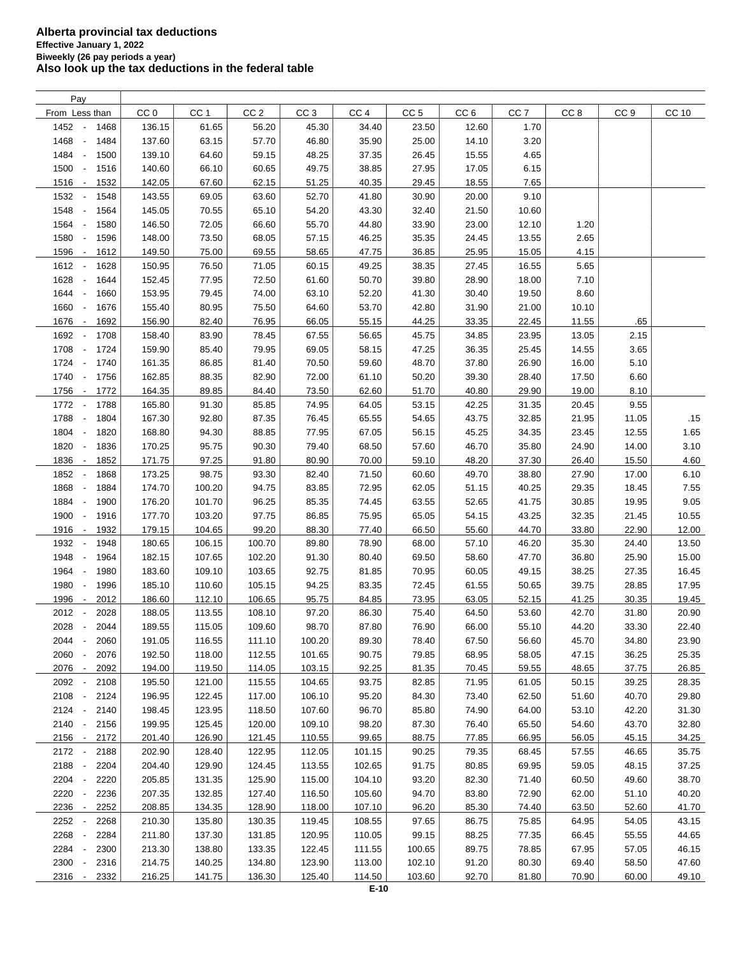| Pay                                      |                 |                 |                 |                 |                 |                 |                 |                 |                 |                 |       |
|------------------------------------------|-----------------|-----------------|-----------------|-----------------|-----------------|-----------------|-----------------|-----------------|-----------------|-----------------|-------|
| From Less than                           | CC <sub>0</sub> | CC <sub>1</sub> | CC <sub>2</sub> | CC <sub>3</sub> | CC <sub>4</sub> | CC <sub>5</sub> | CC <sub>6</sub> | CC <sub>7</sub> | CC <sub>8</sub> | CC <sub>9</sub> | CC 10 |
| 1452 -<br>1468                           | 136.15          | 61.65           | 56.20           | 45.30           | 34.40           | 23.50           | 12.60           | 1.70            |                 |                 |       |
| 1468<br>1484<br>$\overline{\phantom{a}}$ | 137.60          | 63.15           | 57.70           | 46.80           | 35.90           | 25.00           | 14.10           | 3.20            |                 |                 |       |
| 1484<br>1500<br>$\overline{\phantom{a}}$ | 139.10          | 64.60           | 59.15           | 48.25           | 37.35           | 26.45           | 15.55           | 4.65            |                 |                 |       |
| 1500<br>1516<br>$\overline{\phantom{a}}$ | 140.60          | 66.10           | 60.65           | 49.75           | 38.85           | 27.95           | 17.05           | 6.15            |                 |                 |       |
| 1516<br>1532<br>$\sim$                   | 142.05          | 67.60           | 62.15           | 51.25           | 40.35           | 29.45           | 18.55           | 7.65            |                 |                 |       |
| 1532<br>1548<br>$\overline{\phantom{a}}$ | 143.55          | 69.05           | 63.60           | 52.70           | 41.80           | 30.90           | 20.00           | 9.10            |                 |                 |       |
| 1548<br>1564<br>$\overline{\phantom{a}}$ | 145.05          | 70.55           | 65.10           |                 | 43.30           |                 |                 |                 |                 |                 |       |
|                                          |                 |                 |                 | 54.20           |                 | 32.40           | 21.50           | 10.60           |                 |                 |       |
| 1564<br>1580<br>$\sim$                   | 146.50          | 72.05           | 66.60           | 55.70           | 44.80           | 33.90           | 23.00           | 12.10           | 1.20            |                 |       |
| 1580<br>1596<br>$\overline{\phantom{a}}$ | 148.00          | 73.50           | 68.05           | 57.15           | 46.25           | 35.35           | 24.45           | 13.55           | 2.65            |                 |       |
| 1596<br>1612<br>$\overline{\phantom{a}}$ | 149.50          | 75.00           | 69.55           | 58.65           | 47.75           | 36.85           | 25.95           | 15.05           | 4.15            |                 |       |
| 1612 -<br>1628                           | 150.95          | 76.50           | 71.05           | 60.15           | 49.25           | 38.35           | 27.45           | 16.55           | 5.65            |                 |       |
| 1628<br>1644<br>$\overline{\phantom{a}}$ | 152.45          | 77.95           | 72.50           | 61.60           | 50.70           | 39.80           | 28.90           | 18.00           | 7.10            |                 |       |
| 1644<br>1660<br>$\overline{\phantom{a}}$ | 153.95          | 79.45           | 74.00           | 63.10           | 52.20           | 41.30           | 30.40           | 19.50           | 8.60            |                 |       |
| 1660<br>1676<br>$\overline{\phantom{a}}$ | 155.40          | 80.95           | 75.50           | 64.60           | 53.70           | 42.80           | 31.90           | 21.00           | 10.10           |                 |       |
| 1676<br>1692<br>$\sim$                   | 156.90          | 82.40           | 76.95           | 66.05           | 55.15           | 44.25           | 33.35           | 22.45           | 11.55           | .65             |       |
| 1692<br>1708<br>$\overline{\phantom{a}}$ | 158.40          | 83.90           | 78.45           | 67.55           | 56.65           | 45.75           | 34.85           | 23.95           | 13.05           | 2.15            |       |
| 1708<br>1724<br>$\overline{\phantom{a}}$ | 159.90          | 85.40           | 79.95           | 69.05           | 58.15           | 47.25           | 36.35           | 25.45           | 14.55           | 3.65            |       |
| 1724<br>1740<br>$\sim$                   | 161.35          | 86.85           | 81.40           | 70.50           | 59.60           | 48.70           | 37.80           | 26.90           | 16.00           | 5.10            |       |
| 1740<br>1756<br>$\overline{\phantom{a}}$ | 162.85          | 88.35           | 82.90           | 72.00           | 61.10           | 50.20           | 39.30           | 28.40           | 17.50           | 6.60            |       |
| 1756<br>1772<br>$\overline{\phantom{a}}$ | 164.35          | 89.85           | 84.40           | 73.50           | 62.60           | 51.70           | 40.80           | 29.90           | 19.00           | 8.10            |       |
| 1772 -<br>1788                           | 165.80          | 91.30           | 85.85           | 74.95           | 64.05           | 53.15           | 42.25           | 31.35           | 20.45           | 9.55            |       |
| 1788 -<br>1804                           | 167.30          | 92.80           | 87.35           | 76.45           | 65.55           | 54.65           | 43.75           | 32.85           | 21.95           | 11.05           | .15   |
| 1804 -<br>1820                           | 168.80          | 94.30           | 88.85           | 77.95           | 67.05           | 56.15           | 45.25           | 34.35           | 23.45           | 12.55           | 1.65  |
| 1820<br>1836<br>$\sim$                   | 170.25          | 95.75           | 90.30           | 79.40           | 68.50           | 57.60           | 46.70           | 35.80           | 24.90           | 14.00           | 3.10  |
| 1836<br>1852<br>$\overline{\phantom{a}}$ | 171.75          | 97.25           | 91.80           | 80.90           | 70.00           | 59.10           | 48.20           | 37.30           | 26.40           | 15.50           | 4.60  |
| 1852<br>1868                             | 173.25          | 98.75           | 93.30           | 82.40           | 71.50           | 60.60           | 49.70           | 38.80           | 27.90           | 17.00           | 6.10  |
| 1868<br>1884<br>$\overline{\phantom{a}}$ | 174.70          | 100.20          | 94.75           | 83.85           | 72.95           | 62.05           | 51.15           | 40.25           | 29.35           | 18.45           | 7.55  |
| 1884<br>1900<br>$\overline{\phantom{a}}$ | 176.20          | 101.70          | 96.25           | 85.35           | 74.45           | 63.55           | 52.65           | 41.75           | 30.85           | 19.95           | 9.05  |
| 1900<br>1916<br>$\overline{\phantom{a}}$ | 177.70          | 103.20          | 97.75           | 86.85           | 75.95           | 65.05           | 54.15           | 43.25           | 32.35           | 21.45           | 10.55 |
| 1916<br>1932<br>$\overline{\phantom{a}}$ | 179.15          | 104.65          | 99.20           | 88.30           | 77.40           | 66.50           | 55.60           | 44.70           | 33.80           | 22.90           | 12.00 |
| 1948<br>$\overline{\phantom{a}}$         | 180.65          |                 |                 | 89.80           | 78.90           |                 |                 |                 | 35.30           |                 |       |
| 1932                                     |                 | 106.15          | 100.70          |                 |                 | 68.00           | 57.10           | 46.20           |                 | 24.40           | 13.50 |
| 1948<br>1964<br>$\overline{\phantom{a}}$ | 182.15          | 107.65          | 102.20          | 91.30           | 80.40           | 69.50           | 58.60           | 47.70           | 36.80           | 25.90           | 15.00 |
| 1964<br>1980<br>$\overline{\phantom{a}}$ | 183.60          | 109.10          | 103.65          | 92.75           | 81.85           | 70.95           | 60.05           | 49.15           | 38.25           | 27.35           | 16.45 |
| 1980<br>1996<br>$\overline{\phantom{a}}$ | 185.10          | 110.60          | 105.15          | 94.25           | 83.35           | 72.45           | 61.55           | 50.65           | 39.75           | 28.85           | 17.95 |
| 1996<br>2012<br>$\overline{\phantom{a}}$ | 186.60          | 112.10          | 106.65          | 95.75           | 84.85           | 73.95           | 63.05           | 52.15           | 41.25           | 30.35           | 19.45 |
| 2012<br>2028                             | 188.05          | 113.55          | 108.10          | 97.20           | 86.30           | 75.40           | 64.50           | 53.60           | 42.70           | 31.80           | 20.90 |
| 2028 -<br>2044                           | 189.55          | 115.05          | 109.60          | 98.70           | 87.80           | 76.90           | 66.00           | 55.10           | 44.20           | 33.30           | 22.40 |
| 2044<br>2060<br>$\overline{\phantom{a}}$ | 191.05          | 116.55          | 111.10          | 100.20          | 89.30           | 78.40           | 67.50           | 56.60           | 45.70           | 34.80           | 23.90 |
| 2060<br>2076<br>$\overline{\phantom{a}}$ | 192.50          | 118.00          | 112.55          | 101.65          | 90.75           | 79.85           | 68.95           | 58.05           | 47.15           | 36.25           | 25.35 |
| 2076 -<br>2092                           | 194.00          | 119.50          | 114.05          | 103.15          | 92.25           | 81.35           | 70.45           | 59.55           | 48.65           | 37.75           | 26.85 |
| 2092<br>2108                             | 195.50          | 121.00          | 115.55          | 104.65          | 93.75           | 82.85           | 71.95           | 61.05           | 50.15           | 39.25           | 28.35 |
| 2108 -<br>2124                           | 196.95          | 122.45          | 117.00          | 106.10          | 95.20           | 84.30           | 73.40           | 62.50           | 51.60           | 40.70           | 29.80 |
| $2124 -$<br>2140                         | 198.45          | 123.95          | 118.50          | 107.60          | 96.70           | 85.80           | 74.90           | 64.00           | 53.10           | 42.20           | 31.30 |
| 2140 -<br>2156                           | 199.95          | 125.45          | 120.00          | 109.10          | 98.20           | 87.30           | 76.40           | 65.50           | 54.60           | 43.70           | 32.80 |
| 2156 -<br>2172                           | 201.40          | 126.90          | 121.45          | 110.55          | 99.65           | 88.75           | 77.85           | 66.95           | 56.05           | 45.15           | 34.25 |
| 2172 -<br>2188                           | 202.90          | 128.40          | 122.95          | 112.05          | 101.15          | 90.25           | 79.35           | 68.45           | 57.55           | 46.65           | 35.75 |
| 2188 -<br>2204                           | 204.40          | 129.90          | 124.45          | 113.55          | 102.65          | 91.75           | 80.85           | 69.95           | 59.05           | 48.15           | 37.25 |
| 2204 -<br>2220                           | 205.85          | 131.35          | 125.90          | 115.00          | 104.10          | 93.20           | 82.30           | 71.40           | 60.50           | 49.60           | 38.70 |
| 2220<br>2236<br>$\overline{\phantom{a}}$ | 207.35          | 132.85          | 127.40          | 116.50          | 105.60          | 94.70           | 83.80           | 72.90           | 62.00           | 51.10           | 40.20 |
| 2236<br>2252<br>$\sim$                   | 208.85          | 134.35          | 128.90          | 118.00          | 107.10          | 96.20           | 85.30           | 74.40           | 63.50           | 52.60           | 41.70 |
| 2252<br>2268                             | 210.30          | 135.80          | 130.35          | 119.45          | 108.55          | 97.65           | 86.75           | 75.85           | 64.95           | 54.05           | 43.15 |
| 2268<br>2284                             | 211.80          | 137.30          | 131.85          | 120.95          | 110.05          | 99.15           | 88.25           | 77.35           | 66.45           | 55.55           | 44.65 |
| 2284<br>2300                             | 213.30          | 138.80          | 133.35          | 122.45          | 111.55          | 100.65          | 89.75           | 78.85           | 67.95           | 57.05           | 46.15 |
| 2300<br>2316<br>$\overline{\phantom{a}}$ | 214.75          | 140.25          | 134.80          | 123.90          | 113.00          | 102.10          | 91.20           | 80.30           | 69.40           | 58.50           | 47.60 |
| 2316<br>2332<br>$\overline{\phantom{a}}$ | 216.25          | 141.75          | 136.30          | 125.40          | 114.50          | 103.60          | 92.70           | 81.80           | 70.90           | 60.00           | 49.10 |
|                                          |                 |                 |                 |                 |                 |                 |                 |                 |                 |                 |       |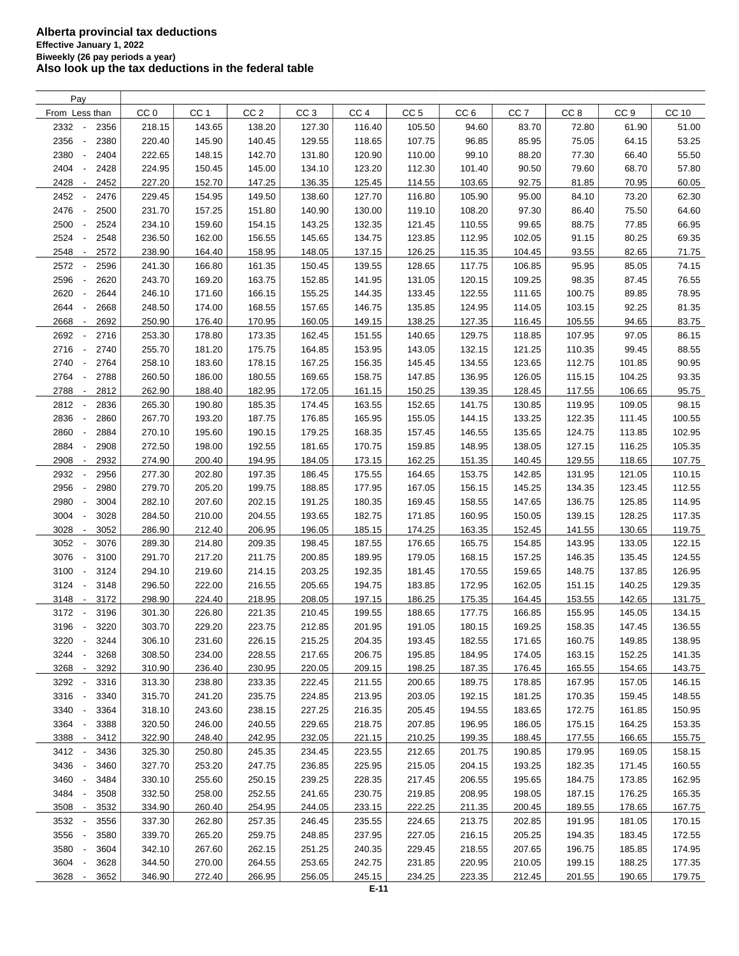| Pay                                      |                 |                 |                 |                 |                 |                 |                 |                 |                 |                 |        |
|------------------------------------------|-----------------|-----------------|-----------------|-----------------|-----------------|-----------------|-----------------|-----------------|-----------------|-----------------|--------|
| From Less than                           | CC <sub>0</sub> | CC <sub>1</sub> | CC <sub>2</sub> | CC <sub>3</sub> | CC <sub>4</sub> | CC <sub>5</sub> | CC <sub>6</sub> | CC <sub>7</sub> | CC <sub>8</sub> | CC <sub>9</sub> | CC 10  |
| 2332<br>2356                             | 218.15          | 143.65          | 138.20          | 127.30          | 116.40          | 105.50          | 94.60           | 83.70           | 72.80           | 61.90           | 51.00  |
| 2356<br>2380<br>$\overline{\phantom{a}}$ | 220.40          | 145.90          | 140.45          | 129.55          | 118.65          | 107.75          | 96.85           | 85.95           | 75.05           | 64.15           | 53.25  |
| 2380<br>2404                             | 222.65          | 148.15          | 142.70          | 131.80          | 120.90          | 110.00          | 99.10           | 88.20           | 77.30           | 66.40           | 55.50  |
| 2404<br>2428                             | 224.95          | 150.45          | 145.00          | 134.10          | 123.20          | 112.30          | 101.40          | 90.50           | 79.60           | 68.70           | 57.80  |
| 2428<br>2452<br>$\overline{\phantom{a}}$ | 227.20          | 152.70          | 147.25          | 136.35          | 125.45          | 114.55          | 103.65          | 92.75           | 81.85           | 70.95           | 60.05  |
| 2452<br>2476<br>$\overline{\phantom{a}}$ | 229.45          | 154.95          | 149.50          | 138.60          | 127.70          | 116.80          | 105.90          | 95.00           | 84.10           | 73.20           | 62.30  |
| 2476<br>2500<br>$\overline{\phantom{a}}$ | 231.70          | 157.25          | 151.80          | 140.90          | 130.00          | 119.10          | 108.20          | 97.30           | 86.40           | 75.50           | 64.60  |
|                                          |                 |                 |                 |                 |                 |                 | 110.55          |                 |                 |                 |        |
| 2500<br>2524<br>$\overline{\phantom{a}}$ | 234.10          | 159.60          | 154.15          | 143.25          | 132.35          | 121.45          |                 | 99.65           | 88.75           | 77.85           | 66.95  |
| 2524<br>2548<br>$\overline{\phantom{a}}$ | 236.50          | 162.00          | 156.55          | 145.65          | 134.75          | 123.85          | 112.95          | 102.05          | 91.15           | 80.25           | 69.35  |
| 2548<br>2572<br>$\overline{\phantom{a}}$ | 238.90          | 164.40          | 158.95          | 148.05          | 137.15          | 126.25          | 115.35          | 104.45          | 93.55           | 82.65           | 71.75  |
| 2572<br>2596                             | 241.30          | 166.80          | 161.35          | 150.45          | 139.55          | 128.65          | 117.75          | 106.85          | 95.95           | 85.05           | 74.15  |
| 2596<br>2620<br>$\overline{\phantom{a}}$ | 243.70          | 169.20          | 163.75          | 152.85          | 141.95          | 131.05          | 120.15          | 109.25          | 98.35           | 87.45           | 76.55  |
| 2620<br>2644                             | 246.10          | 171.60          | 166.15          | 155.25          | 144.35          | 133.45          | 122.55          | 111.65          | 100.75          | 89.85           | 78.95  |
| 2644<br>2668                             | 248.50          | 174.00          | 168.55          | 157.65          | 146.75          | 135.85          | 124.95          | 114.05          | 103.15          | 92.25           | 81.35  |
| 2668<br>2692<br>$\overline{\phantom{a}}$ | 250.90          | 176.40          | 170.95          | 160.05          | 149.15          | 138.25          | 127.35          | 116.45          | 105.55          | 94.65           | 83.75  |
| 2692<br>2716                             | 253.30          | 178.80          | 173.35          | 162.45          | 151.55          | 140.65          | 129.75          | 118.85          | 107.95          | 97.05           | 86.15  |
| 2716<br>2740<br>$\overline{\phantom{a}}$ | 255.70          | 181.20          | 175.75          | 164.85          | 153.95          | 143.05          | 132.15          | 121.25          | 110.35          | 99.45           | 88.55  |
| 2740<br>2764<br>$\overline{\phantom{a}}$ | 258.10          | 183.60          | 178.15          | 167.25          | 156.35          | 145.45          | 134.55          | 123.65          | 112.75          | 101.85          | 90.95  |
| 2764<br>2788<br>$\overline{\phantom{a}}$ | 260.50          | 186.00          | 180.55          | 169.65          | 158.75          | 147.85          | 136.95          | 126.05          | 115.15          | 104.25          | 93.35  |
| 2788<br>2812<br>$\overline{\phantom{a}}$ | 262.90          | 188.40          | 182.95          | 172.05          | 161.15          | 150.25          | 139.35          | 128.45          | 117.55          | 106.65          | 95.75  |
| 2812<br>2836<br>$\overline{\phantom{a}}$ | 265.30          | 190.80          | 185.35          | 174.45          | 163.55          | 152.65          | 141.75          | 130.85          | 119.95          | 109.05          | 98.15  |
| 2836<br>2860<br>$\overline{\phantom{a}}$ | 267.70          | 193.20          | 187.75          | 176.85          | 165.95          | 155.05          | 144.15          | 133.25          | 122.35          | 111.45          | 100.55 |
| 2860<br>2884<br>$\overline{\phantom{a}}$ | 270.10          | 195.60          | 190.15          | 179.25          | 168.35          | 157.45          | 146.55          | 135.65          | 124.75          | 113.85          | 102.95 |
| 2884<br>2908                             | 272.50          | 198.00          | 192.55          | 181.65          | 170.75          | 159.85          | 148.95          | 138.05          | 127.15          | 116.25          | 105.35 |
| 2908<br>2932<br>$\overline{\phantom{a}}$ | 274.90          | 200.40          | 194.95          | 184.05          | 173.15          | 162.25          | 151.35          | 140.45          | 129.55          | 118.65          | 107.75 |
| 2932<br>2956                             | 277.30          | 202.80          | 197.35          | 186.45          | 175.55          | 164.65          | 153.75          | 142.85          | 131.95          | 121.05          | 110.15 |
| 2956<br>2980                             | 279.70          | 205.20          | 199.75          | 188.85          | 177.95          | 167.05          | 156.15          | 145.25          | 134.35          | 123.45          | 112.55 |
| 2980<br>3004                             | 282.10          | 207.60          | 202.15          | 191.25          | 180.35          | 169.45          | 158.55          | 147.65          | 136.75          | 125.85          | 114.95 |
| 3004<br>3028<br>$\overline{\phantom{a}}$ | 284.50          | 210.00          | 204.55          | 193.65          | 182.75          | 171.85          | 160.95          | 150.05          | 139.15          | 128.25          | 117.35 |
| 3052                                     | 286.90          |                 |                 |                 |                 |                 |                 |                 |                 |                 |        |
| 3028<br>$\overline{\phantom{a}}$         |                 | 212.40          | 206.95          | 196.05          | 185.15          | 174.25          | 163.35          | 152.45          | 141.55          | 130.65          | 119.75 |
| 3052<br>3076<br>$\overline{\phantom{a}}$ | 289.30          | 214.80          | 209.35          | 198.45          | 187.55          | 176.65          | 165.75          | 154.85          | 143.95          | 133.05          | 122.15 |
| 3076<br>3100<br>$\overline{\phantom{a}}$ | 291.70          | 217.20          | 211.75          | 200.85          | 189.95          | 179.05          | 168.15          | 157.25          | 146.35          | 135.45          | 124.55 |
| 3100<br>$\overline{\phantom{a}}$<br>3124 | 294.10          | 219.60          | 214.15          | 203.25          | 192.35          | 181.45          | 170.55          | 159.65          | 148.75          | 137.85          | 126.95 |
| 3124<br>3148<br>$\overline{\phantom{a}}$ | 296.50          | 222.00          | 216.55          | 205.65          | 194.75          | 183.85          | 172.95          | 162.05          | 151.15          | 140.25          | 129.35 |
| 3148<br>3172<br>$\overline{\phantom{a}}$ | 298.90          | 224.40          | 218.95          | 208.05          | 197.15          | 186.25          | 175.35          | 164.45          | 153.55          | 142.65          | 131.75 |
| 3172<br>3196                             | 301.30          | 226.80          | 221.35          | 210.45          | 199.55          | 188.65          | 177.75          | 166.85          | 155.95          | 145.05          | 134.15 |
| 3196 -<br>3220                           | 303.70          | 229.20          | 223.75          | 212.85          | 201.95          | 191.05          | 180.15          | 169.25          | 158.35          | 147.45          | 136.55 |
| 3220<br>3244<br>$\overline{\phantom{a}}$ | 306.10          | 231.60          | 226.15          | 215.25          | 204.35          | 193.45          | 182.55          | 171.65          | 160.75          | 149.85          | 138.95 |
| 3244<br>3268                             | 308.50          | 234.00          | 228.55          | 217.65          | 206.75          | 195.85          | 184.95          | 174.05          | 163.15          | 152.25          | 141.35 |
| 3268 -<br>3292                           | 310.90          | 236.40          | 230.95          | 220.05          | 209.15          | 198.25          | 187.35          | 176.45          | 165.55          | 154.65          | 143.75 |
| 3292<br>3316                             | 313.30          | 238.80          | 233.35          | 222.45          | 211.55          | 200.65          | 189.75          | 178.85          | 167.95          | 157.05          | 146.15 |
| 3316<br>3340<br>$\overline{\phantom{a}}$ | 315.70          | 241.20          | 235.75          | 224.85          | 213.95          | 203.05          | 192.15          | 181.25          | 170.35          | 159.45          | 148.55 |
| 3340<br>3364<br>$\overline{\phantom{a}}$ | 318.10          | 243.60          | 238.15          | 227.25          | 216.35          | 205.45          | 194.55          | 183.65          | 172.75          | 161.85          | 150.95 |
| 3364<br>3388<br>$\overline{\phantom{a}}$ | 320.50          | 246.00          | 240.55          | 229.65          | 218.75          | 207.85          | 196.95          | 186.05          | 175.15          | 164.25          | 153.35 |
| 3388<br>3412<br>$\overline{\phantom{a}}$ | 322.90          | 248.40          | 242.95          | 232.05          | 221.15          | 210.25          | 199.35          | 188.45          | 177.55          | 166.65          | 155.75 |
| 3412<br>3436                             | 325.30          | 250.80          | 245.35          | 234.45          | 223.55          | 212.65          | 201.75          | 190.85          | 179.95          | 169.05          | 158.15 |
| 3436<br>3460<br>$\overline{\phantom{a}}$ | 327.70          | 253.20          | 247.75          | 236.85          | 225.95          | 215.05          | 204.15          | 193.25          | 182.35          | 171.45          | 160.55 |
| 3460<br>3484<br>$\overline{\phantom{a}}$ | 330.10          | 255.60          | 250.15          | 239.25          | 228.35          | 217.45          | 206.55          | 195.65          | 184.75          | 173.85          | 162.95 |
| 3484<br>3508<br>$\overline{\phantom{a}}$ | 332.50          | 258.00          | 252.55          | 241.65          | 230.75          | 219.85          | 208.95          | 198.05          | 187.15          | 176.25          | 165.35 |
| 3508 -<br>3532                           | 334.90          | 260.40          | 254.95          | 244.05          | 233.15          | 222.25          | 211.35          | 200.45          | 189.55          | 178.65          | 167.75 |
| 3532<br>3556                             | 337.30          | 262.80          | 257.35          | 246.45          | 235.55          | 224.65          | 213.75          | 202.85          | 191.95          | 181.05          | 170.15 |
| 3556<br>3580                             | 339.70          | 265.20          | 259.75          | 248.85          | 237.95          | 227.05          | 216.15          | 205.25          | 194.35          | 183.45          | 172.55 |
| 3580<br>3604<br>$\overline{\phantom{a}}$ | 342.10          | 267.60          | 262.15          | 251.25          | 240.35          | 229.45          | 218.55          | 207.65          | 196.75          | 185.85          | 174.95 |
| 3604<br>3628                             | 344.50          | 270.00          | 264.55          | 253.65          | 242.75          | 231.85          | 220.95          | 210.05          | 199.15          | 188.25          | 177.35 |
| 3628<br>$\overline{\phantom{a}}$         | 346.90          |                 |                 |                 |                 |                 |                 |                 |                 |                 | 179.75 |
| 3652                                     |                 | 272.40          | 266.95          | 256.05          | 245.15          | 234.25          | 223.35          | 212.45          | 201.55          | 190.65          |        |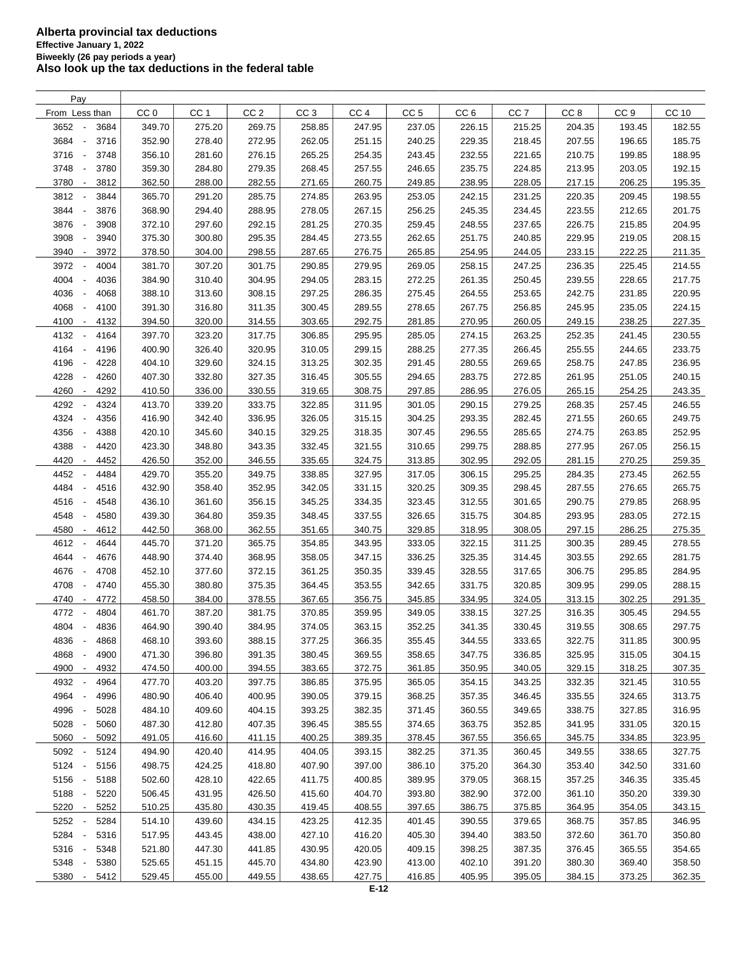| CC <sub>2</sub><br>CC <sub>3</sub><br>CC <sub>6</sub><br>From Less than<br>CC <sub>0</sub><br>CC <sub>1</sub><br>CC <sub>4</sub><br>CC <sub>5</sub><br>CC <sub>7</sub><br>CC <sub>8</sub><br>CC <sub>9</sub><br>3652<br>275.20<br>269.75<br>247.95<br>3684<br>349.70<br>258.85<br>237.05<br>226.15<br>215.25<br>204.35<br>193.45<br>3684<br>352.90<br>278.40<br>262.05<br>207.55<br>3716<br>272.95<br>251.15<br>240.25<br>229.35<br>218.45<br>196.65<br>$\overline{\phantom{a}}$<br>3716<br>3748<br>356.10<br>281.60<br>276.15<br>265.25<br>254.35<br>243.45<br>232.55<br>221.65<br>210.75<br>199.85<br>$\overline{\phantom{a}}$<br>3748<br>235.75<br>3780<br>359.30<br>284.80<br>279.35<br>268.45<br>257.55<br>246.65<br>224.85<br>213.95<br>203.05<br>$\overline{\phantom{a}}$<br>3780<br>3812<br>362.50<br>288.00<br>282.55<br>271.65<br>260.75<br>249.85<br>238.95<br>228.05<br>217.15<br>206.25<br>$\overline{\phantom{a}}$<br>3812<br>3844<br>365.70<br>291.20<br>285.75<br>274.85<br>263.95<br>253.05<br>242.15<br>231.25<br>220.35<br>209.45<br>3844<br>3876<br>368.90<br>294.40<br>288.95<br>278.05<br>267.15<br>256.25<br>245.35<br>234.45<br>223.55<br>212.65<br>$\overline{\phantom{a}}$<br>3876<br>237.65<br>3908<br>372.10<br>297.60<br>292.15<br>281.25<br>270.35<br>259.45<br>248.55<br>226.75<br>215.85<br>$\overline{\phantom{a}}$<br>3908<br>3940<br>375.30<br>300.80<br>295.35<br>284.45<br>273.55<br>262.65<br>251.75<br>240.85<br>229.95<br>219.05<br>$\overline{\phantom{a}}$<br>3940<br>378.50<br>304.00<br>298.55<br>287.65<br>276.75<br>265.85<br>254.95<br>244.05<br>233.15<br>222.25<br>3972<br>$\overline{\phantom{a}}$<br>3972<br>307.20<br>4004<br>381.70<br>301.75<br>290.85<br>279.95<br>269.05<br>258.15<br>247.25<br>236.35<br>225.45<br>4004<br>294.05<br>4036<br>384.90<br>310.40<br>304.95<br>283.15<br>272.25<br>261.35<br>250.45<br>239.55<br>228.65<br>$\overline{\phantom{a}}$<br>4036<br>297.25<br>388.10<br>313.60<br>308.15<br>286.35<br>275.45<br>264.55<br>253.65<br>242.75<br>231.85<br>4068<br>4068<br>391.30<br>316.80<br>311.35<br>267.75<br>256.85<br>245.95<br>4100<br>300.45<br>289.55<br>278.65<br>235.05<br>4100<br>4132<br>394.50<br>320.00<br>314.55<br>303.65<br>292.75<br>281.85<br>270.95<br>260.05<br>249.15<br>238.25<br>$\pm$<br>4132<br>4164<br>397.70<br>323.20<br>317.75<br>295.95<br>285.05<br>274.15<br>263.25<br>252.35<br>306.85<br>241.45<br>$\overline{\phantom{a}}$<br>4164<br>326.40<br>266.45<br>4196<br>400.90<br>320.95<br>310.05<br>299.15<br>288.25<br>277.35<br>255.55<br>244.65<br>$\overline{\phantom{a}}$<br>4196<br>4228<br>404.10<br>329.60<br>324.15<br>313.25<br>302.35<br>291.45<br>280.55<br>269.65<br>258.75<br>247.85<br>$\overline{\phantom{a}}$<br>332.80<br>4228<br>4260<br>407.30<br>327.35<br>316.45<br>305.55<br>294.65<br>283.75<br>272.85<br>261.95<br>251.05<br>$\overline{\phantom{a}}$<br>336.00<br>330.55<br>4260<br>4292<br>410.50<br>319.65<br>308.75<br>297.85<br>286.95<br>276.05<br>265.15<br>254.25<br>$\overline{\phantom{a}}$<br>4292<br>4324<br>413.70<br>339.20<br>333.75<br>322.85<br>311.95<br>301.05<br>290.15<br>279.25<br>268.35<br>257.45<br>$\blacksquare$<br>4324<br>336.95<br>4356<br>416.90<br>342.40<br>326.05<br>315.15<br>304.25<br>293.35<br>282.45<br>271.55<br>260.65<br>$\overline{\phantom{a}}$<br>4356<br>345.60<br>340.15<br>329.25<br>318.35<br>285.65<br>4388<br>420.10<br>307.45<br>296.55<br>274.75<br>263.85<br>÷,<br>4388<br>343.35<br>332.45<br>299.75<br>4420<br>423.30<br>348.80<br>321.55<br>310.65<br>288.85<br>277.95<br>267.05<br>$\overline{\phantom{a}}$<br>4420<br>4452<br>426.50<br>352.00<br>346.55<br>335.65<br>324.75<br>313.85<br>302.95<br>292.05<br>281.15<br>270.25<br>$\overline{\phantom{a}}$<br>4452<br>429.70<br>355.20<br>327.95<br>295.25<br>4484<br>349.75<br>338.85<br>317.05<br>306.15<br>284.35<br>273.45<br>4484<br>4516<br>432.90<br>358.40<br>352.95<br>342.05<br>331.15<br>320.25<br>309.35<br>298.45<br>287.55<br>276.65<br>Ĭ.<br>4516<br>4548<br>436.10<br>361.60<br>356.15<br>345.25<br>334.35<br>323.45<br>312.55<br>301.65<br>290.75<br>279.85<br>4548<br>4580<br>439.30<br>364.80<br>359.35<br>348.45<br>337.55<br>326.65<br>315.75<br>304.85<br>293.95<br>283.05<br>4580<br>4612<br>442.50<br>368.00<br>362.55<br>351.65<br>340.75<br>329.85<br>318.95<br>308.05<br>297.15<br>286.25<br>$\overline{\phantom{a}}$<br>4612<br>4644<br>445.70<br>371.20<br>365.75<br>354.85<br>343.95<br>333.05<br>322.15<br>311.25<br>300.35<br>289.45<br>$\overline{\phantom{a}}$<br>4644<br>4676<br>448.90<br>374.40<br>368.95<br>358.05<br>347.15<br>336.25<br>325.35<br>314.45<br>303.55<br>292.65<br>$\overline{\phantom{a}}$<br>4676<br>4708<br>452.10<br>377.60<br>372.15<br>361.25<br>350.35<br>339.45<br>328.55<br>317.65<br>306.75<br>295.85<br>$\sim$<br>4708<br>4740<br>455.30<br>380.80<br>375.35<br>364.45<br>353.55<br>342.65<br>331.75<br>320.85<br>309.95<br>299.05<br>$\overline{\phantom{a}}$<br>4740<br>458.50<br>384.00<br>378.55<br>367.65<br>356.75<br>345.85<br>334.95<br>324.05<br>313.15<br>302.25<br>4772<br>$\overline{\phantom{a}}$<br>4772<br>4804<br>461.70<br>387.20<br>381.75<br>370.85<br>359.95<br>349.05<br>338.15<br>316.35<br>305.45<br>327.25<br>4804<br>464.90<br>390.40<br>384.95<br>374.05<br>363.15<br>352.25<br>341.35<br>330.45<br>319.55<br>308.65<br>4836<br>$\overline{\phantom{a}}$ | CC 10<br>182.55<br>185.75<br>188.95<br>192.15<br>195.35<br>198.55<br>201.75<br>204.95<br>208.15<br>211.35<br>214.55<br>217.75<br>220.95<br>224.15<br>227.35<br>230.55<br>233.75<br>236.95<br>240.15<br>243.35<br>246.55 |
|-------------------------------------------------------------------------------------------------------------------------------------------------------------------------------------------------------------------------------------------------------------------------------------------------------------------------------------------------------------------------------------------------------------------------------------------------------------------------------------------------------------------------------------------------------------------------------------------------------------------------------------------------------------------------------------------------------------------------------------------------------------------------------------------------------------------------------------------------------------------------------------------------------------------------------------------------------------------------------------------------------------------------------------------------------------------------------------------------------------------------------------------------------------------------------------------------------------------------------------------------------------------------------------------------------------------------------------------------------------------------------------------------------------------------------------------------------------------------------------------------------------------------------------------------------------------------------------------------------------------------------------------------------------------------------------------------------------------------------------------------------------------------------------------------------------------------------------------------------------------------------------------------------------------------------------------------------------------------------------------------------------------------------------------------------------------------------------------------------------------------------------------------------------------------------------------------------------------------------------------------------------------------------------------------------------------------------------------------------------------------------------------------------------------------------------------------------------------------------------------------------------------------------------------------------------------------------------------------------------------------------------------------------------------------------------------------------------------------------------------------------------------------------------------------------------------------------------------------------------------------------------------------------------------------------------------------------------------------------------------------------------------------------------------------------------------------------------------------------------------------------------------------------------------------------------------------------------------------------------------------------------------------------------------------------------------------------------------------------------------------------------------------------------------------------------------------------------------------------------------------------------------------------------------------------------------------------------------------------------------------------------------------------------------------------------------------------------------------------------------------------------------------------------------------------------------------------------------------------------------------------------------------------------------------------------------------------------------------------------------------------------------------------------------------------------------------------------------------------------------------------------------------------------------------------------------------------------------------------------------------------------------------------------------------------------------------------------------------------------------------------------------------------------------------------------------------------------------------------------------------------------------------------------------------------------------------------------------------------------------------------------------------------------------------------------------------------------------------------------------------------------------------------------------------------------------------------------------------------------------------------------------------------------------------------------------------------------------------------------------------------------------------------------------------------------------------------------------------------------------------------------------------------------------------------------------------------------------------------------------------------------------------------------------------------------------------------------------------------------------------------------------------------|-------------------------------------------------------------------------------------------------------------------------------------------------------------------------------------------------------------------------|
|                                                                                                                                                                                                                                                                                                                                                                                                                                                                                                                                                                                                                                                                                                                                                                                                                                                                                                                                                                                                                                                                                                                                                                                                                                                                                                                                                                                                                                                                                                                                                                                                                                                                                                                                                                                                                                                                                                                                                                                                                                                                                                                                                                                                                                                                                                                                                                                                                                                                                                                                                                                                                                                                                                                                                                                                                                                                                                                                                                                                                                                                                                                                                                                                                                                                                                                                                                                                                                                                                                                                                                                                                                                                                                                                                                                                                                                                                                                                                                                                                                                                                                                                                                                                                                                                                                                                                                                                                                                                                                                                                                                                                                                                                                                                                                                                                                                                                                                                                                                                                                                                                                                                                                                                                                                                                                                                                                                                       |                                                                                                                                                                                                                         |
|                                                                                                                                                                                                                                                                                                                                                                                                                                                                                                                                                                                                                                                                                                                                                                                                                                                                                                                                                                                                                                                                                                                                                                                                                                                                                                                                                                                                                                                                                                                                                                                                                                                                                                                                                                                                                                                                                                                                                                                                                                                                                                                                                                                                                                                                                                                                                                                                                                                                                                                                                                                                                                                                                                                                                                                                                                                                                                                                                                                                                                                                                                                                                                                                                                                                                                                                                                                                                                                                                                                                                                                                                                                                                                                                                                                                                                                                                                                                                                                                                                                                                                                                                                                                                                                                                                                                                                                                                                                                                                                                                                                                                                                                                                                                                                                                                                                                                                                                                                                                                                                                                                                                                                                                                                                                                                                                                                                                       |                                                                                                                                                                                                                         |
|                                                                                                                                                                                                                                                                                                                                                                                                                                                                                                                                                                                                                                                                                                                                                                                                                                                                                                                                                                                                                                                                                                                                                                                                                                                                                                                                                                                                                                                                                                                                                                                                                                                                                                                                                                                                                                                                                                                                                                                                                                                                                                                                                                                                                                                                                                                                                                                                                                                                                                                                                                                                                                                                                                                                                                                                                                                                                                                                                                                                                                                                                                                                                                                                                                                                                                                                                                                                                                                                                                                                                                                                                                                                                                                                                                                                                                                                                                                                                                                                                                                                                                                                                                                                                                                                                                                                                                                                                                                                                                                                                                                                                                                                                                                                                                                                                                                                                                                                                                                                                                                                                                                                                                                                                                                                                                                                                                                                       |                                                                                                                                                                                                                         |
|                                                                                                                                                                                                                                                                                                                                                                                                                                                                                                                                                                                                                                                                                                                                                                                                                                                                                                                                                                                                                                                                                                                                                                                                                                                                                                                                                                                                                                                                                                                                                                                                                                                                                                                                                                                                                                                                                                                                                                                                                                                                                                                                                                                                                                                                                                                                                                                                                                                                                                                                                                                                                                                                                                                                                                                                                                                                                                                                                                                                                                                                                                                                                                                                                                                                                                                                                                                                                                                                                                                                                                                                                                                                                                                                                                                                                                                                                                                                                                                                                                                                                                                                                                                                                                                                                                                                                                                                                                                                                                                                                                                                                                                                                                                                                                                                                                                                                                                                                                                                                                                                                                                                                                                                                                                                                                                                                                                                       |                                                                                                                                                                                                                         |
|                                                                                                                                                                                                                                                                                                                                                                                                                                                                                                                                                                                                                                                                                                                                                                                                                                                                                                                                                                                                                                                                                                                                                                                                                                                                                                                                                                                                                                                                                                                                                                                                                                                                                                                                                                                                                                                                                                                                                                                                                                                                                                                                                                                                                                                                                                                                                                                                                                                                                                                                                                                                                                                                                                                                                                                                                                                                                                                                                                                                                                                                                                                                                                                                                                                                                                                                                                                                                                                                                                                                                                                                                                                                                                                                                                                                                                                                                                                                                                                                                                                                                                                                                                                                                                                                                                                                                                                                                                                                                                                                                                                                                                                                                                                                                                                                                                                                                                                                                                                                                                                                                                                                                                                                                                                                                                                                                                                                       |                                                                                                                                                                                                                         |
|                                                                                                                                                                                                                                                                                                                                                                                                                                                                                                                                                                                                                                                                                                                                                                                                                                                                                                                                                                                                                                                                                                                                                                                                                                                                                                                                                                                                                                                                                                                                                                                                                                                                                                                                                                                                                                                                                                                                                                                                                                                                                                                                                                                                                                                                                                                                                                                                                                                                                                                                                                                                                                                                                                                                                                                                                                                                                                                                                                                                                                                                                                                                                                                                                                                                                                                                                                                                                                                                                                                                                                                                                                                                                                                                                                                                                                                                                                                                                                                                                                                                                                                                                                                                                                                                                                                                                                                                                                                                                                                                                                                                                                                                                                                                                                                                                                                                                                                                                                                                                                                                                                                                                                                                                                                                                                                                                                                                       |                                                                                                                                                                                                                         |
|                                                                                                                                                                                                                                                                                                                                                                                                                                                                                                                                                                                                                                                                                                                                                                                                                                                                                                                                                                                                                                                                                                                                                                                                                                                                                                                                                                                                                                                                                                                                                                                                                                                                                                                                                                                                                                                                                                                                                                                                                                                                                                                                                                                                                                                                                                                                                                                                                                                                                                                                                                                                                                                                                                                                                                                                                                                                                                                                                                                                                                                                                                                                                                                                                                                                                                                                                                                                                                                                                                                                                                                                                                                                                                                                                                                                                                                                                                                                                                                                                                                                                                                                                                                                                                                                                                                                                                                                                                                                                                                                                                                                                                                                                                                                                                                                                                                                                                                                                                                                                                                                                                                                                                                                                                                                                                                                                                                                       |                                                                                                                                                                                                                         |
|                                                                                                                                                                                                                                                                                                                                                                                                                                                                                                                                                                                                                                                                                                                                                                                                                                                                                                                                                                                                                                                                                                                                                                                                                                                                                                                                                                                                                                                                                                                                                                                                                                                                                                                                                                                                                                                                                                                                                                                                                                                                                                                                                                                                                                                                                                                                                                                                                                                                                                                                                                                                                                                                                                                                                                                                                                                                                                                                                                                                                                                                                                                                                                                                                                                                                                                                                                                                                                                                                                                                                                                                                                                                                                                                                                                                                                                                                                                                                                                                                                                                                                                                                                                                                                                                                                                                                                                                                                                                                                                                                                                                                                                                                                                                                                                                                                                                                                                                                                                                                                                                                                                                                                                                                                                                                                                                                                                                       |                                                                                                                                                                                                                         |
|                                                                                                                                                                                                                                                                                                                                                                                                                                                                                                                                                                                                                                                                                                                                                                                                                                                                                                                                                                                                                                                                                                                                                                                                                                                                                                                                                                                                                                                                                                                                                                                                                                                                                                                                                                                                                                                                                                                                                                                                                                                                                                                                                                                                                                                                                                                                                                                                                                                                                                                                                                                                                                                                                                                                                                                                                                                                                                                                                                                                                                                                                                                                                                                                                                                                                                                                                                                                                                                                                                                                                                                                                                                                                                                                                                                                                                                                                                                                                                                                                                                                                                                                                                                                                                                                                                                                                                                                                                                                                                                                                                                                                                                                                                                                                                                                                                                                                                                                                                                                                                                                                                                                                                                                                                                                                                                                                                                                       |                                                                                                                                                                                                                         |
|                                                                                                                                                                                                                                                                                                                                                                                                                                                                                                                                                                                                                                                                                                                                                                                                                                                                                                                                                                                                                                                                                                                                                                                                                                                                                                                                                                                                                                                                                                                                                                                                                                                                                                                                                                                                                                                                                                                                                                                                                                                                                                                                                                                                                                                                                                                                                                                                                                                                                                                                                                                                                                                                                                                                                                                                                                                                                                                                                                                                                                                                                                                                                                                                                                                                                                                                                                                                                                                                                                                                                                                                                                                                                                                                                                                                                                                                                                                                                                                                                                                                                                                                                                                                                                                                                                                                                                                                                                                                                                                                                                                                                                                                                                                                                                                                                                                                                                                                                                                                                                                                                                                                                                                                                                                                                                                                                                                                       |                                                                                                                                                                                                                         |
|                                                                                                                                                                                                                                                                                                                                                                                                                                                                                                                                                                                                                                                                                                                                                                                                                                                                                                                                                                                                                                                                                                                                                                                                                                                                                                                                                                                                                                                                                                                                                                                                                                                                                                                                                                                                                                                                                                                                                                                                                                                                                                                                                                                                                                                                                                                                                                                                                                                                                                                                                                                                                                                                                                                                                                                                                                                                                                                                                                                                                                                                                                                                                                                                                                                                                                                                                                                                                                                                                                                                                                                                                                                                                                                                                                                                                                                                                                                                                                                                                                                                                                                                                                                                                                                                                                                                                                                                                                                                                                                                                                                                                                                                                                                                                                                                                                                                                                                                                                                                                                                                                                                                                                                                                                                                                                                                                                                                       |                                                                                                                                                                                                                         |
|                                                                                                                                                                                                                                                                                                                                                                                                                                                                                                                                                                                                                                                                                                                                                                                                                                                                                                                                                                                                                                                                                                                                                                                                                                                                                                                                                                                                                                                                                                                                                                                                                                                                                                                                                                                                                                                                                                                                                                                                                                                                                                                                                                                                                                                                                                                                                                                                                                                                                                                                                                                                                                                                                                                                                                                                                                                                                                                                                                                                                                                                                                                                                                                                                                                                                                                                                                                                                                                                                                                                                                                                                                                                                                                                                                                                                                                                                                                                                                                                                                                                                                                                                                                                                                                                                                                                                                                                                                                                                                                                                                                                                                                                                                                                                                                                                                                                                                                                                                                                                                                                                                                                                                                                                                                                                                                                                                                                       |                                                                                                                                                                                                                         |
|                                                                                                                                                                                                                                                                                                                                                                                                                                                                                                                                                                                                                                                                                                                                                                                                                                                                                                                                                                                                                                                                                                                                                                                                                                                                                                                                                                                                                                                                                                                                                                                                                                                                                                                                                                                                                                                                                                                                                                                                                                                                                                                                                                                                                                                                                                                                                                                                                                                                                                                                                                                                                                                                                                                                                                                                                                                                                                                                                                                                                                                                                                                                                                                                                                                                                                                                                                                                                                                                                                                                                                                                                                                                                                                                                                                                                                                                                                                                                                                                                                                                                                                                                                                                                                                                                                                                                                                                                                                                                                                                                                                                                                                                                                                                                                                                                                                                                                                                                                                                                                                                                                                                                                                                                                                                                                                                                                                                       |                                                                                                                                                                                                                         |
|                                                                                                                                                                                                                                                                                                                                                                                                                                                                                                                                                                                                                                                                                                                                                                                                                                                                                                                                                                                                                                                                                                                                                                                                                                                                                                                                                                                                                                                                                                                                                                                                                                                                                                                                                                                                                                                                                                                                                                                                                                                                                                                                                                                                                                                                                                                                                                                                                                                                                                                                                                                                                                                                                                                                                                                                                                                                                                                                                                                                                                                                                                                                                                                                                                                                                                                                                                                                                                                                                                                                                                                                                                                                                                                                                                                                                                                                                                                                                                                                                                                                                                                                                                                                                                                                                                                                                                                                                                                                                                                                                                                                                                                                                                                                                                                                                                                                                                                                                                                                                                                                                                                                                                                                                                                                                                                                                                                                       |                                                                                                                                                                                                                         |
|                                                                                                                                                                                                                                                                                                                                                                                                                                                                                                                                                                                                                                                                                                                                                                                                                                                                                                                                                                                                                                                                                                                                                                                                                                                                                                                                                                                                                                                                                                                                                                                                                                                                                                                                                                                                                                                                                                                                                                                                                                                                                                                                                                                                                                                                                                                                                                                                                                                                                                                                                                                                                                                                                                                                                                                                                                                                                                                                                                                                                                                                                                                                                                                                                                                                                                                                                                                                                                                                                                                                                                                                                                                                                                                                                                                                                                                                                                                                                                                                                                                                                                                                                                                                                                                                                                                                                                                                                                                                                                                                                                                                                                                                                                                                                                                                                                                                                                                                                                                                                                                                                                                                                                                                                                                                                                                                                                                                       |                                                                                                                                                                                                                         |
|                                                                                                                                                                                                                                                                                                                                                                                                                                                                                                                                                                                                                                                                                                                                                                                                                                                                                                                                                                                                                                                                                                                                                                                                                                                                                                                                                                                                                                                                                                                                                                                                                                                                                                                                                                                                                                                                                                                                                                                                                                                                                                                                                                                                                                                                                                                                                                                                                                                                                                                                                                                                                                                                                                                                                                                                                                                                                                                                                                                                                                                                                                                                                                                                                                                                                                                                                                                                                                                                                                                                                                                                                                                                                                                                                                                                                                                                                                                                                                                                                                                                                                                                                                                                                                                                                                                                                                                                                                                                                                                                                                                                                                                                                                                                                                                                                                                                                                                                                                                                                                                                                                                                                                                                                                                                                                                                                                                                       |                                                                                                                                                                                                                         |
|                                                                                                                                                                                                                                                                                                                                                                                                                                                                                                                                                                                                                                                                                                                                                                                                                                                                                                                                                                                                                                                                                                                                                                                                                                                                                                                                                                                                                                                                                                                                                                                                                                                                                                                                                                                                                                                                                                                                                                                                                                                                                                                                                                                                                                                                                                                                                                                                                                                                                                                                                                                                                                                                                                                                                                                                                                                                                                                                                                                                                                                                                                                                                                                                                                                                                                                                                                                                                                                                                                                                                                                                                                                                                                                                                                                                                                                                                                                                                                                                                                                                                                                                                                                                                                                                                                                                                                                                                                                                                                                                                                                                                                                                                                                                                                                                                                                                                                                                                                                                                                                                                                                                                                                                                                                                                                                                                                                                       |                                                                                                                                                                                                                         |
|                                                                                                                                                                                                                                                                                                                                                                                                                                                                                                                                                                                                                                                                                                                                                                                                                                                                                                                                                                                                                                                                                                                                                                                                                                                                                                                                                                                                                                                                                                                                                                                                                                                                                                                                                                                                                                                                                                                                                                                                                                                                                                                                                                                                                                                                                                                                                                                                                                                                                                                                                                                                                                                                                                                                                                                                                                                                                                                                                                                                                                                                                                                                                                                                                                                                                                                                                                                                                                                                                                                                                                                                                                                                                                                                                                                                                                                                                                                                                                                                                                                                                                                                                                                                                                                                                                                                                                                                                                                                                                                                                                                                                                                                                                                                                                                                                                                                                                                                                                                                                                                                                                                                                                                                                                                                                                                                                                                                       |                                                                                                                                                                                                                         |
|                                                                                                                                                                                                                                                                                                                                                                                                                                                                                                                                                                                                                                                                                                                                                                                                                                                                                                                                                                                                                                                                                                                                                                                                                                                                                                                                                                                                                                                                                                                                                                                                                                                                                                                                                                                                                                                                                                                                                                                                                                                                                                                                                                                                                                                                                                                                                                                                                                                                                                                                                                                                                                                                                                                                                                                                                                                                                                                                                                                                                                                                                                                                                                                                                                                                                                                                                                                                                                                                                                                                                                                                                                                                                                                                                                                                                                                                                                                                                                                                                                                                                                                                                                                                                                                                                                                                                                                                                                                                                                                                                                                                                                                                                                                                                                                                                                                                                                                                                                                                                                                                                                                                                                                                                                                                                                                                                                                                       |                                                                                                                                                                                                                         |
|                                                                                                                                                                                                                                                                                                                                                                                                                                                                                                                                                                                                                                                                                                                                                                                                                                                                                                                                                                                                                                                                                                                                                                                                                                                                                                                                                                                                                                                                                                                                                                                                                                                                                                                                                                                                                                                                                                                                                                                                                                                                                                                                                                                                                                                                                                                                                                                                                                                                                                                                                                                                                                                                                                                                                                                                                                                                                                                                                                                                                                                                                                                                                                                                                                                                                                                                                                                                                                                                                                                                                                                                                                                                                                                                                                                                                                                                                                                                                                                                                                                                                                                                                                                                                                                                                                                                                                                                                                                                                                                                                                                                                                                                                                                                                                                                                                                                                                                                                                                                                                                                                                                                                                                                                                                                                                                                                                                                       |                                                                                                                                                                                                                         |
|                                                                                                                                                                                                                                                                                                                                                                                                                                                                                                                                                                                                                                                                                                                                                                                                                                                                                                                                                                                                                                                                                                                                                                                                                                                                                                                                                                                                                                                                                                                                                                                                                                                                                                                                                                                                                                                                                                                                                                                                                                                                                                                                                                                                                                                                                                                                                                                                                                                                                                                                                                                                                                                                                                                                                                                                                                                                                                                                                                                                                                                                                                                                                                                                                                                                                                                                                                                                                                                                                                                                                                                                                                                                                                                                                                                                                                                                                                                                                                                                                                                                                                                                                                                                                                                                                                                                                                                                                                                                                                                                                                                                                                                                                                                                                                                                                                                                                                                                                                                                                                                                                                                                                                                                                                                                                                                                                                                                       |                                                                                                                                                                                                                         |
|                                                                                                                                                                                                                                                                                                                                                                                                                                                                                                                                                                                                                                                                                                                                                                                                                                                                                                                                                                                                                                                                                                                                                                                                                                                                                                                                                                                                                                                                                                                                                                                                                                                                                                                                                                                                                                                                                                                                                                                                                                                                                                                                                                                                                                                                                                                                                                                                                                                                                                                                                                                                                                                                                                                                                                                                                                                                                                                                                                                                                                                                                                                                                                                                                                                                                                                                                                                                                                                                                                                                                                                                                                                                                                                                                                                                                                                                                                                                                                                                                                                                                                                                                                                                                                                                                                                                                                                                                                                                                                                                                                                                                                                                                                                                                                                                                                                                                                                                                                                                                                                                                                                                                                                                                                                                                                                                                                                                       |                                                                                                                                                                                                                         |
|                                                                                                                                                                                                                                                                                                                                                                                                                                                                                                                                                                                                                                                                                                                                                                                                                                                                                                                                                                                                                                                                                                                                                                                                                                                                                                                                                                                                                                                                                                                                                                                                                                                                                                                                                                                                                                                                                                                                                                                                                                                                                                                                                                                                                                                                                                                                                                                                                                                                                                                                                                                                                                                                                                                                                                                                                                                                                                                                                                                                                                                                                                                                                                                                                                                                                                                                                                                                                                                                                                                                                                                                                                                                                                                                                                                                                                                                                                                                                                                                                                                                                                                                                                                                                                                                                                                                                                                                                                                                                                                                                                                                                                                                                                                                                                                                                                                                                                                                                                                                                                                                                                                                                                                                                                                                                                                                                                                                       |                                                                                                                                                                                                                         |
|                                                                                                                                                                                                                                                                                                                                                                                                                                                                                                                                                                                                                                                                                                                                                                                                                                                                                                                                                                                                                                                                                                                                                                                                                                                                                                                                                                                                                                                                                                                                                                                                                                                                                                                                                                                                                                                                                                                                                                                                                                                                                                                                                                                                                                                                                                                                                                                                                                                                                                                                                                                                                                                                                                                                                                                                                                                                                                                                                                                                                                                                                                                                                                                                                                                                                                                                                                                                                                                                                                                                                                                                                                                                                                                                                                                                                                                                                                                                                                                                                                                                                                                                                                                                                                                                                                                                                                                                                                                                                                                                                                                                                                                                                                                                                                                                                                                                                                                                                                                                                                                                                                                                                                                                                                                                                                                                                                                                       | 249.75                                                                                                                                                                                                                  |
|                                                                                                                                                                                                                                                                                                                                                                                                                                                                                                                                                                                                                                                                                                                                                                                                                                                                                                                                                                                                                                                                                                                                                                                                                                                                                                                                                                                                                                                                                                                                                                                                                                                                                                                                                                                                                                                                                                                                                                                                                                                                                                                                                                                                                                                                                                                                                                                                                                                                                                                                                                                                                                                                                                                                                                                                                                                                                                                                                                                                                                                                                                                                                                                                                                                                                                                                                                                                                                                                                                                                                                                                                                                                                                                                                                                                                                                                                                                                                                                                                                                                                                                                                                                                                                                                                                                                                                                                                                                                                                                                                                                                                                                                                                                                                                                                                                                                                                                                                                                                                                                                                                                                                                                                                                                                                                                                                                                                       | 252.95                                                                                                                                                                                                                  |
|                                                                                                                                                                                                                                                                                                                                                                                                                                                                                                                                                                                                                                                                                                                                                                                                                                                                                                                                                                                                                                                                                                                                                                                                                                                                                                                                                                                                                                                                                                                                                                                                                                                                                                                                                                                                                                                                                                                                                                                                                                                                                                                                                                                                                                                                                                                                                                                                                                                                                                                                                                                                                                                                                                                                                                                                                                                                                                                                                                                                                                                                                                                                                                                                                                                                                                                                                                                                                                                                                                                                                                                                                                                                                                                                                                                                                                                                                                                                                                                                                                                                                                                                                                                                                                                                                                                                                                                                                                                                                                                                                                                                                                                                                                                                                                                                                                                                                                                                                                                                                                                                                                                                                                                                                                                                                                                                                                                                       |                                                                                                                                                                                                                         |
|                                                                                                                                                                                                                                                                                                                                                                                                                                                                                                                                                                                                                                                                                                                                                                                                                                                                                                                                                                                                                                                                                                                                                                                                                                                                                                                                                                                                                                                                                                                                                                                                                                                                                                                                                                                                                                                                                                                                                                                                                                                                                                                                                                                                                                                                                                                                                                                                                                                                                                                                                                                                                                                                                                                                                                                                                                                                                                                                                                                                                                                                                                                                                                                                                                                                                                                                                                                                                                                                                                                                                                                                                                                                                                                                                                                                                                                                                                                                                                                                                                                                                                                                                                                                                                                                                                                                                                                                                                                                                                                                                                                                                                                                                                                                                                                                                                                                                                                                                                                                                                                                                                                                                                                                                                                                                                                                                                                                       | 256.15                                                                                                                                                                                                                  |
|                                                                                                                                                                                                                                                                                                                                                                                                                                                                                                                                                                                                                                                                                                                                                                                                                                                                                                                                                                                                                                                                                                                                                                                                                                                                                                                                                                                                                                                                                                                                                                                                                                                                                                                                                                                                                                                                                                                                                                                                                                                                                                                                                                                                                                                                                                                                                                                                                                                                                                                                                                                                                                                                                                                                                                                                                                                                                                                                                                                                                                                                                                                                                                                                                                                                                                                                                                                                                                                                                                                                                                                                                                                                                                                                                                                                                                                                                                                                                                                                                                                                                                                                                                                                                                                                                                                                                                                                                                                                                                                                                                                                                                                                                                                                                                                                                                                                                                                                                                                                                                                                                                                                                                                                                                                                                                                                                                                                       | 259.35                                                                                                                                                                                                                  |
|                                                                                                                                                                                                                                                                                                                                                                                                                                                                                                                                                                                                                                                                                                                                                                                                                                                                                                                                                                                                                                                                                                                                                                                                                                                                                                                                                                                                                                                                                                                                                                                                                                                                                                                                                                                                                                                                                                                                                                                                                                                                                                                                                                                                                                                                                                                                                                                                                                                                                                                                                                                                                                                                                                                                                                                                                                                                                                                                                                                                                                                                                                                                                                                                                                                                                                                                                                                                                                                                                                                                                                                                                                                                                                                                                                                                                                                                                                                                                                                                                                                                                                                                                                                                                                                                                                                                                                                                                                                                                                                                                                                                                                                                                                                                                                                                                                                                                                                                                                                                                                                                                                                                                                                                                                                                                                                                                                                                       | 262.55                                                                                                                                                                                                                  |
|                                                                                                                                                                                                                                                                                                                                                                                                                                                                                                                                                                                                                                                                                                                                                                                                                                                                                                                                                                                                                                                                                                                                                                                                                                                                                                                                                                                                                                                                                                                                                                                                                                                                                                                                                                                                                                                                                                                                                                                                                                                                                                                                                                                                                                                                                                                                                                                                                                                                                                                                                                                                                                                                                                                                                                                                                                                                                                                                                                                                                                                                                                                                                                                                                                                                                                                                                                                                                                                                                                                                                                                                                                                                                                                                                                                                                                                                                                                                                                                                                                                                                                                                                                                                                                                                                                                                                                                                                                                                                                                                                                                                                                                                                                                                                                                                                                                                                                                                                                                                                                                                                                                                                                                                                                                                                                                                                                                                       | 265.75                                                                                                                                                                                                                  |
|                                                                                                                                                                                                                                                                                                                                                                                                                                                                                                                                                                                                                                                                                                                                                                                                                                                                                                                                                                                                                                                                                                                                                                                                                                                                                                                                                                                                                                                                                                                                                                                                                                                                                                                                                                                                                                                                                                                                                                                                                                                                                                                                                                                                                                                                                                                                                                                                                                                                                                                                                                                                                                                                                                                                                                                                                                                                                                                                                                                                                                                                                                                                                                                                                                                                                                                                                                                                                                                                                                                                                                                                                                                                                                                                                                                                                                                                                                                                                                                                                                                                                                                                                                                                                                                                                                                                                                                                                                                                                                                                                                                                                                                                                                                                                                                                                                                                                                                                                                                                                                                                                                                                                                                                                                                                                                                                                                                                       | 268.95                                                                                                                                                                                                                  |
|                                                                                                                                                                                                                                                                                                                                                                                                                                                                                                                                                                                                                                                                                                                                                                                                                                                                                                                                                                                                                                                                                                                                                                                                                                                                                                                                                                                                                                                                                                                                                                                                                                                                                                                                                                                                                                                                                                                                                                                                                                                                                                                                                                                                                                                                                                                                                                                                                                                                                                                                                                                                                                                                                                                                                                                                                                                                                                                                                                                                                                                                                                                                                                                                                                                                                                                                                                                                                                                                                                                                                                                                                                                                                                                                                                                                                                                                                                                                                                                                                                                                                                                                                                                                                                                                                                                                                                                                                                                                                                                                                                                                                                                                                                                                                                                                                                                                                                                                                                                                                                                                                                                                                                                                                                                                                                                                                                                                       | 272.15                                                                                                                                                                                                                  |
|                                                                                                                                                                                                                                                                                                                                                                                                                                                                                                                                                                                                                                                                                                                                                                                                                                                                                                                                                                                                                                                                                                                                                                                                                                                                                                                                                                                                                                                                                                                                                                                                                                                                                                                                                                                                                                                                                                                                                                                                                                                                                                                                                                                                                                                                                                                                                                                                                                                                                                                                                                                                                                                                                                                                                                                                                                                                                                                                                                                                                                                                                                                                                                                                                                                                                                                                                                                                                                                                                                                                                                                                                                                                                                                                                                                                                                                                                                                                                                                                                                                                                                                                                                                                                                                                                                                                                                                                                                                                                                                                                                                                                                                                                                                                                                                                                                                                                                                                                                                                                                                                                                                                                                                                                                                                                                                                                                                                       | 275.35                                                                                                                                                                                                                  |
|                                                                                                                                                                                                                                                                                                                                                                                                                                                                                                                                                                                                                                                                                                                                                                                                                                                                                                                                                                                                                                                                                                                                                                                                                                                                                                                                                                                                                                                                                                                                                                                                                                                                                                                                                                                                                                                                                                                                                                                                                                                                                                                                                                                                                                                                                                                                                                                                                                                                                                                                                                                                                                                                                                                                                                                                                                                                                                                                                                                                                                                                                                                                                                                                                                                                                                                                                                                                                                                                                                                                                                                                                                                                                                                                                                                                                                                                                                                                                                                                                                                                                                                                                                                                                                                                                                                                                                                                                                                                                                                                                                                                                                                                                                                                                                                                                                                                                                                                                                                                                                                                                                                                                                                                                                                                                                                                                                                                       | 278.55                                                                                                                                                                                                                  |
|                                                                                                                                                                                                                                                                                                                                                                                                                                                                                                                                                                                                                                                                                                                                                                                                                                                                                                                                                                                                                                                                                                                                                                                                                                                                                                                                                                                                                                                                                                                                                                                                                                                                                                                                                                                                                                                                                                                                                                                                                                                                                                                                                                                                                                                                                                                                                                                                                                                                                                                                                                                                                                                                                                                                                                                                                                                                                                                                                                                                                                                                                                                                                                                                                                                                                                                                                                                                                                                                                                                                                                                                                                                                                                                                                                                                                                                                                                                                                                                                                                                                                                                                                                                                                                                                                                                                                                                                                                                                                                                                                                                                                                                                                                                                                                                                                                                                                                                                                                                                                                                                                                                                                                                                                                                                                                                                                                                                       | 281.75                                                                                                                                                                                                                  |
|                                                                                                                                                                                                                                                                                                                                                                                                                                                                                                                                                                                                                                                                                                                                                                                                                                                                                                                                                                                                                                                                                                                                                                                                                                                                                                                                                                                                                                                                                                                                                                                                                                                                                                                                                                                                                                                                                                                                                                                                                                                                                                                                                                                                                                                                                                                                                                                                                                                                                                                                                                                                                                                                                                                                                                                                                                                                                                                                                                                                                                                                                                                                                                                                                                                                                                                                                                                                                                                                                                                                                                                                                                                                                                                                                                                                                                                                                                                                                                                                                                                                                                                                                                                                                                                                                                                                                                                                                                                                                                                                                                                                                                                                                                                                                                                                                                                                                                                                                                                                                                                                                                                                                                                                                                                                                                                                                                                                       | 284.95                                                                                                                                                                                                                  |
|                                                                                                                                                                                                                                                                                                                                                                                                                                                                                                                                                                                                                                                                                                                                                                                                                                                                                                                                                                                                                                                                                                                                                                                                                                                                                                                                                                                                                                                                                                                                                                                                                                                                                                                                                                                                                                                                                                                                                                                                                                                                                                                                                                                                                                                                                                                                                                                                                                                                                                                                                                                                                                                                                                                                                                                                                                                                                                                                                                                                                                                                                                                                                                                                                                                                                                                                                                                                                                                                                                                                                                                                                                                                                                                                                                                                                                                                                                                                                                                                                                                                                                                                                                                                                                                                                                                                                                                                                                                                                                                                                                                                                                                                                                                                                                                                                                                                                                                                                                                                                                                                                                                                                                                                                                                                                                                                                                                                       | 288.15                                                                                                                                                                                                                  |
|                                                                                                                                                                                                                                                                                                                                                                                                                                                                                                                                                                                                                                                                                                                                                                                                                                                                                                                                                                                                                                                                                                                                                                                                                                                                                                                                                                                                                                                                                                                                                                                                                                                                                                                                                                                                                                                                                                                                                                                                                                                                                                                                                                                                                                                                                                                                                                                                                                                                                                                                                                                                                                                                                                                                                                                                                                                                                                                                                                                                                                                                                                                                                                                                                                                                                                                                                                                                                                                                                                                                                                                                                                                                                                                                                                                                                                                                                                                                                                                                                                                                                                                                                                                                                                                                                                                                                                                                                                                                                                                                                                                                                                                                                                                                                                                                                                                                                                                                                                                                                                                                                                                                                                                                                                                                                                                                                                                                       | 291.35                                                                                                                                                                                                                  |
|                                                                                                                                                                                                                                                                                                                                                                                                                                                                                                                                                                                                                                                                                                                                                                                                                                                                                                                                                                                                                                                                                                                                                                                                                                                                                                                                                                                                                                                                                                                                                                                                                                                                                                                                                                                                                                                                                                                                                                                                                                                                                                                                                                                                                                                                                                                                                                                                                                                                                                                                                                                                                                                                                                                                                                                                                                                                                                                                                                                                                                                                                                                                                                                                                                                                                                                                                                                                                                                                                                                                                                                                                                                                                                                                                                                                                                                                                                                                                                                                                                                                                                                                                                                                                                                                                                                                                                                                                                                                                                                                                                                                                                                                                                                                                                                                                                                                                                                                                                                                                                                                                                                                                                                                                                                                                                                                                                                                       | 294.55                                                                                                                                                                                                                  |
|                                                                                                                                                                                                                                                                                                                                                                                                                                                                                                                                                                                                                                                                                                                                                                                                                                                                                                                                                                                                                                                                                                                                                                                                                                                                                                                                                                                                                                                                                                                                                                                                                                                                                                                                                                                                                                                                                                                                                                                                                                                                                                                                                                                                                                                                                                                                                                                                                                                                                                                                                                                                                                                                                                                                                                                                                                                                                                                                                                                                                                                                                                                                                                                                                                                                                                                                                                                                                                                                                                                                                                                                                                                                                                                                                                                                                                                                                                                                                                                                                                                                                                                                                                                                                                                                                                                                                                                                                                                                                                                                                                                                                                                                                                                                                                                                                                                                                                                                                                                                                                                                                                                                                                                                                                                                                                                                                                                                       | 297.75                                                                                                                                                                                                                  |
| 393.60<br>333.65<br>4836<br>4868<br>468.10<br>388.15<br>377.25<br>366.35<br>355.45<br>344.55<br>322.75<br>311.85<br>$\overline{\phantom{a}}$                                                                                                                                                                                                                                                                                                                                                                                                                                                                                                                                                                                                                                                                                                                                                                                                                                                                                                                                                                                                                                                                                                                                                                                                                                                                                                                                                                                                                                                                                                                                                                                                                                                                                                                                                                                                                                                                                                                                                                                                                                                                                                                                                                                                                                                                                                                                                                                                                                                                                                                                                                                                                                                                                                                                                                                                                                                                                                                                                                                                                                                                                                                                                                                                                                                                                                                                                                                                                                                                                                                                                                                                                                                                                                                                                                                                                                                                                                                                                                                                                                                                                                                                                                                                                                                                                                                                                                                                                                                                                                                                                                                                                                                                                                                                                                                                                                                                                                                                                                                                                                                                                                                                                                                                                                                          | 300.95                                                                                                                                                                                                                  |
| 4868<br>4900<br>471.30<br>396.80<br>391.35<br>380.45<br>369.55<br>358.65<br>347.75<br>336.85<br>325.95<br>315.05                                                                                                                                                                                                                                                                                                                                                                                                                                                                                                                                                                                                                                                                                                                                                                                                                                                                                                                                                                                                                                                                                                                                                                                                                                                                                                                                                                                                                                                                                                                                                                                                                                                                                                                                                                                                                                                                                                                                                                                                                                                                                                                                                                                                                                                                                                                                                                                                                                                                                                                                                                                                                                                                                                                                                                                                                                                                                                                                                                                                                                                                                                                                                                                                                                                                                                                                                                                                                                                                                                                                                                                                                                                                                                                                                                                                                                                                                                                                                                                                                                                                                                                                                                                                                                                                                                                                                                                                                                                                                                                                                                                                                                                                                                                                                                                                                                                                                                                                                                                                                                                                                                                                                                                                                                                                                      | 304.15                                                                                                                                                                                                                  |
| 4900<br>4932<br>474.50<br>400.00<br>394.55<br>383.65<br>372.75<br>361.85<br>350.95<br>340.05<br>329.15<br>318.25<br>$\overline{\phantom{a}}$                                                                                                                                                                                                                                                                                                                                                                                                                                                                                                                                                                                                                                                                                                                                                                                                                                                                                                                                                                                                                                                                                                                                                                                                                                                                                                                                                                                                                                                                                                                                                                                                                                                                                                                                                                                                                                                                                                                                                                                                                                                                                                                                                                                                                                                                                                                                                                                                                                                                                                                                                                                                                                                                                                                                                                                                                                                                                                                                                                                                                                                                                                                                                                                                                                                                                                                                                                                                                                                                                                                                                                                                                                                                                                                                                                                                                                                                                                                                                                                                                                                                                                                                                                                                                                                                                                                                                                                                                                                                                                                                                                                                                                                                                                                                                                                                                                                                                                                                                                                                                                                                                                                                                                                                                                                          | 307.35                                                                                                                                                                                                                  |
| 4932<br>4964<br>477.70<br>403.20<br>397.75<br>354.15<br>343.25<br>386.85<br>375.95<br>365.05<br>332.35<br>321.45                                                                                                                                                                                                                                                                                                                                                                                                                                                                                                                                                                                                                                                                                                                                                                                                                                                                                                                                                                                                                                                                                                                                                                                                                                                                                                                                                                                                                                                                                                                                                                                                                                                                                                                                                                                                                                                                                                                                                                                                                                                                                                                                                                                                                                                                                                                                                                                                                                                                                                                                                                                                                                                                                                                                                                                                                                                                                                                                                                                                                                                                                                                                                                                                                                                                                                                                                                                                                                                                                                                                                                                                                                                                                                                                                                                                                                                                                                                                                                                                                                                                                                                                                                                                                                                                                                                                                                                                                                                                                                                                                                                                                                                                                                                                                                                                                                                                                                                                                                                                                                                                                                                                                                                                                                                                                      | 310.55                                                                                                                                                                                                                  |
| 4964<br>4996<br>480.90<br>406.40<br>400.95<br>390.05<br>379.15<br>368.25<br>357.35<br>346.45<br>335.55<br>324.65                                                                                                                                                                                                                                                                                                                                                                                                                                                                                                                                                                                                                                                                                                                                                                                                                                                                                                                                                                                                                                                                                                                                                                                                                                                                                                                                                                                                                                                                                                                                                                                                                                                                                                                                                                                                                                                                                                                                                                                                                                                                                                                                                                                                                                                                                                                                                                                                                                                                                                                                                                                                                                                                                                                                                                                                                                                                                                                                                                                                                                                                                                                                                                                                                                                                                                                                                                                                                                                                                                                                                                                                                                                                                                                                                                                                                                                                                                                                                                                                                                                                                                                                                                                                                                                                                                                                                                                                                                                                                                                                                                                                                                                                                                                                                                                                                                                                                                                                                                                                                                                                                                                                                                                                                                                                                      | 313.75                                                                                                                                                                                                                  |
| 4996<br>5028<br>484.10<br>409.60<br>404.15<br>393.25<br>382.35<br>371.45<br>360.55<br>349.65<br>338.75<br>327.85                                                                                                                                                                                                                                                                                                                                                                                                                                                                                                                                                                                                                                                                                                                                                                                                                                                                                                                                                                                                                                                                                                                                                                                                                                                                                                                                                                                                                                                                                                                                                                                                                                                                                                                                                                                                                                                                                                                                                                                                                                                                                                                                                                                                                                                                                                                                                                                                                                                                                                                                                                                                                                                                                                                                                                                                                                                                                                                                                                                                                                                                                                                                                                                                                                                                                                                                                                                                                                                                                                                                                                                                                                                                                                                                                                                                                                                                                                                                                                                                                                                                                                                                                                                                                                                                                                                                                                                                                                                                                                                                                                                                                                                                                                                                                                                                                                                                                                                                                                                                                                                                                                                                                                                                                                                                                      | 316.95                                                                                                                                                                                                                  |
|                                                                                                                                                                                                                                                                                                                                                                                                                                                                                                                                                                                                                                                                                                                                                                                                                                                                                                                                                                                                                                                                                                                                                                                                                                                                                                                                                                                                                                                                                                                                                                                                                                                                                                                                                                                                                                                                                                                                                                                                                                                                                                                                                                                                                                                                                                                                                                                                                                                                                                                                                                                                                                                                                                                                                                                                                                                                                                                                                                                                                                                                                                                                                                                                                                                                                                                                                                                                                                                                                                                                                                                                                                                                                                                                                                                                                                                                                                                                                                                                                                                                                                                                                                                                                                                                                                                                                                                                                                                                                                                                                                                                                                                                                                                                                                                                                                                                                                                                                                                                                                                                                                                                                                                                                                                                                                                                                                                                       |                                                                                                                                                                                                                         |
| 5028<br>487.30<br>412.80<br>407.35<br>352.85<br>341.95<br>5060<br>396.45<br>385.55<br>374.65<br>363.75<br>331.05                                                                                                                                                                                                                                                                                                                                                                                                                                                                                                                                                                                                                                                                                                                                                                                                                                                                                                                                                                                                                                                                                                                                                                                                                                                                                                                                                                                                                                                                                                                                                                                                                                                                                                                                                                                                                                                                                                                                                                                                                                                                                                                                                                                                                                                                                                                                                                                                                                                                                                                                                                                                                                                                                                                                                                                                                                                                                                                                                                                                                                                                                                                                                                                                                                                                                                                                                                                                                                                                                                                                                                                                                                                                                                                                                                                                                                                                                                                                                                                                                                                                                                                                                                                                                                                                                                                                                                                                                                                                                                                                                                                                                                                                                                                                                                                                                                                                                                                                                                                                                                                                                                                                                                                                                                                                                      | 320.15                                                                                                                                                                                                                  |
| 400.25<br>356.65<br>5060<br>5092<br>491.05<br>416.60<br>411.15<br>389.35<br>378.45<br>367.55<br>345.75<br>334.85<br>$\overline{\phantom{a}}$                                                                                                                                                                                                                                                                                                                                                                                                                                                                                                                                                                                                                                                                                                                                                                                                                                                                                                                                                                                                                                                                                                                                                                                                                                                                                                                                                                                                                                                                                                                                                                                                                                                                                                                                                                                                                                                                                                                                                                                                                                                                                                                                                                                                                                                                                                                                                                                                                                                                                                                                                                                                                                                                                                                                                                                                                                                                                                                                                                                                                                                                                                                                                                                                                                                                                                                                                                                                                                                                                                                                                                                                                                                                                                                                                                                                                                                                                                                                                                                                                                                                                                                                                                                                                                                                                                                                                                                                                                                                                                                                                                                                                                                                                                                                                                                                                                                                                                                                                                                                                                                                                                                                                                                                                                                          | 323.95                                                                                                                                                                                                                  |
| 5092<br>5124<br>494.90<br>420.40<br>414.95<br>404.05<br>393.15<br>382.25<br>371.35<br>360.45<br>349.55<br>338.65<br>$\overline{\phantom{a}}$                                                                                                                                                                                                                                                                                                                                                                                                                                                                                                                                                                                                                                                                                                                                                                                                                                                                                                                                                                                                                                                                                                                                                                                                                                                                                                                                                                                                                                                                                                                                                                                                                                                                                                                                                                                                                                                                                                                                                                                                                                                                                                                                                                                                                                                                                                                                                                                                                                                                                                                                                                                                                                                                                                                                                                                                                                                                                                                                                                                                                                                                                                                                                                                                                                                                                                                                                                                                                                                                                                                                                                                                                                                                                                                                                                                                                                                                                                                                                                                                                                                                                                                                                                                                                                                                                                                                                                                                                                                                                                                                                                                                                                                                                                                                                                                                                                                                                                                                                                                                                                                                                                                                                                                                                                                          | 327.75                                                                                                                                                                                                                  |
| 5124<br>5156<br>498.75<br>424.25<br>418.80<br>407.90<br>397.00<br>386.10<br>375.20<br>364.30<br>353.40<br>342.50<br>$\sim$                                                                                                                                                                                                                                                                                                                                                                                                                                                                                                                                                                                                                                                                                                                                                                                                                                                                                                                                                                                                                                                                                                                                                                                                                                                                                                                                                                                                                                                                                                                                                                                                                                                                                                                                                                                                                                                                                                                                                                                                                                                                                                                                                                                                                                                                                                                                                                                                                                                                                                                                                                                                                                                                                                                                                                                                                                                                                                                                                                                                                                                                                                                                                                                                                                                                                                                                                                                                                                                                                                                                                                                                                                                                                                                                                                                                                                                                                                                                                                                                                                                                                                                                                                                                                                                                                                                                                                                                                                                                                                                                                                                                                                                                                                                                                                                                                                                                                                                                                                                                                                                                                                                                                                                                                                                                            | 331.60                                                                                                                                                                                                                  |
| 5156 -<br>5188<br>502.60<br>428.10<br>422.65<br>411.75<br>400.85<br>389.95<br>379.05<br>368.15<br>357.25<br>346.35                                                                                                                                                                                                                                                                                                                                                                                                                                                                                                                                                                                                                                                                                                                                                                                                                                                                                                                                                                                                                                                                                                                                                                                                                                                                                                                                                                                                                                                                                                                                                                                                                                                                                                                                                                                                                                                                                                                                                                                                                                                                                                                                                                                                                                                                                                                                                                                                                                                                                                                                                                                                                                                                                                                                                                                                                                                                                                                                                                                                                                                                                                                                                                                                                                                                                                                                                                                                                                                                                                                                                                                                                                                                                                                                                                                                                                                                                                                                                                                                                                                                                                                                                                                                                                                                                                                                                                                                                                                                                                                                                                                                                                                                                                                                                                                                                                                                                                                                                                                                                                                                                                                                                                                                                                                                                    | 335.45                                                                                                                                                                                                                  |
| 5188<br>431.95<br>426.50<br>5220<br>506.45<br>415.60<br>404.70<br>393.80<br>382.90<br>372.00<br>361.10<br>350.20<br>$\overline{\phantom{a}}$                                                                                                                                                                                                                                                                                                                                                                                                                                                                                                                                                                                                                                                                                                                                                                                                                                                                                                                                                                                                                                                                                                                                                                                                                                                                                                                                                                                                                                                                                                                                                                                                                                                                                                                                                                                                                                                                                                                                                                                                                                                                                                                                                                                                                                                                                                                                                                                                                                                                                                                                                                                                                                                                                                                                                                                                                                                                                                                                                                                                                                                                                                                                                                                                                                                                                                                                                                                                                                                                                                                                                                                                                                                                                                                                                                                                                                                                                                                                                                                                                                                                                                                                                                                                                                                                                                                                                                                                                                                                                                                                                                                                                                                                                                                                                                                                                                                                                                                                                                                                                                                                                                                                                                                                                                                          | 339.30                                                                                                                                                                                                                  |
| 5220 -<br>5252<br>510.25<br>435.80<br>430.35<br>419.45<br>408.55<br>397.65<br>386.75<br>375.85<br>364.95<br>354.05                                                                                                                                                                                                                                                                                                                                                                                                                                                                                                                                                                                                                                                                                                                                                                                                                                                                                                                                                                                                                                                                                                                                                                                                                                                                                                                                                                                                                                                                                                                                                                                                                                                                                                                                                                                                                                                                                                                                                                                                                                                                                                                                                                                                                                                                                                                                                                                                                                                                                                                                                                                                                                                                                                                                                                                                                                                                                                                                                                                                                                                                                                                                                                                                                                                                                                                                                                                                                                                                                                                                                                                                                                                                                                                                                                                                                                                                                                                                                                                                                                                                                                                                                                                                                                                                                                                                                                                                                                                                                                                                                                                                                                                                                                                                                                                                                                                                                                                                                                                                                                                                                                                                                                                                                                                                                    | 343.15                                                                                                                                                                                                                  |
| 5252<br>5284<br>514.10<br>439.60<br>434.15<br>423.25<br>412.35<br>401.45<br>390.55<br>379.65<br>368.75<br>357.85                                                                                                                                                                                                                                                                                                                                                                                                                                                                                                                                                                                                                                                                                                                                                                                                                                                                                                                                                                                                                                                                                                                                                                                                                                                                                                                                                                                                                                                                                                                                                                                                                                                                                                                                                                                                                                                                                                                                                                                                                                                                                                                                                                                                                                                                                                                                                                                                                                                                                                                                                                                                                                                                                                                                                                                                                                                                                                                                                                                                                                                                                                                                                                                                                                                                                                                                                                                                                                                                                                                                                                                                                                                                                                                                                                                                                                                                                                                                                                                                                                                                                                                                                                                                                                                                                                                                                                                                                                                                                                                                                                                                                                                                                                                                                                                                                                                                                                                                                                                                                                                                                                                                                                                                                                                                                      | 346.95                                                                                                                                                                                                                  |
| 5284<br>5316<br>517.95<br>443.45<br>438.00<br>427.10<br>416.20<br>405.30<br>394.40<br>383.50<br>372.60<br>361.70                                                                                                                                                                                                                                                                                                                                                                                                                                                                                                                                                                                                                                                                                                                                                                                                                                                                                                                                                                                                                                                                                                                                                                                                                                                                                                                                                                                                                                                                                                                                                                                                                                                                                                                                                                                                                                                                                                                                                                                                                                                                                                                                                                                                                                                                                                                                                                                                                                                                                                                                                                                                                                                                                                                                                                                                                                                                                                                                                                                                                                                                                                                                                                                                                                                                                                                                                                                                                                                                                                                                                                                                                                                                                                                                                                                                                                                                                                                                                                                                                                                                                                                                                                                                                                                                                                                                                                                                                                                                                                                                                                                                                                                                                                                                                                                                                                                                                                                                                                                                                                                                                                                                                                                                                                                                                      | 350.80                                                                                                                                                                                                                  |
| 5316<br>447.30<br>387.35<br>5348<br>521.80<br>441.85<br>430.95<br>420.05<br>409.15<br>398.25<br>376.45<br>365.55<br>$\overline{\phantom{a}}$                                                                                                                                                                                                                                                                                                                                                                                                                                                                                                                                                                                                                                                                                                                                                                                                                                                                                                                                                                                                                                                                                                                                                                                                                                                                                                                                                                                                                                                                                                                                                                                                                                                                                                                                                                                                                                                                                                                                                                                                                                                                                                                                                                                                                                                                                                                                                                                                                                                                                                                                                                                                                                                                                                                                                                                                                                                                                                                                                                                                                                                                                                                                                                                                                                                                                                                                                                                                                                                                                                                                                                                                                                                                                                                                                                                                                                                                                                                                                                                                                                                                                                                                                                                                                                                                                                                                                                                                                                                                                                                                                                                                                                                                                                                                                                                                                                                                                                                                                                                                                                                                                                                                                                                                                                                          | 354.65                                                                                                                                                                                                                  |
| 5348<br>5380<br>525.65<br>445.70<br>434.80<br>391.20<br>380.30<br>369.40<br>451.15<br>423.90<br>413.00<br>402.10                                                                                                                                                                                                                                                                                                                                                                                                                                                                                                                                                                                                                                                                                                                                                                                                                                                                                                                                                                                                                                                                                                                                                                                                                                                                                                                                                                                                                                                                                                                                                                                                                                                                                                                                                                                                                                                                                                                                                                                                                                                                                                                                                                                                                                                                                                                                                                                                                                                                                                                                                                                                                                                                                                                                                                                                                                                                                                                                                                                                                                                                                                                                                                                                                                                                                                                                                                                                                                                                                                                                                                                                                                                                                                                                                                                                                                                                                                                                                                                                                                                                                                                                                                                                                                                                                                                                                                                                                                                                                                                                                                                                                                                                                                                                                                                                                                                                                                                                                                                                                                                                                                                                                                                                                                                                                      | 358.50                                                                                                                                                                                                                  |
| 5412<br>455.00<br>438.65<br>427.75<br>405.95<br>395.05<br>373.25<br>5380<br>529.45<br>449.55<br>416.85<br>384.15<br>$\overline{\phantom{a}}$                                                                                                                                                                                                                                                                                                                                                                                                                                                                                                                                                                                                                                                                                                                                                                                                                                                                                                                                                                                                                                                                                                                                                                                                                                                                                                                                                                                                                                                                                                                                                                                                                                                                                                                                                                                                                                                                                                                                                                                                                                                                                                                                                                                                                                                                                                                                                                                                                                                                                                                                                                                                                                                                                                                                                                                                                                                                                                                                                                                                                                                                                                                                                                                                                                                                                                                                                                                                                                                                                                                                                                                                                                                                                                                                                                                                                                                                                                                                                                                                                                                                                                                                                                                                                                                                                                                                                                                                                                                                                                                                                                                                                                                                                                                                                                                                                                                                                                                                                                                                                                                                                                                                                                                                                                                          | 362.35                                                                                                                                                                                                                  |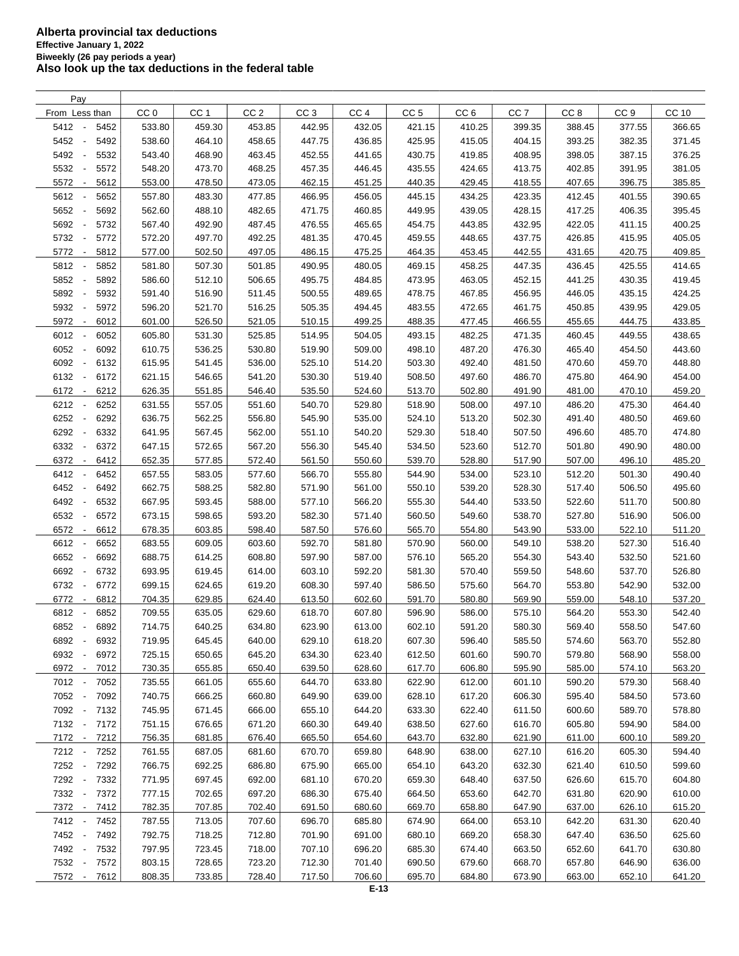| Pay                                      |                 |                  |                 |                 |                 |                 |                 |                 |                 |                 |        |
|------------------------------------------|-----------------|------------------|-----------------|-----------------|-----------------|-----------------|-----------------|-----------------|-----------------|-----------------|--------|
| From Less than                           | CC <sub>0</sub> | CC <sub>1</sub>  | CC <sub>2</sub> | CC <sub>3</sub> | CC <sub>4</sub> | CC <sub>5</sub> | CC <sub>6</sub> | CC <sub>7</sub> | CC <sub>8</sub> | CC <sub>9</sub> | CC 10  |
| 5412 -<br>5452                           | 533.80          | 459.30           | 453.85          | 442.95          | 432.05          | 421.15          | 410.25          | 399.35          | 388.45          | 377.55          | 366.65 |
| 5452<br>5492<br>$\overline{\phantom{a}}$ | 538.60          | 464.10           | 458.65          | 447.75          | 436.85          | 425.95          | 415.05          | 404.15          | 393.25          | 382.35          | 371.45 |
| 5492<br>5532<br>$\overline{\phantom{a}}$ | 543.40          | 468.90           | 463.45          | 452.55          | 441.65          | 430.75          | 419.85          | 408.95          | 398.05          | 387.15          | 376.25 |
| 5532<br>5572<br>$\overline{\phantom{a}}$ | 548.20          | 473.70           | 468.25          | 457.35          | 446.45          | 435.55          | 424.65          | 413.75          | 402.85          | 391.95          | 381.05 |
| 5572<br>5612<br>$\overline{\phantom{a}}$ | 553.00          | 478.50           | 473.05          | 462.15          | 451.25          | 440.35          | 429.45          | 418.55          | 407.65          | 396.75          | 385.85 |
| 5612<br>5652<br>$\overline{\phantom{a}}$ | 557.80          | 483.30           | 477.85          | 466.95          | 456.05          | 445.15          | 434.25          | 423.35          | 412.45          | 401.55          | 390.65 |
| 5652<br>5692<br>$\overline{\phantom{a}}$ | 562.60          | 488.10           | 482.65          | 471.75          | 460.85          | 449.95          | 439.05          | 428.15          | 417.25          | 406.35          | 395.45 |
|                                          |                 |                  |                 |                 |                 |                 |                 |                 |                 |                 |        |
| 5692<br>5732<br>$\sim$                   | 567.40          | 492.90           | 487.45          | 476.55          | 465.65          | 454.75          | 443.85          | 432.95          | 422.05          | 411.15          | 400.25 |
| 5732 -<br>5772                           | 572.20          | 497.70           | 492.25          | 481.35          | 470.45          | 459.55          | 448.65          | 437.75          | 426.85          | 415.95          | 405.05 |
| 5772<br>5812<br>$\overline{\phantom{a}}$ | 577.00          | 502.50           | 497.05          | 486.15          | 475.25          | 464.35          | 453.45          | 442.55          | 431.65          | 420.75          | 409.85 |
| 5812<br>5852<br>$\overline{\phantom{a}}$ | 581.80          | 507.30           | 501.85          | 490.95          | 480.05          | 469.15          | 458.25          | 447.35          | 436.45          | 425.55          | 414.65 |
| 5852<br>5892<br>$\overline{\phantom{a}}$ | 586.60          | 512.10           | 506.65          | 495.75          | 484.85          | 473.95          | 463.05          | 452.15          | 441.25          | 430.35          | 419.45 |
| 5892<br>5932<br>$\overline{\phantom{a}}$ | 591.40          | 516.90           | 511.45          | 500.55          | 489.65          | 478.75          | 467.85          | 456.95          | 446.05          | 435.15          | 424.25 |
| 5932<br>5972<br>$\overline{\phantom{a}}$ | 596.20          | 521.70           | 516.25          | 505.35          | 494.45          | 483.55          | 472.65          | 461.75          | 450.85          | 439.95          | 429.05 |
| 5972 -<br>6012                           | 601.00          | 526.50           | 521.05          | 510.15          | 499.25          | 488.35          | 477.45          | 466.55          | 455.65          | 444.75          | 433.85 |
| 6012<br>6052<br>$\overline{\phantom{a}}$ | 605.80          | 531.30           | 525.85          | 514.95          | 504.05          | 493.15          | 482.25          | 471.35          | 460.45          | 449.55          | 438.65 |
| 6052<br>6092                             | 610.75          | 536.25           | 530.80          | 519.90          | 509.00          | 498.10          | 487.20          | 476.30          | 465.40          | 454.50          | 443.60 |
| 6092<br>6132<br>$\overline{\phantom{a}}$ | 615.95          | 541.45           | 536.00          | 525.10          | 514.20          | 503.30          | 492.40          | 481.50          | 470.60          | 459.70          | 448.80 |
| 6132<br>6172<br>$\sim$                   | 621.15          | 546.65           | 541.20          | 530.30          | 519.40          | 508.50          | 497.60          | 486.70          | 475.80          | 464.90          | 454.00 |
| 6172<br>6212<br>$\overline{\phantom{a}}$ | 626.35          | 551.85           | 546.40          | 535.50          | 524.60          | 513.70          | 502.80          | 491.90          | 481.00          | 470.10          | 459.20 |
| 6212<br>$\sim$<br>6252                   | 631.55          | 557.05           | 551.60          | 540.70          | 529.80          | 518.90          | 508.00          | 497.10          | 486.20          | 475.30          | 464.40 |
| 6252<br>6292<br>$\overline{\phantom{a}}$ | 636.75          | 562.25           | 556.80          | 545.90          | 535.00          | 524.10          | 513.20          | 502.30          | 491.40          | 480.50          | 469.60 |
| 6292<br>6332<br>$\overline{\phantom{a}}$ | 641.95          | 567.45           | 562.00          | 551.10          | 540.20          | 529.30          | 518.40          | 507.50          | 496.60          | 485.70          | 474.80 |
| 6332<br>6372<br>$\overline{\phantom{a}}$ | 647.15          | 572.65           | 567.20          | 556.30          | 545.40          | 534.50          | 523.60          | 512.70          | 501.80          | 490.90          | 480.00 |
| 6372<br>6412<br>$\overline{\phantom{a}}$ | 652.35          | 577.85           | 572.40          | 561.50          | 550.60          | 539.70          | 528.80          | 517.90          | 507.00          | 496.10          | 485.20 |
| 6412<br>6452<br>$\overline{\phantom{a}}$ | 657.55          | 583.05           | 577.60          | 566.70          | 555.80          | 544.90          | 534.00          | 523.10          | 512.20          | 501.30          | 490.40 |
| 6452<br>6492<br>$\overline{\phantom{a}}$ | 662.75          | 588.25           | 582.80          | 571.90          | 561.00          | 550.10          | 539.20          | 528.30          | 517.40          | 506.50          | 495.60 |
|                                          |                 |                  |                 |                 |                 |                 |                 |                 |                 |                 |        |
| 6492<br>6532<br>$\overline{\phantom{a}}$ | 667.95          | 593.45           | 588.00          | 577.10          | 566.20          | 555.30          | 544.40          | 533.50          | 522.60          | 511.70          | 500.80 |
| 6532<br>6572                             | 673.15          | 598.65           | 593.20          | 582.30          | 571.40          | 560.50          | 549.60          | 538.70          | 527.80          | 516.90          | 506.00 |
| 6572<br>6612<br>$\overline{\phantom{a}}$ | 678.35          | 603.85           | 598.40          | 587.50          | 576.60          | 565.70          | 554.80          | 543.90          | 533.00          | 522.10          | 511.20 |
| 6612<br>6652<br>$\overline{\phantom{a}}$ | 683.55          | 609.05           | 603.60          | 592.70          | 581.80          | 570.90          | 560.00          | 549.10          | 538.20          | 527.30          | 516.40 |
| 6652<br>6692<br>$\overline{\phantom{a}}$ | 688.75          | 614.25           | 608.80          | 597.90          | 587.00          | 576.10          | 565.20          | 554.30          | 543.40          | 532.50          | 521.60 |
| 6692<br>6732<br>$\overline{\phantom{a}}$ | 693.95          | 619.45           | 614.00          | 603.10          | 592.20          | 581.30          | 570.40          | 559.50          | 548.60          | 537.70          | 526.80 |
| 6732<br>6772<br>$\overline{\phantom{a}}$ | 699.15          | 624.65           | 619.20          | 608.30          | 597.40          | 586.50          | 575.60          | 564.70          | 553.80          | 542.90          | 532.00 |
| 6772<br>6812<br>$\sim$                   | 704.35          | 629.85           | 624.40          | 613.50          | 602.60          | 591.70          | 580.80          | 569.90          | 559.00          | 548.10          | 537.20 |
| 6812<br>6852                             | 709.55          | 635.05           | 629.60          | 618.70          | 607.80          | 596.90          | 586.00          | 575.10          | 564.20          | 553.30          | 542.40 |
| 6852 -<br>6892                           | 714.75          | 640.25           | 634.80          | 623.90          | 613.00          | 602.10          | 591.20          | 580.30          | 569.40          | 558.50          | 547.60 |
| 6892<br>$\overline{\phantom{a}}$<br>6932 | 719.95          | 645.45           | 640.00          | 629.10          | 618.20          | 607.30          | 596.40          | 585.50          | 574.60          | 563.70          | 552.80 |
| 6932<br>6972<br>$\overline{\phantom{a}}$ | 725.15          | 650.65           | 645.20          | 634.30          | 623.40          | 612.50          | 601.60          | 590.70          | 579.80          | 568.90          | 558.00 |
| 6972 -<br>7012                           | 730.35          | 655.85           | 650.40          | 639.50          | 628.60          | 617.70          | 606.80          | 595.90          | 585.00          | 574.10          | 563.20 |
| 7012 -<br>7052                           | 735.55          | 661.05           | 655.60          | 644.70          | 633.80          | 622.90          | 612.00          | 601.10          | 590.20          | 579.30          | 568.40 |
| 7052 -<br>7092                           | 740.75          | 666.25           | 660.80          | 649.90          | 639.00          | 628.10          | 617.20          | 606.30          | 595.40          | 584.50          | 573.60 |
| 7092 -<br>7132                           | 745.95          | 671.45           | 666.00          | 655.10          | 644.20          | 633.30          | 622.40          | 611.50          | 600.60          | 589.70          | 578.80 |
| 7132 -<br>7172                           | 751.15          | 676.65           | 671.20          | 660.30          | 649.40          | 638.50          | 627.60          | 616.70          | 605.80          | 594.90          | 584.00 |
| 7172 -<br>7212                           | 756.35          | 681.85           | 676.40          | 665.50          | 654.60          | 643.70          | 632.80          | 621.90          | 611.00          | 600.10          | 589.20 |
| 7212 -<br>7252                           | 761.55          | 687.05           | 681.60          | 670.70          | 659.80          | 648.90          | 638.00          | 627.10          | 616.20          | 605.30          | 594.40 |
|                                          |                 |                  |                 |                 |                 |                 |                 |                 |                 |                 |        |
| 7252 -<br>7292                           | 766.75          | 692.25<br>697.45 | 686.80          | 675.90          | 665.00          | 654.10          | 643.20          | 632.30          | 621.40          | 610.50          | 599.60 |
| 7292 -<br>7332                           | 771.95          |                  | 692.00          | 681.10          | 670.20          | 659.30          | 648.40          | 637.50          | 626.60          | 615.70          | 604.80 |
| 7332 -<br>7372                           | 777.15          | 702.65           | 697.20          | 686.30          | 675.40          | 664.50          | 653.60          | 642.70          | 631.80          | 620.90          | 610.00 |
| 7372 -<br>7412                           | 782.35          | 707.85           | 702.40          | 691.50          | 680.60          | 669.70          | 658.80          | 647.90          | 637.00          | 626.10          | 615.20 |
| 7412 -<br>7452                           | 787.55          | 713.05           | 707.60          | 696.70          | 685.80          | 674.90          | 664.00          | 653.10          | 642.20          | 631.30          | 620.40 |
| 7452 -<br>7492                           | 792.75          | 718.25           | 712.80          | 701.90          | 691.00          | 680.10          | 669.20          | 658.30          | 647.40          | 636.50          | 625.60 |
| 7492 -<br>7532                           | 797.95          | 723.45           | 718.00          | 707.10          | 696.20          | 685.30          | 674.40          | 663.50          | 652.60          | 641.70          | 630.80 |
| 7532 -<br>7572                           | 803.15          | 728.65           | 723.20          | 712.30          | 701.40          | 690.50          | 679.60          | 668.70          | 657.80          | 646.90          | 636.00 |
| 7612<br>7572 -                           | 808.35          | 733.85           | 728.40          | 717.50          | 706.60          | 695.70          | 684.80          | 673.90          | 663.00          | 652.10          | 641.20 |